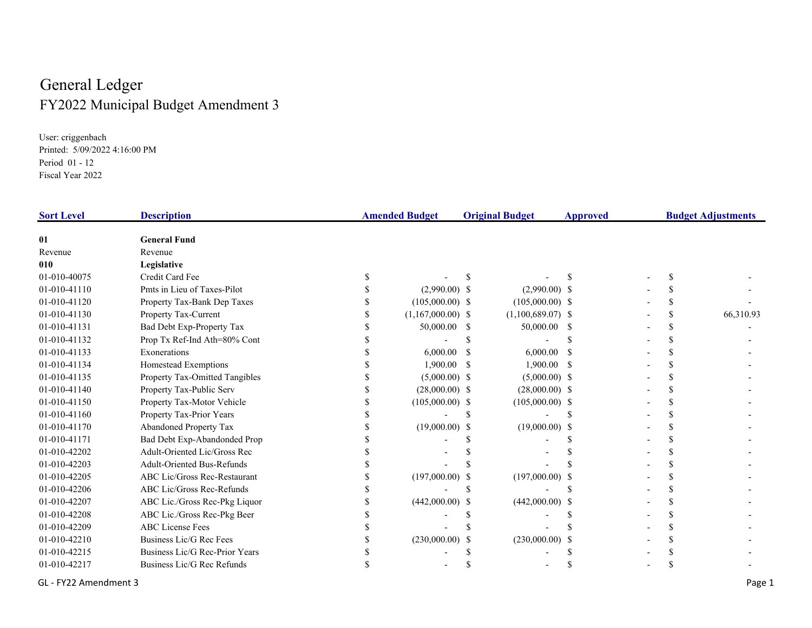## General Ledger FY2022 Municipal Budget Amendment 3

User: criggenbach Printed: 5/09/2022 4:16:00 PM Period 01 - 12Fiscal Year 2022

| <b>Sort Level</b> | <b>Description</b>                |                     | <b>Amended Budget</b><br><b>Original Budget</b> |                     | <b>Approved</b> | <b>Budget Adjustments</b> |           |  |
|-------------------|-----------------------------------|---------------------|-------------------------------------------------|---------------------|-----------------|---------------------------|-----------|--|
| 01                | <b>General Fund</b>               |                     |                                                 |                     |                 |                           |           |  |
| Revenue           | Revenue                           |                     |                                                 |                     |                 |                           |           |  |
| 010               | Legislative                       |                     |                                                 |                     |                 |                           |           |  |
| 01-010-40075      | Credit Card Fee                   |                     |                                                 |                     |                 |                           |           |  |
| 01-010-41110      | Pmts in Lieu of Taxes-Pilot       | $(2,990.00)$ \$     |                                                 | $(2,990.00)$ \$     |                 |                           |           |  |
| 01-010-41120      | Property Tax-Bank Dep Taxes       | $(105,000.00)$ \$   |                                                 | $(105,000.00)$ \$   |                 |                           |           |  |
| 01-010-41130      | Property Tax-Current              | $(1,167,000.00)$ \$ |                                                 | $(1,100,689.07)$ \$ |                 |                           | 66,310.93 |  |
| 01-010-41131      | Bad Debt Exp-Property Tax         | 50,000.00 \$        |                                                 | 50,000.00 \$        |                 |                           |           |  |
| 01-010-41132      | Prop Tx Ref-Ind Ath=80% Cont      |                     |                                                 |                     |                 |                           |           |  |
| 01-010-41133      | Exonerations                      | 6,000.00            |                                                 | 6,000.00            |                 |                           |           |  |
| 01-010-41134      | Homestead Exemptions              | 1,900.00            |                                                 | 1,900.00            |                 |                           |           |  |
| 01-010-41135      | Property Tax-Omitted Tangibles    | $(5,000.00)$ \$     |                                                 | $(5,000.00)$ \$     |                 |                           |           |  |
| 01-010-41140      | Property Tax-Public Serv          | $(28,000.00)$ \$    |                                                 | $(28,000.00)$ \$    |                 |                           |           |  |
| 01-010-41150      | Property Tax-Motor Vehicle        | $(105,000.00)$ \$   |                                                 | $(105,000.00)$ \$   |                 |                           |           |  |
| 01-010-41160      | Property Tax-Prior Years          |                     |                                                 |                     |                 |                           |           |  |
| 01-010-41170      | Abandoned Property Tax            | $(19,000.00)$ \$    |                                                 | $(19,000.00)$ \$    |                 |                           |           |  |
| 01-010-41171      | Bad Debt Exp-Abandonded Prop      |                     |                                                 |                     |                 |                           |           |  |
| 01-010-42202      | Adult-Oriented Lic/Gross Rec      |                     |                                                 |                     |                 |                           |           |  |
| 01-010-42203      | <b>Adult-Oriented Bus-Refunds</b> |                     |                                                 |                     |                 |                           |           |  |
| 01-010-42205      | ABC Lic/Gross Rec-Restaurant      | $(197,000.00)$ \$   |                                                 | $(197,000.00)$ \$   |                 |                           |           |  |
| 01-010-42206      | ABC Lic/Gross Rec-Refunds         |                     |                                                 |                     |                 |                           |           |  |
| 01-010-42207      | ABC Lic./Gross Rec-Pkg Liquor     | $(442,000.00)$ \$   |                                                 | $(442,000.00)$ \$   |                 |                           |           |  |
| 01-010-42208      | ABC Lic./Gross Rec-Pkg Beer       |                     |                                                 |                     |                 |                           |           |  |
| 01-010-42209      | <b>ABC</b> License Fees           |                     |                                                 |                     |                 |                           |           |  |
| 01-010-42210      | Business Lic/G Rec Fees           | $(230,000.00)$ \$   |                                                 | (230,000.00)        |                 |                           |           |  |
| 01-010-42215      | Business Lic/G Rec-Prior Years    |                     |                                                 |                     |                 |                           |           |  |
| 01-010-42217      | Business Lic/G Rec Refunds        |                     |                                                 |                     |                 |                           |           |  |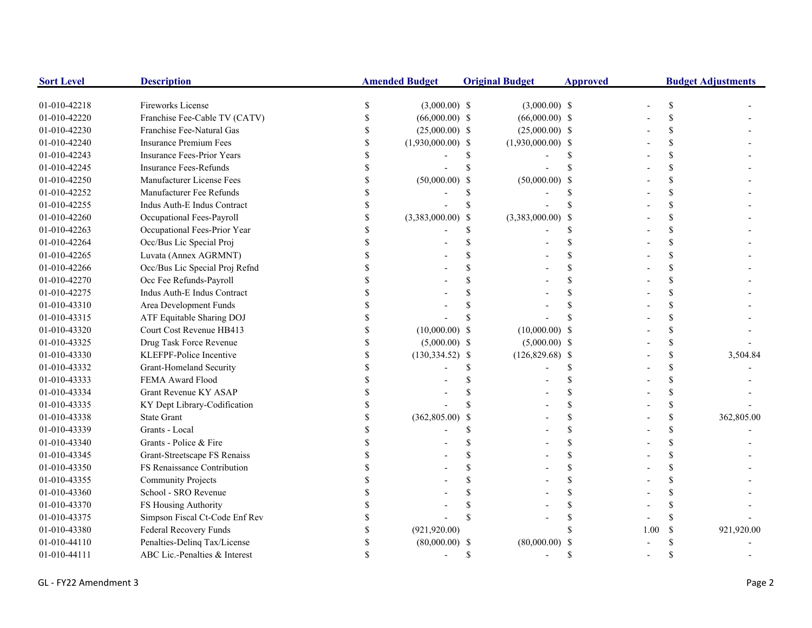| <b>Sort Level</b> | <b>Description</b>                |    | <b>Amended Budget</b> |             | <b>Original Budget</b> | <b>Approved</b> |      | <b>Budget Adjustments</b> |            |
|-------------------|-----------------------------------|----|-----------------------|-------------|------------------------|-----------------|------|---------------------------|------------|
| 01-010-42218      | Fireworks License                 | S. | $(3,000.00)$ \$       |             | $(3,000.00)$ \$        |                 |      |                           |            |
| 01-010-42220      | Franchise Fee-Cable TV (CATV)     |    | $(66,000.00)$ \$      |             | $(66,000.00)$ \$       |                 |      |                           |            |
| 01-010-42230      | Franchise Fee-Natural Gas         |    | $(25,000.00)$ \$      |             | $(25,000.00)$ \$       |                 |      |                           |            |
| 01-010-42240      | <b>Insurance Premium Fees</b>     |    | $(1,930,000.00)$ \$   |             | $(1,930,000.00)$ \$    |                 |      |                           |            |
| 01-010-42243      | <b>Insurance Fees-Prior Years</b> |    |                       | S           |                        |                 |      |                           |            |
| 01-010-42245      | <b>Insurance Fees-Refunds</b>     |    |                       | $\mathbf S$ |                        |                 |      |                           |            |
| 01-010-42250      | Manufacturer License Fees         |    | $(50,000.00)$ \$      |             | $(50,000.00)$ \$       |                 |      |                           |            |
| 01-010-42252      | Manufacturer Fee Refunds          |    |                       | \$          |                        |                 |      |                           |            |
| 01-010-42255      | Indus Auth-E Indus Contract       |    |                       | $\mathbf S$ |                        |                 |      |                           |            |
| 01-010-42260      | Occupational Fees-Payroll         |    | $(3,383,000.00)$ \$   |             | (3,383,000.00)         |                 |      |                           |            |
| 01-010-42263      | Occupational Fees-Prior Year      |    |                       | \$          |                        |                 |      |                           |            |
| 01-010-42264      | Occ/Bus Lic Special Proj          |    |                       | \$          |                        |                 |      |                           |            |
| 01-010-42265      | Luvata (Annex AGRMNT)             |    |                       |             |                        |                 |      |                           |            |
| 01-010-42266      | Occ/Bus Lic Special Proj Refnd    |    |                       |             |                        |                 |      |                           |            |
| 01-010-42270      | Occ Fee Refunds-Payroll           |    |                       |             |                        |                 |      |                           |            |
| 01-010-42275      | Indus Auth-E Indus Contract       |    |                       |             |                        |                 |      |                           |            |
| 01-010-43310      | Area Development Funds            |    |                       |             |                        |                 |      |                           |            |
| 01-010-43315      | ATF Equitable Sharing DOJ         |    |                       |             |                        |                 |      |                           |            |
| 01-010-43320      | Court Cost Revenue HB413          |    | $(10,000.00)$ \$      |             | $(10,000.00)$ \$       |                 |      |                           |            |
| 01-010-43325      | Drug Task Force Revenue           |    | $(5,000.00)$ \$       |             | $(5,000.00)$ \$        |                 |      | \$                        |            |
| 01-010-43330      | KLEFPF-Police Incentive           |    | $(130, 334.52)$ \$    |             | $(126,829.68)$ \$      |                 |      | \$                        | 3,504.84   |
| 01-010-43332      | Grant-Homeland Security           |    |                       |             |                        |                 |      |                           |            |
| 01-010-43333      | FEMA Award Flood                  |    |                       |             |                        |                 |      |                           |            |
| 01-010-43334      | Grant Revenue KY ASAP             |    |                       |             |                        |                 |      |                           |            |
| 01-010-43335      | KY Dept Library-Codification      |    |                       |             |                        |                 |      |                           |            |
| 01-010-43338      | <b>State Grant</b>                |    | $(362,805.00)$ \$     |             |                        |                 |      |                           | 362,805.00 |
| 01-010-43339      | Grants - Local                    |    |                       |             |                        |                 |      |                           |            |
| 01-010-43340      | Grants - Police & Fire            |    |                       |             |                        |                 |      |                           |            |
| 01-010-43345      | Grant-Streetscape FS Renaiss      |    |                       |             |                        |                 |      |                           |            |
| 01-010-43350      | FS Renaissance Contribution       |    |                       |             |                        |                 |      |                           |            |
| 01-010-43355      | <b>Community Projects</b>         |    |                       | \$          |                        |                 |      |                           |            |
| 01-010-43360      | School - SRO Revenue              |    |                       | \$          |                        |                 |      |                           |            |
| 01-010-43370      | FS Housing Authority              |    |                       |             |                        |                 |      |                           |            |
| 01-010-43375      | Simpson Fiscal Ct-Code Enf Rev    |    |                       | \$          |                        |                 |      |                           |            |
| 01-010-43380      | Federal Recovery Funds            |    | (921, 920.00)         |             |                        |                 | 1.00 | <sup>\$</sup>             | 921,920.00 |
| 01-010-44110      | Penalties-Delinq Tax/License      |    | $(80,000.00)$ \$      |             | (80,000.00)            |                 |      |                           |            |
| 01-010-44111      | ABC Lic.-Penalties & Interest     |    |                       | \$          |                        |                 |      |                           |            |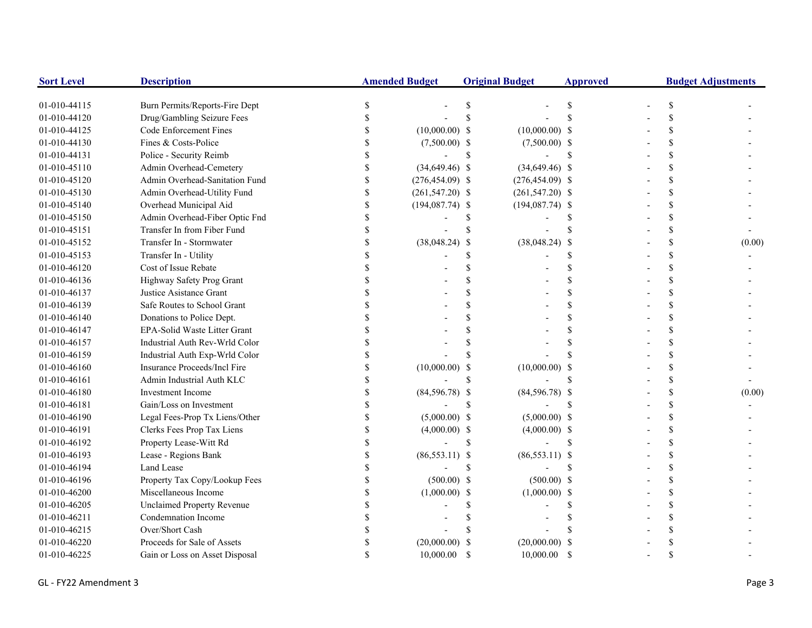| <b>Sort Level</b> | <b>Description</b>                | <b>Amended Budget</b> |                    | <b>Original Budget</b> |                    | <b>Approved</b> | <b>Budget Adjustments</b> |               |        |
|-------------------|-----------------------------------|-----------------------|--------------------|------------------------|--------------------|-----------------|---------------------------|---------------|--------|
| 01-010-44115      | Burn Permits/Reports-Fire Dept    |                       |                    | \$                     |                    |                 |                           | \$            |        |
| 01-010-44120      | Drug/Gambling Seizure Fees        |                       |                    |                        |                    |                 |                           | \$            |        |
| 01-010-44125      | Code Enforcement Fines            |                       | $(10,000.00)$ \$   |                        | $(10,000.00)$ \$   |                 |                           | \$.           |        |
| 01-010-44130      | Fines & Costs-Police              |                       | $(7,500.00)$ \$    |                        | $(7,500.00)$ \$    |                 |                           | \$.           |        |
| 01-010-44131      | Police - Security Reimb           |                       |                    | \$                     |                    | -S              |                           | \$            |        |
| 01-010-45110      | Admin Overhead-Cemetery           |                       | $(34,649.46)$ \$   |                        | $(34,649.46)$ \$   |                 |                           | \$            |        |
| 01-010-45120      | Admin Overhead-Sanitation Fund    |                       | $(276, 454.09)$ \$ |                        | $(276, 454.09)$ \$ |                 |                           | \$            |        |
| 01-010-45130      | Admin Overhead-Utility Fund       | $\mathcal{S}$         | $(261, 547.20)$ \$ |                        | $(261, 547.20)$ \$ |                 |                           | $\mathcal{S}$ |        |
| 01-010-45140      | Overhead Municipal Aid            | \$                    | $(194,087.74)$ \$  |                        | $(194,087.74)$ \$  |                 |                           | $\mathcal{S}$ |        |
| 01-010-45150      | Admin Overhead-Fiber Optic Fnd    | \$                    |                    |                        |                    |                 |                           | <sup>\$</sup> |        |
| 01-010-45151      | Transfer In from Fiber Fund       | S                     |                    |                        |                    |                 |                           | <sup>\$</sup> |        |
| 01-010-45152      | Transfer In - Stormwater          |                       | $(38,048.24)$ \$   |                        | $(38,048.24)$ \$   |                 |                           | \$            | (0.00) |
| 01-010-45153      | Transfer In - Utility             |                       |                    |                        |                    |                 |                           | \$            |        |
| 01-010-46120      | Cost of Issue Rebate              |                       |                    |                        |                    |                 |                           | \$            |        |
| 01-010-46136      | Highway Safety Prog Grant         |                       |                    |                        |                    |                 |                           | $\mathcal{S}$ |        |
| 01-010-46137      | Justice Asistance Grant           |                       |                    |                        |                    | \$.             |                           | \$            |        |
| 01-010-46139      | Safe Routes to School Grant       |                       |                    |                        |                    |                 |                           | \$            |        |
| 01-010-46140      | Donations to Police Dept.         |                       |                    |                        |                    |                 |                           | \$            |        |
| 01-010-46147      | EPA-Solid Waste Litter Grant      |                       |                    |                        |                    |                 |                           | $\mathcal{S}$ |        |
| 01-010-46157      | Industrial Auth Rev-Wrld Color    |                       |                    |                        |                    |                 |                           | \$            |        |
| 01-010-46159      | Industrial Auth Exp-Wrld Color    |                       |                    |                        |                    |                 |                           | \$.           |        |
| 01-010-46160      | Insurance Proceeds/Incl Fire      |                       | $(10,000.00)$ \$   |                        | $(10,000.00)$ \$   |                 |                           | $\mathcal{S}$ |        |
| 01-010-46161      | Admin Industrial Auth KLC         |                       |                    |                        |                    |                 |                           | <sup>\$</sup> |        |
| 01-010-46180      | <b>Investment Income</b>          |                       | $(84,596.78)$ \$   |                        | $(84,596.78)$ \$   |                 |                           | \$            | (0.00) |
| 01-010-46181      | Gain/Loss on Investment           |                       |                    |                        |                    |                 |                           | \$            |        |
| 01-010-46190      | Legal Fees-Prop Tx Liens/Other    |                       | $(5,000.00)$ \$    |                        | $(5,000.00)$ \$    |                 |                           | \$            |        |
| 01-010-46191      | Clerks Fees Prop Tax Liens        |                       | $(4,000.00)$ \$    |                        | $(4,000.00)$ \$    |                 |                           | \$            |        |
| 01-010-46192      | Property Lease-Witt Rd            |                       |                    | \$                     |                    | <sup>\$</sup>   |                           | \$            |        |
| 01-010-46193      | Lease - Regions Bank              |                       | $(86,553.11)$ \$   |                        | $(86,553.11)$ \$   |                 |                           | \$            |        |
| 01-010-46194      | Land Lease                        |                       |                    | \$                     |                    | $\mathcal{S}$   |                           | \$            |        |
| 01-010-46196      | Property Tax Copy/Lookup Fees     |                       | $(500.00)$ \$      |                        | $(500.00)$ \$      |                 |                           | \$            |        |
| 01-010-46200      | Miscellaneous Income              |                       | $(1,000.00)$ \$    |                        | $(1,000.00)$ \$    |                 |                           | \$            |        |
| 01-010-46205      | <b>Unclaimed Property Revenue</b> |                       |                    |                        |                    |                 |                           | $\mathcal{S}$ |        |
| 01-010-46211      | Condemnation Income               |                       |                    |                        |                    |                 |                           | \$.           |        |
| 01-010-46215      | Over/Short Cash                   |                       |                    |                        |                    |                 |                           | \$.           |        |
| 01-010-46220      | Proceeds for Sale of Assets       |                       | $(20,000.00)$ \$   |                        | $(20,000.00)$ \$   |                 |                           | \$.           |        |
| 01-010-46225      | Gain or Loss on Asset Disposal    |                       | 10,000.00          | -S                     | $10,000.00$ \$     |                 |                           | $\mathbf S$   |        |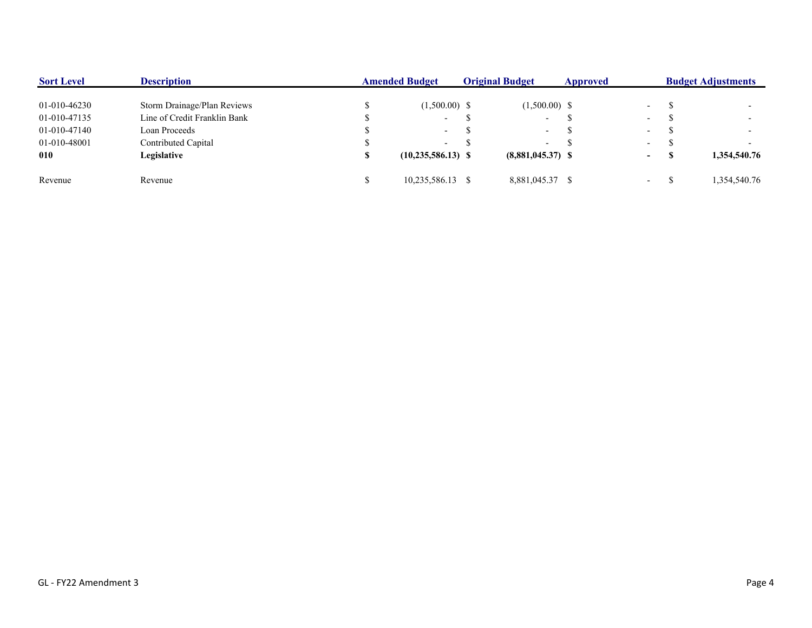| <b>Sort Level</b> | <b>Description</b>           | <b>Amended Budget</b> |                         | <b>Original Budget</b> |                          | Approved |                          | <b>Budget Adjustments</b> |              |  |
|-------------------|------------------------------|-----------------------|-------------------------|------------------------|--------------------------|----------|--------------------------|---------------------------|--------------|--|
| 01-010-46230      | Storm Drainage/Plan Reviews  |                       | $(1,500.00)$ \$         |                        | $(1,500.00)$ \$          |          | $\overline{\phantom{0}}$ |                           |              |  |
| 01-010-47135      | Line of Credit Franklin Bank |                       | $\sim$                  |                        | $\overline{\phantom{0}}$ |          | $\overline{\phantom{a}}$ |                           |              |  |
| 01-010-47140      | Loan Proceeds                |                       | $\sim$                  |                        | $\overline{\phantom{a}}$ | J.       | $\overline{\phantom{a}}$ |                           |              |  |
| 01-010-48001      | Contributed Capital          |                       | $\sim$                  |                        | $\overline{\phantom{a}}$ |          | $\overline{\phantom{a}}$ |                           |              |  |
| 010               | Legislative                  |                       | $(10, 235, 586, 13)$ \$ |                        | $(8,881,045.37)$ \$      |          | $\blacksquare$           |                           | 1,354,540.76 |  |
| Revenue           | Revenue                      |                       | 10,235,586.13 \$        |                        | 8,881,045.37 \$          |          | $\overline{\phantom{0}}$ |                           | 1,354,540.76 |  |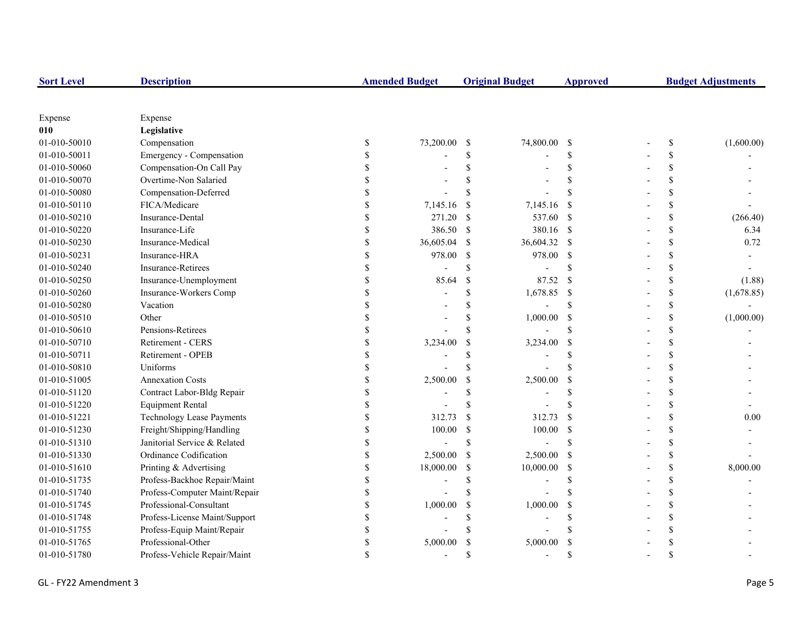| <b>Sort Level</b> | <b>Description</b>               |             | <b>Amended Budget</b> |               | <b>Original Budget</b> | <b>Approved</b>    | <b>Budget Adjustments</b> |            |  |
|-------------------|----------------------------------|-------------|-----------------------|---------------|------------------------|--------------------|---------------------------|------------|--|
|                   |                                  |             |                       |               |                        |                    |                           |            |  |
| Expense           | Expense                          |             |                       |               |                        |                    |                           |            |  |
| 010               | Legislative                      |             |                       |               |                        |                    |                           |            |  |
| 01-010-50010      | Compensation                     | \$          | 73,200.00             | -\$           | 74,800.00              | - \$               | \$                        | (1,600.00) |  |
| 01-010-50011      | Emergency - Compensation         |             |                       | \$            |                        | \$                 | \$                        |            |  |
| 01-010-50060      | Compensation-On Call Pay         |             |                       | $\mathbf S$   |                        | \$                 | \$                        |            |  |
| 01-010-50070      | Overtime-Non Salaried            |             |                       | S             |                        | <sup>\$</sup>      | \$                        |            |  |
| 01-010-50080      | Compensation-Deferred            |             |                       | <sup>\$</sup> |                        | <sup>\$</sup>      | \$                        |            |  |
| 01-010-50110      | FICA/Medicare                    |             | 7,145.16              | <sup>\$</sup> | 7,145.16               | -\$                | \$                        |            |  |
| 01-010-50210      | Insurance-Dental                 |             | 271.20                | <sup>\$</sup> | 537.60                 | $\mathbf{s}$       | \$                        | (266.40)   |  |
| 01-010-50220      | Insurance-Life                   |             | 386.50                | $\mathcal{S}$ | 380.16 \$              |                    | \$                        | 6.34       |  |
| 01-010-50230      | Insurance-Medical                | $\mathbf S$ | 36,605.04             | <sup>\$</sup> | 36,604.32              | $\mathbf{\hat{s}}$ | \$                        | 0.72       |  |
| 01-010-50231      | Insurance-HRA                    | \$          | 978.00                | $\mathcal{S}$ | 978.00                 | - \$               | \$                        |            |  |
| 01-010-50240      | <b>Insurance-Retirees</b>        | S           |                       | \$            |                        | <sup>\$</sup>      | \$                        |            |  |
| 01-010-50250      | Insurance-Unemployment           | \$          | 85.64                 | $\mathbb{S}$  | 87.52                  | <sup>\$</sup>      | \$                        | (1.88)     |  |
| 01-010-50260      | Insurance-Workers Comp           |             |                       | \$            | 1,678.85               | - \$               | \$                        | (1,678.85) |  |
| 01-010-50280      | Vacation                         |             |                       | \$            |                        | \$                 | \$                        |            |  |
| 01-010-50510      | Other                            |             |                       | $\mathbf S$   | 1,000.00               | $\mathcal{S}$      | \$                        | (1,000.00) |  |
| 01-010-50610      | Pensions-Retirees                |             |                       | \$            |                        | \$                 | \$                        |            |  |
| 01-010-50710      | Retirement - CERS                |             | 3,234.00              | <sup>\$</sup> | 3,234.00               | <sup>\$</sup>      | \$                        |            |  |
| 01-010-50711      | Retirement - OPEB                |             |                       | <sup>\$</sup> |                        | <sup>\$</sup>      | \$                        |            |  |
| 01-010-50810      | Uniforms                         |             |                       | <sup>\$</sup> |                        | <sup>\$</sup>      | \$                        |            |  |
| 01-010-51005      | <b>Annexation Costs</b>          |             | 2,500.00              | $\mathcal{S}$ | 2,500.00               | \$                 | \$                        |            |  |
| 01-010-51120      | Contract Labor-Bldg Repair       | S           |                       | \$.           |                        | \$.                | \$                        |            |  |
| 01-010-51220      | <b>Equipment Rental</b>          | S           |                       | <sup>\$</sup> |                        |                    | \$                        |            |  |
| 01-010-51221      | <b>Technology Lease Payments</b> | \$          | 312.73                | <sup>\$</sup> | 312.73                 | <sup>\$</sup>      | \$                        | 0.00       |  |
| 01-010-51230      | Freight/Shipping/Handling        |             | 100.00                | \$            | 100.00                 | - \$               | \$                        |            |  |
| 01-010-51310      | Janitorial Service & Related     |             |                       | \$            |                        | \$                 | \$                        |            |  |
| 01-010-51330      | Ordinance Codification           |             | 2,500.00              | $\mathcal{S}$ | 2,500.00               | -\$                | \$                        |            |  |
| 01-010-51610      | Printing & Advertising           |             | 18,000.00             | \$            | 10,000.00              | -S                 | \$                        | 8,000.00   |  |
| 01-010-51735      | Profess-Backhoe Repair/Maint     |             |                       | \$            |                        | <sup>\$</sup>      | \$                        |            |  |
| 01-010-51740      | Profess-Computer Maint/Repair    |             |                       | <sup>\$</sup> |                        | \$.                | \$                        |            |  |
| 01-010-51745      | Professional-Consultant          |             | 1,000.00              | <sup>\$</sup> | 1,000.00               | \$                 | \$                        |            |  |
| 01-010-51748      | Profess-License Maint/Support    |             |                       | <sup>\$</sup> |                        | <sup>\$</sup>      | \$                        |            |  |
| 01-010-51755      | Profess-Equip Maint/Repair       |             |                       | S             |                        |                    | \$                        |            |  |
| 01-010-51765      | Professional-Other               |             | 5,000.00              | $\mathcal{S}$ | 5,000.00               | <sup>\$</sup>      | \$                        |            |  |
| 01-010-51780      | Profess-Vehicle Repair/Maint     |             |                       | \$.           |                        | $\mathcal{S}$      | $\mathbf{\hat{S}}$        |            |  |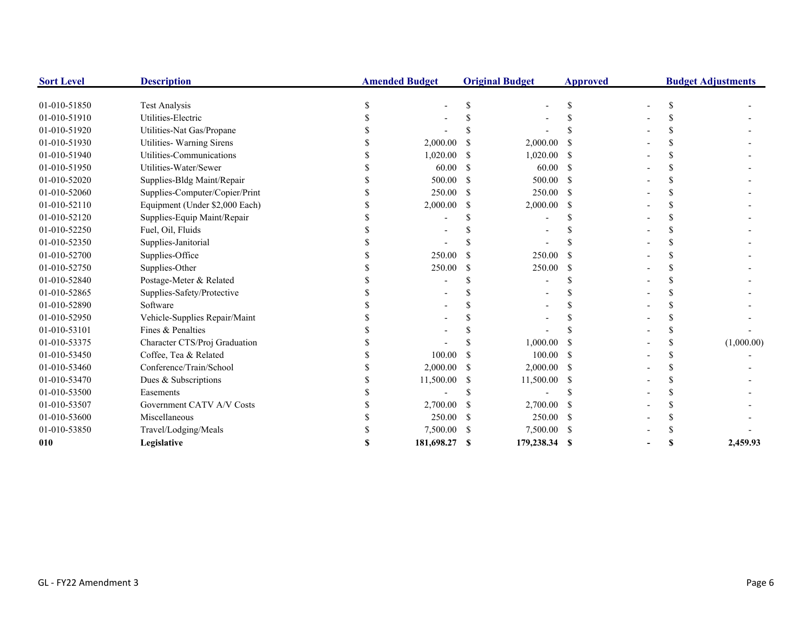| <b>Sort Level</b> | <b>Description</b>             | <b>Amended Budget</b> |               | <b>Original Budget</b> | <b>Approved</b> |  | <b>Budget Adjustments</b> |
|-------------------|--------------------------------|-----------------------|---------------|------------------------|-----------------|--|---------------------------|
| 01-010-51850      | <b>Test Analysis</b>           |                       |               |                        |                 |  |                           |
| 01-010-51910      | Utilities-Electric             |                       |               |                        |                 |  |                           |
| 01-010-51920      | Utilities-Nat Gas/Propane      |                       |               |                        |                 |  |                           |
| 01-010-51930      | Utilities- Warning Sirens      | 2,000.00              |               | 2,000.00               |                 |  |                           |
| 01-010-51940      | Utilities-Communications       | 1,020.00              |               | 1,020.00               |                 |  |                           |
| 01-010-51950      | Utilities-Water/Sewer          | 60.00                 | S             | 60.00                  | -S              |  |                           |
| 01-010-52020      | Supplies-Bldg Maint/Repair     | 500.00                | -S            | 500.00                 | -8              |  |                           |
| 01-010-52060      | Supplies-Computer/Copier/Print | 250.00                | <sup>\$</sup> | 250.00                 | -S              |  |                           |
| 01-010-52110      | Equipment (Under \$2,000 Each) | 2,000.00              | <sup>\$</sup> | 2,000.00               | -S              |  |                           |
| 01-010-52120      | Supplies-Equip Maint/Repair    |                       |               |                        |                 |  |                           |
| 01-010-52250      | Fuel, Oil, Fluids              |                       |               |                        |                 |  |                           |
| 01-010-52350      | Supplies-Janitorial            |                       |               |                        |                 |  |                           |
| 01-010-52700      | Supplies-Office                | 250.00                |               | 250.00                 |                 |  |                           |
| 01-010-52750      | Supplies-Other                 | 250.00                |               | 250.00                 |                 |  |                           |
| 01-010-52840      | Postage-Meter & Related        |                       |               |                        |                 |  |                           |
| 01-010-52865      | Supplies-Safety/Protective     |                       |               |                        |                 |  |                           |
| 01-010-52890      | Software                       |                       |               |                        |                 |  |                           |
| 01-010-52950      | Vehicle-Supplies Repair/Maint  |                       |               |                        |                 |  |                           |
| 01-010-53101      | Fines & Penalties              |                       |               |                        |                 |  |                           |
| 01-010-53375      | Character CTS/Proj Graduation  |                       |               | 1,000.00               |                 |  | (1,000.00)                |
| 01-010-53450      | Coffee, Tea & Related          | 100.00                |               | 100.00                 | -8              |  |                           |
| 01-010-53460      | Conference/Train/School        | 2,000.00              |               | 2,000.00               | - S             |  |                           |
| 01-010-53470      | Dues & Subscriptions           | 11,500.00             | <sup>\$</sup> | 11,500.00 \$           |                 |  |                           |
| 01-010-53500      | Easements                      |                       |               |                        |                 |  |                           |
| 01-010-53507      | Government CATV A/V Costs      | 2,700.00              |               | 2,700.00               |                 |  |                           |
| 01-010-53600      | Miscellaneous                  | 250.00                |               | 250.00                 |                 |  |                           |
| 01-010-53850      | Travel/Lodging/Meals           | 7,500.00              | -S            | 7,500.00 \$            |                 |  |                           |
| 010               | Legislative                    | 181,698.27            | S             | 179,238.34 \$          |                 |  | 2,459.93                  |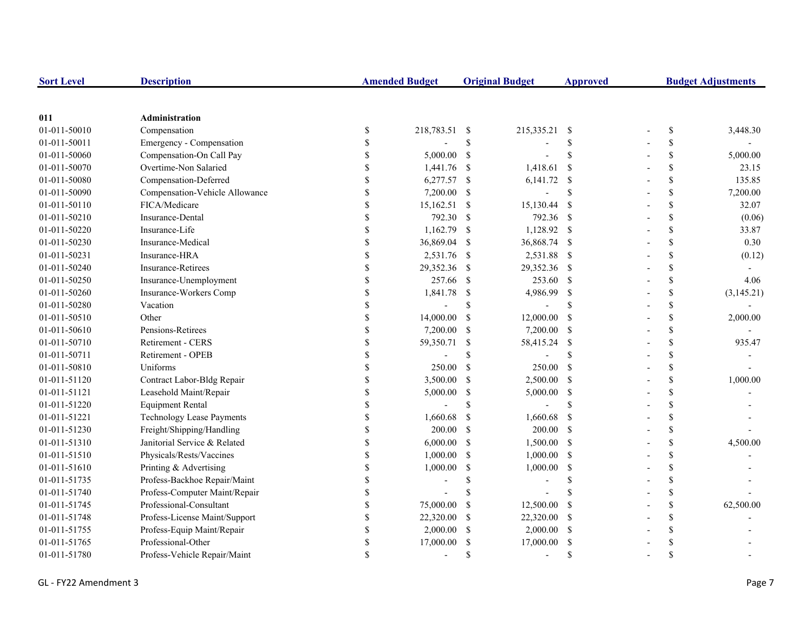| <b>Sort Level</b> | <b>Description</b>               |               | <b>Amended Budget</b>    |                    | <b>Original Budget</b> | <b>Approved</b>    | <b>Budget Adjustments</b> |               |            |
|-------------------|----------------------------------|---------------|--------------------------|--------------------|------------------------|--------------------|---------------------------|---------------|------------|
|                   |                                  |               |                          |                    |                        |                    |                           |               |            |
| 011               | Administration                   |               |                          |                    |                        |                    |                           |               |            |
| 01-011-50010      | Compensation                     | $\mathbb{S}$  | 218,783.51 \$            |                    | 215,335.21             | - \$               |                           | \$            | 3,448.30   |
| 01-011-50011      | Emergency - Compensation         | \$            |                          | \$                 |                        | $\mathbf S$        |                           | \$            |            |
| 01-011-50060      | Compensation-On Call Pay         | \$            | 5,000.00                 | <sup>S</sup>       |                        | $\mathbf S$        |                           | \$            | 5,000.00   |
| 01-011-50070      | Overtime-Non Salaried            | \$            | 1,441.76                 | -S                 | 1,418.61               | <sup>\$</sup>      |                           | \$            | 23.15      |
| 01-011-50080      | Compensation-Deferred            | \$            | 6,277.57 \$              |                    | $6,141.72$ \$          |                    |                           | \$            | 135.85     |
| 01-011-50090      | Compensation-Vehicle Allowance   | \$            | 7,200.00 \$              |                    |                        | \$                 |                           | \$            | 7,200.00   |
| 01-011-50110      | FICA/Medicare                    | \$            | $15,162.51$ \$           |                    | 15,130.44              | $\mathcal{S}$      |                           | $\mathbb{S}$  | 32.07      |
| 01-011-50210      | Insurance-Dental                 | \$            | 792.30                   | <sup>\$</sup>      | 792.36 \$              |                    |                           | $\mathbb{S}$  | (0.06)     |
| 01-011-50220      | Insurance-Life                   | \$            | 1,162.79                 | <sup>\$</sup>      | 1,128.92 \$            |                    |                           | $\mathbb{S}$  | 33.87      |
| 01-011-50230      | Insurance-Medical                | \$            | 36,869.04                | -\$                | 36,868.74 \$           |                    |                           | \$            | 0.30       |
| 01-011-50231      | Insurance-HRA                    | \$            | 2,531.76                 | -S                 | 2,531.88 \$            |                    |                           | \$            | (0.12)     |
| 01-011-50240      | <b>Insurance-Retirees</b>        | \$            | 29,352.36                | -S                 | 29,352.36 \$           |                    |                           | \$            |            |
| 01-011-50250      | Insurance-Unemployment           | \$            | 257.66                   | - S                | 253.60 \$              |                    |                           | \$            | 4.06       |
| 01-011-50260      | Insurance-Workers Comp           | \$            | 1,841.78                 | \$                 | 4,986.99               | $\mathbb{S}$       |                           | \$            | (3,145.21) |
| 01-011-50280      | Vacation                         | \$            | $\overline{\phantom{a}}$ | \$                 |                        | <sup>\$</sup>      |                           | \$            |            |
| 01-011-50510      | Other                            | \$            | 14,000.00                | \$                 | 12,000.00              | <sup>\$</sup>      |                           | \$            | 2,000.00   |
| 01-011-50610      | Pensions-Retirees                | \$            | 7,200.00                 | -S                 | 7,200.00 \$            |                    |                           | \$            |            |
| 01-011-50710      | Retirement - CERS                | \$            | 59,350.71                | \$                 | 58,415.24 \$           |                    |                           | \$            | 935.47     |
| 01-011-50711      | Retirement - OPEB                | \$            |                          | \$                 |                        | <sup>\$</sup>      |                           | \$            |            |
| 01-011-50810      | Uniforms                         | \$            | 250.00                   | $\mathcal{S}$      | 250.00                 | $\mathcal{S}$      |                           | $\mathbb{S}$  |            |
| 01-011-51120      | Contract Labor-Bldg Repair       | \$            | 3,500.00                 | <sup>\$</sup>      | 2,500.00 \$            |                    |                           | \$            | 1,000.00   |
| 01-011-51121      | Leasehold Maint/Repair           | \$            | 5,000.00                 | <sup>\$</sup>      | 5,000.00               | -\$                |                           | ${\mathbb S}$ |            |
| 01-011-51220      | <b>Equipment Rental</b>          | \$            |                          | $\mathbf{\hat{S}}$ |                        | $\mathbf{\hat{s}}$ |                           | \$            |            |
| 01-011-51221      | <b>Technology Lease Payments</b> | \$            | 1,660.68                 | \$                 | 1,660.68               | $\mathbf{s}$       |                           | \$            |            |
| 01-011-51230      | Freight/Shipping/Handling        | \$            | 200.00                   | <sup>\$</sup>      | 200.00                 | -S                 |                           | \$            |            |
| 01-011-51310      | Janitorial Service & Related     | \$            | 6,000.00                 | <sup>\$</sup>      | $1,500.00$ \$          |                    |                           | \$            | 4,500.00   |
| 01-011-51510      | Physicals/Rests/Vaccines         | \$            | 1,000.00                 | $\mathbb{S}$       | 1,000.00               | -\$                |                           | \$            |            |
| 01-011-51610      | Printing & Advertising           | \$            | 1,000.00                 | \$                 | 1,000.00               | <sup>\$</sup>      |                           | \$            |            |
| 01-011-51735      | Profess-Backhoe Repair/Maint     |               |                          | \$                 |                        | $\mathbf S$        |                           | \$            |            |
| 01-011-51740      | Profess-Computer Maint/Repair    | \$            |                          |                    |                        |                    |                           | \$            |            |
| 01-011-51745      | Professional-Consultant          | \$            | 75,000.00                | -S                 | 12,500.00              | <sup>\$</sup>      |                           | \$            | 62,500.00  |
| 01-011-51748      | Profess-License Maint/Support    | \$            | 22,320.00                | -S                 | 22,320.00              | -S                 |                           | \$            |            |
| 01-011-51755      | Profess-Equip Maint/Repair       | \$            | 2,000.00                 | <sup>\$</sup>      | 2,000.00               | <sup>\$</sup>      |                           | \$            |            |
| 01-011-51765      | Professional-Other               | \$            | 17,000.00                | <sup>\$</sup>      | 17,000.00              | <sup>\$</sup>      |                           | \$            |            |
| 01-011-51780      | Profess-Vehicle Repair/Maint     | $\mathcal{S}$ | $\overline{a}$           | \$                 | $\overline{a}$         | $\mathbf{\hat{s}}$ |                           | \$            |            |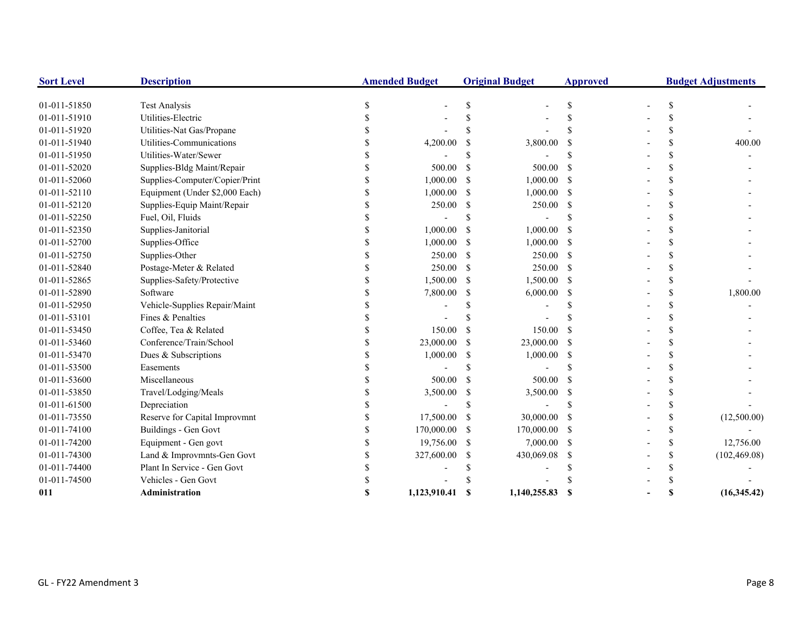| <b>Sort Level</b> | <b>Description</b>             | <b>Amended Budget</b> |               | <b>Original Budget</b> | <b>Approved</b> |               | <b>Budget Adjustments</b> |
|-------------------|--------------------------------|-----------------------|---------------|------------------------|-----------------|---------------|---------------------------|
| 01-011-51850      | <b>Test Analysis</b>           |                       |               |                        |                 |               |                           |
| 01-011-51910      | Utilities-Electric             |                       |               |                        |                 |               |                           |
| 01-011-51920      | Utilities-Nat Gas/Propane      |                       |               |                        |                 |               |                           |
| 01-011-51940      | Utilities-Communications       | 4,200.00              |               | 3,800.00               |                 | \$.           | 400.00                    |
| 01-011-51950      | Utilities-Water/Sewer          |                       |               |                        |                 | \$.           |                           |
| 01-011-52020      | Supplies-Bldg Maint/Repair     | 500.00                |               | 500.00                 |                 | \$.           |                           |
| 01-011-52060      | Supplies-Computer/Copier/Print | 1,000.00              | S             | 1,000.00               | - \$            | \$.           |                           |
| 01-011-52110      | Equipment (Under \$2,000 Each) | 1,000.00              | <sup>\$</sup> | 1,000.00               | -S              | \$.           |                           |
| 01-011-52120      | Supplies-Equip Maint/Repair    | 250.00                | <sup>\$</sup> | 250.00                 | -S              | \$.           |                           |
| 01-011-52250      | Fuel, Oil, Fluids              |                       |               |                        |                 | \$.           |                           |
| 01-011-52350      | Supplies-Janitorial            | 1,000.00              |               | 1,000.00               | -8              |               |                           |
| 01-011-52700      | Supplies-Office                | 1,000.00              | S.            | $1,000.00$ \$          |                 | \$.           |                           |
| 01-011-52750      | Supplies-Other                 | 250.00                | -S            | $250.00\quad$ \$       |                 | \$.           |                           |
| 01-011-52840      | Postage-Meter & Related        | 250.00                | \$            | 250.00 \$              |                 | \$            |                           |
| 01-011-52865      | Supplies-Safety/Protective     | 1,500.00              | <sup>\$</sup> | 1,500.00               | - \$            | \$.           |                           |
| 01-011-52890      | Software                       | 7,800.00              |               | 6,000.00               | -S              | \$.           | 1,800.00                  |
| 01-011-52950      | Vehicle-Supplies Repair/Maint  |                       |               |                        |                 | \$.           |                           |
| 01-011-53101      | Fines & Penalties              |                       |               |                        |                 | \$.           |                           |
| 01-011-53450      | Coffee, Tea & Related          | 150.00                |               | 150.00                 | -S              | \$.           |                           |
| 01-011-53460      | Conference/Train/School        | 23,000.00             |               | 23,000.00              | - \$            | \$.           |                           |
| 01-011-53470      | Dues & Subscriptions           | 1,000.00              |               | 1,000.00               | - \$            |               |                           |
| 01-011-53500      | Easements                      |                       |               |                        |                 |               |                           |
| 01-011-53600      | Miscellaneous                  | 500.00                | -\$           | 500.00                 | -8              | \$.           |                           |
| 01-011-53850      | Travel/Lodging/Meals           | 3,500.00              | \$            | 3,500.00               | - \$            | \$            |                           |
| 01-011-61500      | Depreciation                   |                       |               |                        |                 | \$.           |                           |
| 01-011-73550      | Reserve for Capital Improvmnt  | 17,500.00             |               | 30,000.00              |                 | \$.           | (12,500.00)               |
| 01-011-74100      | Buildings - Gen Govt           | 170,000.00            | <sup>\$</sup> | 170,000.00             | -S              | \$            |                           |
| 01-011-74200      | Equipment - Gen govt           | 19,756.00             | -S            | $7,000.00$ \$          |                 | <sup>\$</sup> | 12,756.00                 |
| 01-011-74300      | Land & Improvmnts-Gen Govt     | 327,600.00            | <sup>\$</sup> | 430,069.08             | -S              | \$            | (102, 469.08)             |
| 01-011-74400      | Plant In Service - Gen Govt    |                       |               |                        |                 | \$.           |                           |
| 01-011-74500      | Vehicles - Gen Govt            |                       |               |                        |                 |               |                           |
| 011               | Administration                 | 1,123,910.41          | S.            | 1,140,255.83           | -S              | S             | (16,345,42)               |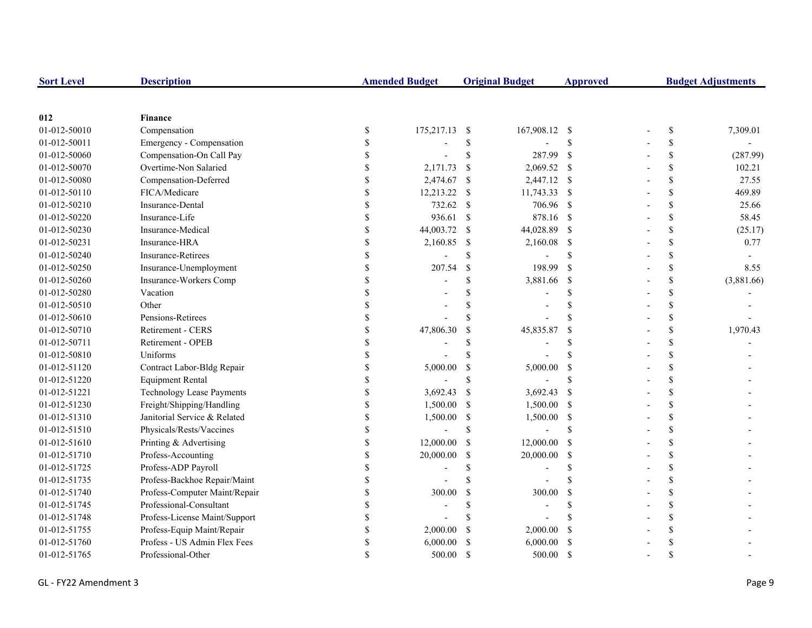| <b>Sort Level</b> | <b>Description</b>               |                    | <b>Amended Budget</b> |               | <b>Original Budget</b> | <b>Approved</b>    | <b>Budget Adjustments</b> |    |            |
|-------------------|----------------------------------|--------------------|-----------------------|---------------|------------------------|--------------------|---------------------------|----|------------|
|                   |                                  |                    |                       |               |                        |                    |                           |    |            |
| 012               | <b>Finance</b>                   |                    |                       |               |                        |                    |                           |    |            |
| 01-012-50010      | Compensation                     | \$                 | 175,217.13            | -S            | 167,908.12 \$          |                    |                           | \$ | 7,309.01   |
| 01-012-50011      | Emergency - Compensation         | \$                 |                       | $\mathbb{S}$  |                        | $\mathcal{S}$      |                           | \$ |            |
| 01-012-50060      | Compensation-On Call Pay         | \$                 |                       | \$            | 287.99                 | <sup>\$</sup>      |                           | \$ | (287.99)   |
| 01-012-50070      | Overtime-Non Salaried            | \$                 | 2,171.73              | $\mathcal{S}$ | $2,069.52$ \$          |                    |                           | \$ | 102.21     |
| 01-012-50080      | Compensation-Deferred            | $\mathbb{S}$       | 2,474.67              | -S            | 2,447.12 \$            |                    |                           | \$ | 27.55      |
| 01-012-50110      | FICA/Medicare                    | \$                 | 12,213.22             | -\$           | 11,743.33 \$           |                    |                           | \$ | 469.89     |
| 01-012-50210      | Insurance-Dental                 | \$                 | 732.62                | -S            | 706.96 \$              |                    |                           | \$ | 25.66      |
| 01-012-50220      | Insurance-Life                   | $\mathbf S$        | 936.61                | $\mathcal{S}$ | 878.16 \$              |                    |                           | \$ | 58.45      |
| 01-012-50230      | Insurance-Medical                | \$                 | 44,003.72             | -S            | 44,028.89 \$           |                    |                           | \$ | (25.17)    |
| 01-012-50231      | Insurance-HRA                    | \$                 | 2,160.85              | -S            | 2,160.08               | $\mathbf{\hat{s}}$ |                           | \$ | 0.77       |
| 01-012-50240      | <b>Insurance-Retirees</b>        | \$                 |                       | \$            |                        | <sup>\$</sup>      |                           | \$ |            |
| 01-012-50250      | Insurance-Unemployment           | \$                 | 207.54                | $\mathbb{S}$  | 198.99                 | <sup>\$</sup>      |                           | \$ | 8.55       |
| 01-012-50260      | Insurance-Workers Comp           | \$                 |                       | \$            | 3,881.66               | - \$               |                           | \$ | (3,881.66) |
| 01-012-50280      | Vacation                         | $\mathbf{\hat{S}}$ |                       |               |                        | $\mathcal{S}$      |                           | \$ |            |
| 01-012-50510      | Other                            | \$                 |                       |               |                        | <sup>\$</sup>      |                           | \$ |            |
| 01-012-50610      | Pensions-Retirees                | \$                 |                       |               |                        | $\mathcal{S}$      |                           | \$ |            |
| 01-012-50710      | Retirement - CERS                | $\mathbb{S}$       | 47,806.30             | \$            | 45,835.87              | <sup>\$</sup>      |                           | \$ | 1,970.43   |
| 01-012-50711      | Retirement - OPEB                | $\mathbf{\hat{S}}$ |                       | \$            |                        | <sup>\$</sup>      |                           | \$ |            |
| 01-012-50810      | Uniforms                         | \$                 |                       | S             |                        | $\mathcal{S}$      |                           | \$ |            |
| 01-012-51120      | Contract Labor-Bldg Repair       | \$                 | 5,000.00              | \$            | 5,000.00               | <sup>\$</sup>      |                           | \$ |            |
| 01-012-51220      | <b>Equipment Rental</b>          | \$                 |                       | S             |                        | $\mathcal{S}$      |                           | \$ |            |
| 01-012-51221      | <b>Technology Lease Payments</b> | \$                 | 3,692.43              | <sup>\$</sup> | 3,692.43               | <sup>\$</sup>      |                           | \$ |            |
| 01-012-51230      | Freight/Shipping/Handling        | \$                 | 1,500.00              | -S            | 1,500.00 \$            |                    |                           | \$ |            |
| 01-012-51310      | Janitorial Service & Related     | \$                 | 1,500.00              | -\$           | 1,500.00 \$            |                    |                           | \$ |            |
| 01-012-51510      | Physicals/Rests/Vaccines         | \$                 |                       | $\mathbf S$   |                        | $\mathcal{S}$      |                           | \$ |            |
| 01-012-51610      | Printing & Advertising           | \$                 | 12,000.00             | -\$           | 12,000.00              | - \$               |                           | \$ |            |
| 01-012-51710      | Profess-Accounting               | \$                 | 20,000.00             | <sup>\$</sup> | 20,000.00              | - \$               |                           | \$ |            |
| 01-012-51725      | Profess-ADP Payroll              | $\mathbb{S}$       |                       | S             |                        | <sup>\$</sup>      |                           | \$ |            |
| 01-012-51735      | Profess-Backhoe Repair/Maint     | \$                 |                       |               |                        | $\mathcal{S}$      |                           | \$ |            |
| 01-012-51740      | Profess-Computer Maint/Repair    | \$                 | 300.00                | \$            | 300.00                 | <sup>\$</sup>      |                           | \$ |            |
| 01-012-51745      | Professional-Consultant          | \$                 |                       | \$            |                        | <sup>\$</sup>      |                           | \$ |            |
| 01-012-51748      | Profess-License Maint/Support    | \$                 |                       |               |                        |                    |                           | \$ |            |
| 01-012-51755      | Profess-Equip Maint/Repair       | \$                 | 2,000.00              | <sup>\$</sup> | 2,000.00               | <sup>\$</sup>      |                           | \$ |            |
| 01-012-51760      | Profess - US Admin Flex Fees     | \$                 | 6,000.00              |               | 6,000.00               | <sup>\$</sup>      |                           | \$ |            |
| 01-012-51765      | Professional-Other               | $\mathbf{\hat{S}}$ | 500.00                | <sup>\$</sup> | 500.00                 | <sup>\$</sup>      |                           | \$ |            |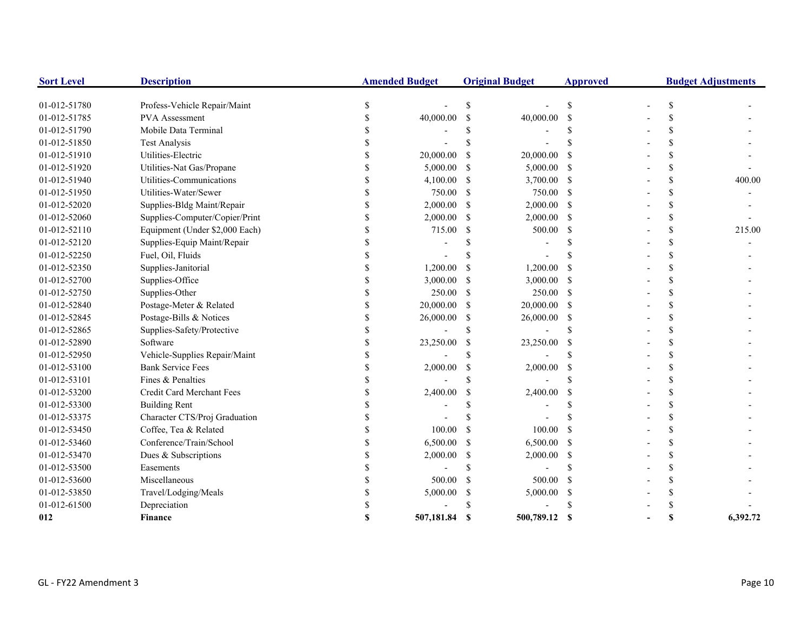| <b>Sort Level</b> | <b>Description</b>             | <b>Amended Budget</b> |            |               | <b>Original Budget</b><br><b>Approved</b> |                    | <b>Budget Adjustments</b> |          |
|-------------------|--------------------------------|-----------------------|------------|---------------|-------------------------------------------|--------------------|---------------------------|----------|
| 01-012-51780      | Profess-Vehicle Repair/Maint   | \$                    |            | S             |                                           | \$                 | \$                        |          |
| 01-012-51785      | PVA Assessment                 | \$                    | 40,000.00  | \$            | 40,000.00                                 | $\mathbf S$        | \$                        |          |
| 01-012-51790      | Mobile Data Terminal           |                       |            | S             |                                           | S                  |                           |          |
| 01-012-51850      | <b>Test Analysis</b>           |                       |            | \$            |                                           | \$                 |                           |          |
| 01-012-51910      | Utilities-Electric             |                       | 20,000.00  | <sup>\$</sup> | 20,000.00                                 |                    |                           |          |
| 01-012-51920      | Utilities-Nat Gas/Propane      |                       | 5,000.00   | <sup>\$</sup> | 5,000.00                                  | -S                 |                           |          |
| 01-012-51940      | Utilities-Communications       |                       | 4,100.00   | S             | 3,700.00                                  | -S                 |                           | 400.00   |
| 01-012-51950      | Utilities-Water/Sewer          |                       | 750.00     | \$            | 750.00                                    | <sup>\$</sup>      |                           |          |
| 01-012-52020      | Supplies-Bldg Maint/Repair     |                       | 2,000.00   | \$            | 2,000.00                                  | -S                 |                           |          |
| 01-012-52060      | Supplies-Computer/Copier/Print |                       | 2,000.00   | <sup>\$</sup> | 2,000.00                                  | -S                 | \$                        |          |
| 01-012-52110      | Equipment (Under \$2,000 Each) |                       | 715.00     | \$            | 500.00                                    | \$                 |                           | 215.00   |
| 01-012-52120      | Supplies-Equip Maint/Repair    |                       |            | \$            |                                           |                    |                           |          |
| 01-012-52250      | Fuel, Oil, Fluids              |                       |            |               |                                           |                    | \$                        |          |
| 01-012-52350      | Supplies-Janitorial            | \$                    | 1,200.00   | \$            | 1,200.00                                  | -S                 | S                         |          |
| 01-012-52700      | Supplies-Office                | \$.                   | 3,000.00   | \$            | 3,000.00                                  | -S                 | \$                        |          |
| 01-012-52750      | Supplies-Other                 |                       | 250.00     | <sup>\$</sup> | 250.00                                    | -S                 | S                         |          |
| 01-012-52840      | Postage-Meter & Related        | \$                    | 20,000.00  | S             | 20,000.00                                 | -S                 |                           |          |
| 01-012-52845      | Postage-Bills & Notices        |                       | 26,000.00  | \$            | 26,000.00                                 | -S                 |                           |          |
| 01-012-52865      | Supplies-Safety/Protective     |                       |            | \$            | L,                                        | \$                 |                           |          |
| 01-012-52890      | Software                       |                       | 23,250.00  | \$            | 23,250.00                                 | -S                 |                           |          |
| 01-012-52950      | Vehicle-Supplies Repair/Maint  |                       |            | \$            |                                           | \$                 |                           |          |
| 01-012-53100      | <b>Bank Service Fees</b>       |                       | 2,000.00   | \$            | 2,000.00                                  | <sup>\$</sup>      |                           |          |
| 01-012-53101      | Fines & Penalties              |                       |            | $\mathbf S$   |                                           | $\mathbf{\hat{s}}$ |                           |          |
| 01-012-53200      | Credit Card Merchant Fees      |                       | 2,400.00   | \$            | 2,400.00                                  | <sup>\$</sup>      |                           |          |
| 01-012-53300      | <b>Building Rent</b>           |                       |            |               |                                           |                    |                           |          |
| 01-012-53375      | Character CTS/Proj Graduation  |                       |            |               |                                           |                    |                           |          |
| 01-012-53450      | Coffee, Tea & Related          |                       | 100.00     | <sup>\$</sup> | 100.00                                    |                    | \$                        |          |
| 01-012-53460      | Conference/Train/School        | \$                    | 6,500.00   | <sup>\$</sup> | 6,500.00                                  | <sup>\$</sup>      | \$                        |          |
| 01-012-53470      | Dues & Subscriptions           | \$.                   | 2,000.00   | \$            | 2,000.00                                  | -S                 | S                         |          |
| 01-012-53500      | Easements                      |                       |            | \$            |                                           | \$                 |                           |          |
| 01-012-53600      | Miscellaneous                  |                       | 500.00     | <sup>\$</sup> | 500.00                                    | -\$                |                           |          |
| 01-012-53850      | Travel/Lodging/Meals           |                       | 5,000.00   | \$            | 5,000.00                                  | <sup>\$</sup>      |                           |          |
| 01-012-61500      | Depreciation                   |                       |            | S             |                                           |                    |                           |          |
| 012               | <b>Finance</b>                 | S                     | 507,181.84 | - \$          | 500,789.12                                | <b>S</b>           |                           | 6,392.72 |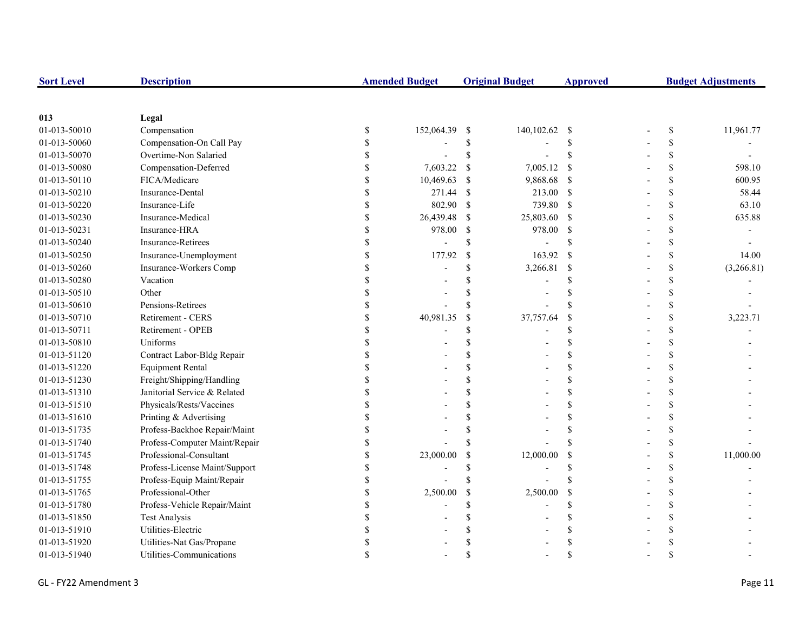| <b>Sort Level</b> | <b>Description</b>            |               | <b>Amended Budget</b> |               | <b>Original Budget</b><br><b>Approved</b> |                    | <b>Budget Adjustments</b> |                    |            |
|-------------------|-------------------------------|---------------|-----------------------|---------------|-------------------------------------------|--------------------|---------------------------|--------------------|------------|
|                   |                               |               |                       |               |                                           |                    |                           |                    |            |
| 013               | Legal                         |               |                       |               |                                           |                    |                           |                    |            |
| 01-013-50010      | Compensation                  | \$            | 152,064.39            | - \$          | 140,102.62                                | - \$               |                           | $\mathbb{S}$       | 11,961.77  |
| 01-013-50060      | Compensation-On Call Pay      | \$            |                       | \$            |                                           | \$                 |                           | \$                 |            |
| 01-013-50070      | Overtime-Non Salaried         | <sup>\$</sup> |                       | \$            |                                           | <sup>\$</sup>      |                           | \$                 |            |
| 01-013-50080      | Compensation-Deferred         |               | 7,603.22              | $\mathbf S$   | 7,005.12                                  | <sup>\$</sup>      |                           | \$                 | 598.10     |
| 01-013-50110      | FICA/Medicare                 |               | 10,469.63             | <sup>\$</sup> | 9,868.68                                  | - \$               |                           | \$                 | 600.95     |
| 01-013-50210      | Insurance-Dental              |               | 271.44                | -S            | 213.00 \$                                 |                    |                           | \$                 | 58.44      |
| 01-013-50220      | Insurance-Life                |               | 802.90                | \$            | 739.80 \$                                 |                    |                           | \$                 | 63.10      |
| 01-013-50230      | Insurance-Medical             |               | 26,439.48             | -S            | 25,803.60 \$                              |                    |                           | \$                 | 635.88     |
| 01-013-50231      | Insurance-HRA                 | \$            | 978.00                | \$            | 978.00                                    | <sup>\$</sup>      |                           | \$                 |            |
| 01-013-50240      | Insurance-Retirees            | \$            |                       | \$            |                                           | \$.                |                           | \$                 |            |
| 01-013-50250      | Insurance-Unemployment        | \$            | 177.92                | $\mathbb{S}$  | 163.92                                    | <sup>\$</sup>      |                           | \$                 | 14.00      |
| 01-013-50260      | Insurance-Workers Comp        | \$            |                       | \$            | 3,266.81                                  | $\mathcal{S}$      |                           | \$                 | (3,266.81) |
| 01-013-50280      | Vacation                      |               |                       |               |                                           | \$                 |                           | \$                 |            |
| 01-013-50510      | Other                         |               |                       |               |                                           |                    |                           | \$                 |            |
| 01-013-50610      | Pensions-Retirees             |               |                       |               |                                           | \$.                |                           | \$                 |            |
| 01-013-50710      | Retirement - CERS             |               | 40,981.35             | $\mathcal{S}$ | 37,757.64                                 | $\mathbf S$        |                           | \$                 | 3,223.71   |
| 01-013-50711      | Retirement - OPEB             |               |                       | \$            |                                           | \$                 |                           | \$                 |            |
| 01-013-50810      | Uniforms                      |               |                       |               |                                           | \$                 |                           | \$                 |            |
| 01-013-51120      | Contract Labor-Bldg Repair    |               |                       |               |                                           | \$.                |                           | \$                 |            |
| 01-013-51220      | <b>Equipment Rental</b>       |               |                       |               |                                           | \$                 |                           | \$                 |            |
| 01-013-51230      | Freight/Shipping/Handling     |               |                       |               |                                           | $\mathcal{S}$      |                           | \$                 |            |
| 01-013-51310      | Janitorial Service & Related  |               |                       |               |                                           | \$                 |                           | \$                 |            |
| 01-013-51510      | Physicals/Rests/Vaccines      |               |                       |               |                                           | \$                 |                           | \$                 |            |
| 01-013-51610      | Printing & Advertising        | \$            |                       |               |                                           | \$                 |                           | \$                 |            |
| 01-013-51735      | Profess-Backhoe Repair/Maint  |               |                       |               |                                           | <sup>\$</sup>      |                           | \$                 |            |
| 01-013-51740      | Profess-Computer Maint/Repair |               |                       |               |                                           | \$.                |                           | \$                 |            |
| 01-013-51745      | Professional-Consultant       |               | 23,000.00             | <sup>S</sup>  | 12,000.00                                 | $\mathbf S$        |                           | \$                 | 11,000.00  |
| 01-013-51748      | Profess-License Maint/Support | \$            |                       |               |                                           | <sup>\$</sup>      |                           | \$                 |            |
| 01-013-51755      | Profess-Equip Maint/Repair    | \$            |                       |               |                                           | \$.                |                           | \$                 |            |
| 01-013-51765      | Professional-Other            |               | 2,500.00              | \$            | 2,500.00                                  | \$                 |                           | \$                 |            |
| 01-013-51780      | Profess-Vehicle Repair/Maint  |               |                       | \$            |                                           | $\mathbf S$        |                           | \$                 |            |
| 01-013-51850      | <b>Test Analysis</b>          |               |                       |               |                                           |                    |                           | \$                 |            |
| 01-013-51910      | Utilities-Electric            |               |                       |               |                                           |                    |                           | \$                 |            |
| 01-013-51920      | Utilities-Nat Gas/Propane     |               |                       |               |                                           |                    |                           | \$                 |            |
| 01-013-51940      | Utilities-Communications      |               |                       |               |                                           | $\mathbf{\hat{S}}$ |                           | $\mathbf{\hat{S}}$ |            |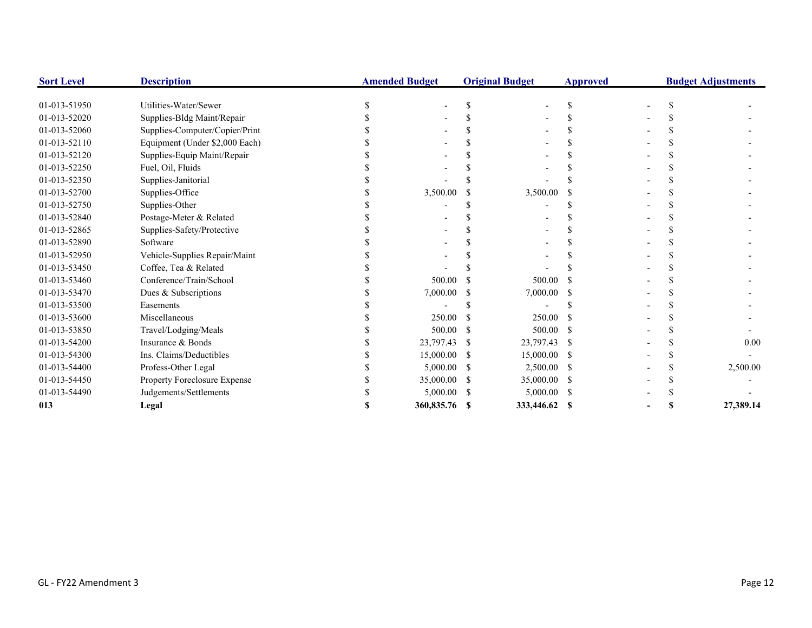| <b>Sort Level</b> | <b>Description</b>             | <b>Amended Budget</b> |    | <b>Original Budget</b> | <b>Approved</b> | <b>Budget Adjustments</b> |  |           |
|-------------------|--------------------------------|-----------------------|----|------------------------|-----------------|---------------------------|--|-----------|
| 01-013-51950      | Utilities-Water/Sewer          |                       |    |                        | S.              |                           |  |           |
| 01-013-52020      | Supplies-Bldg Maint/Repair     |                       |    |                        |                 |                           |  |           |
| 01-013-52060      | Supplies-Computer/Copier/Print |                       |    |                        |                 |                           |  |           |
| 01-013-52110      | Equipment (Under \$2,000 Each) |                       |    |                        |                 |                           |  |           |
| 01-013-52120      | Supplies-Equip Maint/Repair    |                       |    |                        |                 |                           |  |           |
| 01-013-52250      | Fuel, Oil, Fluids              |                       |    |                        |                 |                           |  |           |
| 01-013-52350      | Supplies-Janitorial            |                       |    |                        |                 |                           |  |           |
| 01-013-52700      | Supplies-Office                | 3,500.00              |    | 3,500.00               |                 |                           |  |           |
| 01-013-52750      | Supplies-Other                 |                       |    |                        |                 |                           |  |           |
| 01-013-52840      | Postage-Meter & Related        |                       |    |                        |                 |                           |  |           |
| 01-013-52865      | Supplies-Safety/Protective     |                       |    |                        |                 |                           |  |           |
| 01-013-52890      | Software                       |                       |    |                        |                 |                           |  |           |
| 01-013-52950      | Vehicle-Supplies Repair/Maint  |                       |    |                        |                 |                           |  |           |
| 01-013-53450      | Coffee, Tea & Related          |                       |    |                        |                 |                           |  |           |
| 01-013-53460      | Conference/Train/School        | 500.00                |    | 500.00                 |                 |                           |  |           |
| 01-013-53470      | Dues & Subscriptions           | 7,000.00              |    | 7,000.00               |                 |                           |  |           |
| 01-013-53500      | Easements                      |                       |    |                        |                 |                           |  |           |
| 01-013-53600      | Miscellaneous                  | 250.00                |    | 250.00                 |                 |                           |  |           |
| 01-013-53850      | Travel/Lodging/Meals           | 500.00                | -S | 500.00                 | -8              |                           |  |           |
| 01-013-54200      | Insurance & Bonds              | 23,797.43             |    | 23,797.43 \$           |                 |                           |  | 0.00      |
| 01-013-54300      | Ins. Claims/Deductibles        | 15,000.00             | -S | 15,000.00 \$           |                 |                           |  |           |
| 01-013-54400      | Profess-Other Legal            | 5,000.00              |    | 2,500.00 \$            |                 |                           |  | 2,500.00  |
| 01-013-54450      | Property Foreclosure Expense   | 35,000.00             |    | 35,000.00 \$           |                 |                           |  |           |
| 01-013-54490      | Judgements/Settlements         | 5,000.00              |    | 5,000.00               | - \$            |                           |  |           |
| 013               | Legal                          | 360,835.76 \$         |    | 333,446.62 \$          |                 |                           |  | 27,389.14 |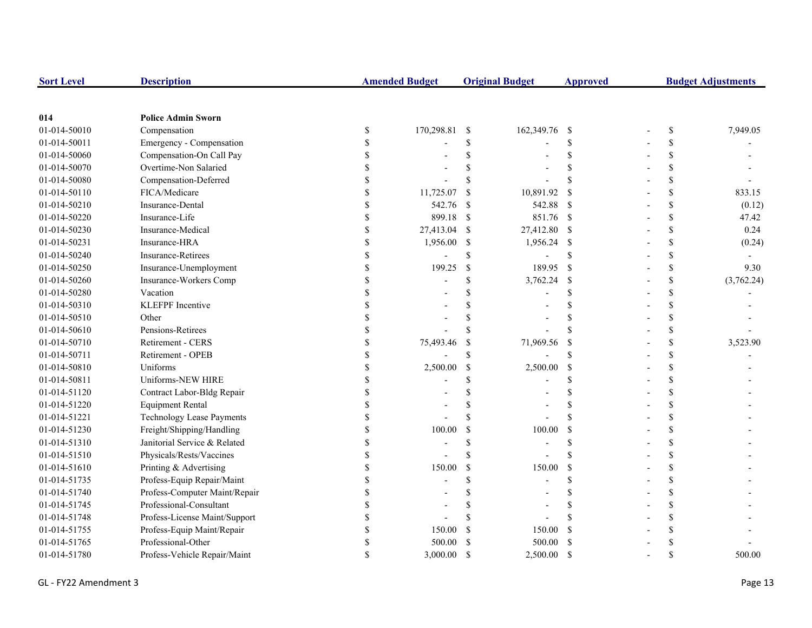| <b>Sort Level</b> | <b>Description</b>               |                           | <b>Amended Budget</b> |                    | <b>Original Budget</b> | <b>Approved</b>    | <b>Budget Adjustments</b> |    |            |
|-------------------|----------------------------------|---------------------------|-----------------------|--------------------|------------------------|--------------------|---------------------------|----|------------|
|                   |                                  |                           |                       |                    |                        |                    |                           |    |            |
| 014               | <b>Police Admin Sworn</b>        |                           |                       |                    |                        |                    |                           |    |            |
| 01-014-50010      | Compensation                     | \$                        | 170,298.81            | -S                 | 162,349.76             | - \$               |                           | \$ | 7,949.05   |
| 01-014-50011      | Emergency - Compensation         | \$                        |                       | \$                 |                        | <sup>\$</sup>      |                           | \$ |            |
| 01-014-50060      | Compensation-On Call Pay         | \$                        |                       | $\mathbf S$        |                        | $\mathcal{S}$      |                           | \$ |            |
| 01-014-50070      | Overtime-Non Salaried            | \$                        |                       |                    |                        | <sup>\$</sup>      |                           | \$ |            |
| 01-014-50080      | Compensation-Deferred            | \$                        |                       | \$                 |                        | $\mathcal{S}$      |                           | \$ |            |
| 01-014-50110      | FICA/Medicare                    | $\boldsymbol{\mathsf{S}}$ | 11,725.07             | <sup>\$</sup>      | 10,891.92              | <sup>\$</sup>      |                           | \$ | 833.15     |
| 01-014-50210      | Insurance-Dental                 | $\mathbb S$               | 542.76                | -S                 | 542.88                 | - \$               |                           | \$ | (0.12)     |
| 01-014-50220      | Insurance-Life                   | \$                        | 899.18                | -\$                | 851.76 \$              |                    |                           | \$ | 47.42      |
| 01-014-50230      | Insurance-Medical                | \$                        | 27,413.04             | -S                 | 27,412.80 \$           |                    |                           | \$ | 0.24       |
| 01-014-50231      | Insurance-HRA                    | \$                        | 1,956.00              | \$                 | 1,956.24               | -\$                |                           | \$ | (0.24)     |
| 01-014-50240      | <b>Insurance-Retirees</b>        | \$                        |                       | <sup>\$</sup>      |                        | <sup>\$</sup>      |                           | \$ |            |
| 01-014-50250      | Insurance-Unemployment           | \$                        | 199.25                | $\mathbb{S}$       | 189.95                 | <sup>\$</sup>      |                           | \$ | 9.30       |
| 01-014-50260      | Insurance-Workers Comp           | \$                        |                       | \$                 | 3,762.24               | \$                 |                           | \$ | (3,762.24) |
| 01-014-50280      | Vacation                         | \$                        |                       | \$                 |                        | <sup>\$</sup>      |                           | \$ |            |
| 01-014-50310      | <b>KLEFPF</b> Incentive          |                           |                       |                    |                        |                    |                           | \$ |            |
| 01-014-50510      | Other                            |                           |                       | \$                 |                        | $\mathcal{S}$      |                           | \$ |            |
| 01-014-50610      | Pensions-Retirees                |                           |                       | S                  |                        | $\mathcal{S}$      |                           | \$ |            |
| 01-014-50710      | <b>Retirement - CERS</b>         | \$                        | 75,493.46             | <sup>\$</sup>      | 71,969.56              | <sup>\$</sup>      |                           | \$ | 3,523.90   |
| 01-014-50711      | Retirement - OPEB                | \$                        |                       | \$                 |                        | <sup>\$</sup>      |                           | \$ |            |
| 01-014-50810      | Uniforms                         | \$                        | 2,500.00              | \$                 | 2,500.00               | \$                 |                           | \$ |            |
| 01-014-50811      | Uniforms-NEW HIRE                | $\mathbf{\hat{S}}$        |                       | \$                 |                        | \$.                |                           | \$ |            |
| 01-014-51120      | Contract Labor-Bldg Repair       | \$                        |                       | \$                 |                        | \$.                |                           | \$ |            |
| 01-014-51220      | <b>Equipment Rental</b>          | \$                        |                       | S                  |                        | <sup>\$</sup>      |                           | \$ |            |
| 01-014-51221      | <b>Technology Lease Payments</b> | \$                        |                       | $\mathbf S$        |                        | $\mathbf S$        |                           | \$ |            |
| 01-014-51230      | Freight/Shipping/Handling        | \$                        | 100.00                | \$                 | 100.00                 | <sup>\$</sup>      |                           | \$ |            |
| 01-014-51310      | Janitorial Service & Related     | \$                        |                       | \$                 |                        | <sup>\$</sup>      |                           | \$ |            |
| 01-014-51510      | Physicals/Rests/Vaccines         | $\mathbf{\hat{S}}$        |                       | $\mathbf{\hat{S}}$ |                        | $\mathbf{\hat{S}}$ |                           | \$ |            |
| 01-014-51610      | Printing & Advertising           | $\mathbf{\hat{S}}$        | 150.00                | $\mathcal{S}$      | 150.00                 | $\mathbf S$        |                           | \$ |            |
| 01-014-51735      | Profess-Equip Repair/Maint       | \$                        |                       | \$                 |                        | <sup>\$</sup>      |                           | \$ |            |
| 01-014-51740      | Profess-Computer Maint/Repair    |                           |                       |                    |                        | <sup>\$</sup>      |                           | \$ |            |
| 01-014-51745      | Professional-Consultant          |                           |                       |                    |                        | <sup>\$</sup>      |                           | \$ |            |
| 01-014-51748      | Profess-License Maint/Support    | \$                        |                       |                    |                        |                    |                           | \$ |            |
| 01-014-51755      | Profess-Equip Maint/Repair       | $\mathbf S$               | 150.00                | -S                 | 150.00                 | <sup>\$</sup>      |                           | \$ |            |
| 01-014-51765      | Professional-Other               | \$                        | 500.00                |                    | 500.00                 | <sup>\$</sup>      |                           | \$ |            |
| 01-014-51780      | Profess-Vehicle Repair/Maint     | $\mathbf S$               | 3,000.00              | $\mathcal{S}$      | 2,500.00               | <sup>\$</sup>      |                           | \$ | 500.00     |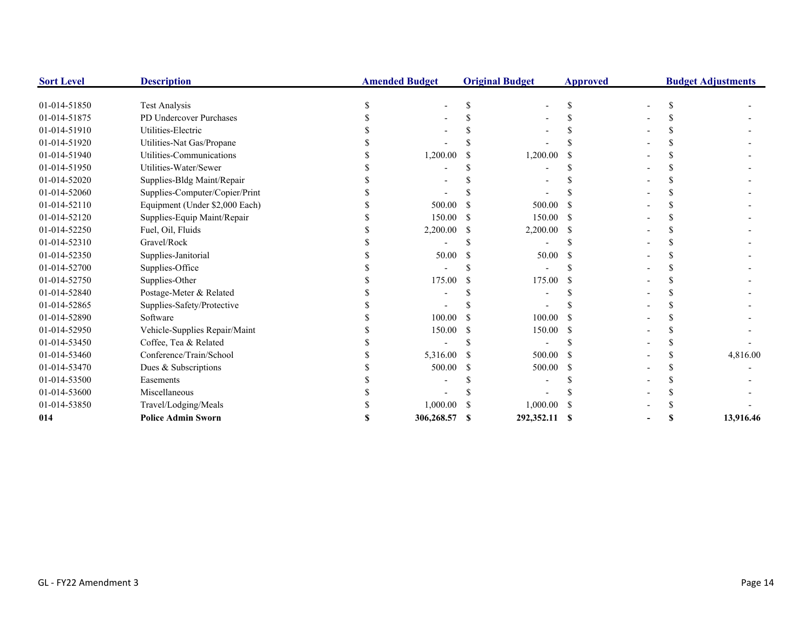| <b>Sort Level</b> | <b>Description</b>             |   | <b>Amended Budget</b> | <b>Original Budget</b> | <b>Approved</b> |   | <b>Budget Adjustments</b> |
|-------------------|--------------------------------|---|-----------------------|------------------------|-----------------|---|---------------------------|
| 01-014-51850      | <b>Test Analysis</b>           | S |                       |                        | S               |   |                           |
| 01-014-51875      | PD Undercover Purchases        |   |                       |                        |                 |   |                           |
| 01-014-51910      | Utilities-Electric             |   |                       |                        |                 |   |                           |
| 01-014-51920      | Utilities-Nat Gas/Propane      |   |                       |                        |                 |   |                           |
| 01-014-51940      | Utilities-Communications       |   | 1,200.00              | 1,200.00               |                 |   |                           |
| 01-014-51950      | Utilities-Water/Sewer          |   |                       |                        |                 |   |                           |
| 01-014-52020      | Supplies-Bldg Maint/Repair     |   |                       |                        |                 |   |                           |
| 01-014-52060      | Supplies-Computer/Copier/Print |   |                       |                        |                 |   |                           |
| 01-014-52110      | Equipment (Under \$2,000 Each) |   | 500.00                | 500.00                 |                 |   |                           |
| 01-014-52120      | Supplies-Equip Maint/Repair    |   | 150.00                | 150.00                 | -8              |   |                           |
| 01-014-52250      | Fuel, Oil, Fluids              |   | 2,200.00              | 2,200.00               | -S              |   |                           |
| 01-014-52310      | Gravel/Rock                    |   |                       |                        |                 |   |                           |
| 01-014-52350      | Supplies-Janitorial            |   | 50.00                 | 50.00                  |                 |   |                           |
| 01-014-52700      | Supplies-Office                |   |                       |                        |                 |   |                           |
| 01-014-52750      | Supplies-Other                 |   | 175.00                | 175.00                 |                 |   |                           |
| 01-014-52840      | Postage-Meter & Related        |   |                       |                        |                 |   |                           |
| 01-014-52865      | Supplies-Safety/Protective     |   |                       |                        |                 |   |                           |
| 01-014-52890      | Software                       |   | 100.00                | 100.00                 |                 |   |                           |
| 01-014-52950      | Vehicle-Supplies Repair/Maint  |   | 150.00                | 150.00                 | -S              |   |                           |
| 01-014-53450      | Coffee, Tea & Related          |   |                       |                        |                 |   |                           |
| 01-014-53460      | Conference/Train/School        |   | 5,316.00              | 500.00                 |                 |   | 4,816.00                  |
| 01-014-53470      | Dues & Subscriptions           |   | 500.00                | 500.00                 |                 |   |                           |
| 01-014-53500      | Easements                      |   |                       |                        |                 |   |                           |
| 01-014-53600      | Miscellaneous                  |   |                       |                        |                 |   |                           |
| 01-014-53850      | Travel/Lodging/Meals           |   | 1,000.00              | 1,000.00               |                 |   |                           |
| 014               | <b>Police Admin Sworn</b>      | S | 306,268.57            | 292,352.11 \$          |                 | S | 13,916.46                 |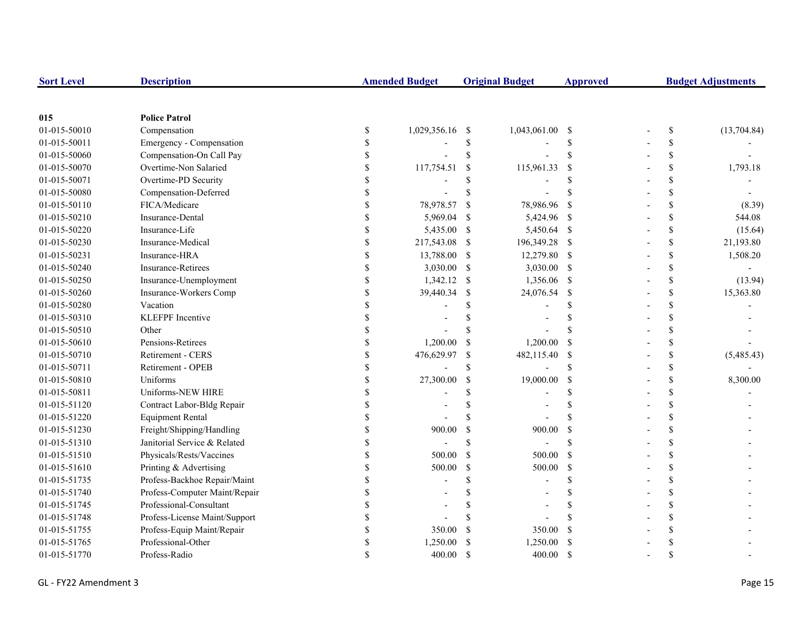| <b>Sort Level</b> | <b>Description</b>            |               | <b>Amended Budget</b> |               | <b>Original Budget</b> | <b>Approved</b>           | <b>Budget Adjustments</b>                                             |             |
|-------------------|-------------------------------|---------------|-----------------------|---------------|------------------------|---------------------------|-----------------------------------------------------------------------|-------------|
|                   |                               |               |                       |               |                        |                           |                                                                       |             |
| 015               | <b>Police Patrol</b>          |               |                       |               |                        |                           |                                                                       |             |
| 01-015-50010      | Compensation                  | \$            | 1,029,356.16          | -\$           | 1,043,061.00           | - \$                      | $\mathbb{S}% _{t}\left( t\right) \equiv\mathbb{S}_{t}\left( t\right)$ | (13,704.84) |
| 01-015-50011      | Emergency - Compensation      | \$            |                       | \$            |                        | <sup>\$</sup>             | \$                                                                    |             |
| 01-015-50060      | Compensation-On Call Pay      | <sup>\$</sup> |                       | \$            |                        | <sup>\$</sup>             | \$                                                                    |             |
| 01-015-50070      | Overtime-Non Salaried         |               | 117,754.51            | -\$           | 115,961.33             | <sup>\$</sup>             | \$                                                                    | 1,793.18    |
| 01-015-50071      | Overtime-PD Security          |               |                       | \$            |                        | <sup>\$</sup>             | \$                                                                    |             |
| 01-015-50080      | Compensation-Deferred         |               |                       | $\mathbf S$   |                        |                           | \$                                                                    |             |
| 01-015-50110      | FICA/Medicare                 |               | 78,978.57             | -S            | 78,986.96              | - \$                      | \$                                                                    | (8.39)      |
| 01-015-50210      | Insurance-Dental              |               | 5,969.04              | -S            | 5,424.96 \$            |                           | \$                                                                    | 544.08      |
| 01-015-50220      | Insurance-Life                | \$            | 5,435.00              | -S            | 5,450.64 \$            |                           | \$                                                                    | (15.64)     |
| 01-015-50230      | Insurance-Medical             | \$            | 217,543.08            | -S            | 196,349.28 \$          |                           | \$                                                                    | 21,193.80   |
| 01-015-50231      | Insurance-HRA                 | \$            | 13,788.00             | -S            | 12,279.80 \$           |                           | \$                                                                    | 1,508.20    |
| 01-015-50240      | <b>Insurance-Retirees</b>     | \$            | 3,030.00              | -S            | 3,030.00 \$            |                           | \$                                                                    |             |
| 01-015-50250      | Insurance-Unemployment        | \$            | 1,342.12              | -S            | 1,356.06 \$            |                           | \$                                                                    | (13.94)     |
| 01-015-50260      | Insurance-Workers Comp        | \$            | 39,440.34             | <sup>\$</sup> | 24,076.54              | - \$                      | \$                                                                    | 15,363.80   |
| 01-015-50280      | Vacation                      |               |                       | \$            |                        | <sup>\$</sup>             | \$                                                                    |             |
| 01-015-50310      | <b>KLEFPF</b> Incentive       |               |                       |               |                        | <sup>\$</sup>             | \$                                                                    |             |
| 01-015-50510      | Other                         |               |                       | <sup>\$</sup> |                        | $\mathbf{\hat{S}}$        | \$                                                                    |             |
| 01-015-50610      | Pensions-Retirees             |               | 1,200.00              | -S            | 1,200.00               | -\$                       | \$                                                                    |             |
| 01-015-50710      | Retirement - CERS             |               | 476,629.97            | \$            | 482,115.40             | $\mathbf{\hat{s}}$        | \$                                                                    | (5,485.43)  |
| 01-015-50711      | Retirement - OPEB             |               |                       | <sup>\$</sup> |                        | $\mathbf{\hat{S}}$        | \$                                                                    |             |
| 01-015-50810      | Uniforms                      | \$            | 27,300.00             | $\mathcal{S}$ | 19,000.00              | <sup>\$</sup>             | \$                                                                    | 8,300.00    |
| 01-015-50811      | Uniforms-NEW HIRE             | <sup>\$</sup> |                       |               |                        | <sup>\$</sup>             | \$                                                                    |             |
| 01-015-51120      | Contract Labor-Bldg Repair    | <sup>\$</sup> |                       | \$            |                        | <sup>\$</sup>             | \$                                                                    |             |
| 01-015-51220      | <b>Equipment Rental</b>       | \$            |                       | $\mathcal{S}$ |                        |                           | \$                                                                    |             |
| 01-015-51230      | Freight/Shipping/Handling     |               | 900.00                | $\mathcal{S}$ | 900.00                 | $\boldsymbol{\mathsf{S}}$ | \$                                                                    |             |
| 01-015-51310      | Janitorial Service & Related  |               |                       | $\mathbf S$   |                        | $\mathbf{\hat{S}}$        | \$                                                                    |             |
| 01-015-51510      | Physicals/Rests/Vaccines      |               | 500.00                | $\mathcal{S}$ | 500.00                 | $\mathcal{S}$             | \$                                                                    |             |
| 01-015-51610      | Printing & Advertising        |               | 500.00                | $\mathbb{S}$  | 500.00                 | -S                        | \$                                                                    |             |
| 01-015-51735      | Profess-Backhoe Repair/Maint  |               |                       | <sup>\$</sup> |                        | <sup>\$</sup>             | \$                                                                    |             |
| 01-015-51740      | Profess-Computer Maint/Repair |               |                       | S             |                        | <sup>\$</sup>             | \$                                                                    |             |
| 01-015-51745      | Professional-Consultant       |               |                       | \$.           |                        | <sup>\$</sup>             | \$                                                                    |             |
| 01-015-51748      | Profess-License Maint/Support |               |                       |               |                        |                           | \$                                                                    |             |
| 01-015-51755      | Profess-Equip Maint/Repair    | \$.           | 350.00                | <sup>\$</sup> | 350.00                 | <sup>\$</sup>             | \$                                                                    |             |
| 01-015-51765      | Professional-Other            | \$            | 1,250.00              |               | 1,250.00               | <sup>\$</sup>             | \$                                                                    |             |
| 01-015-51770      | Profess-Radio                 |               | 400.00                | <sup>\$</sup> | 400.00                 | <sup>\$</sup>             | \$                                                                    |             |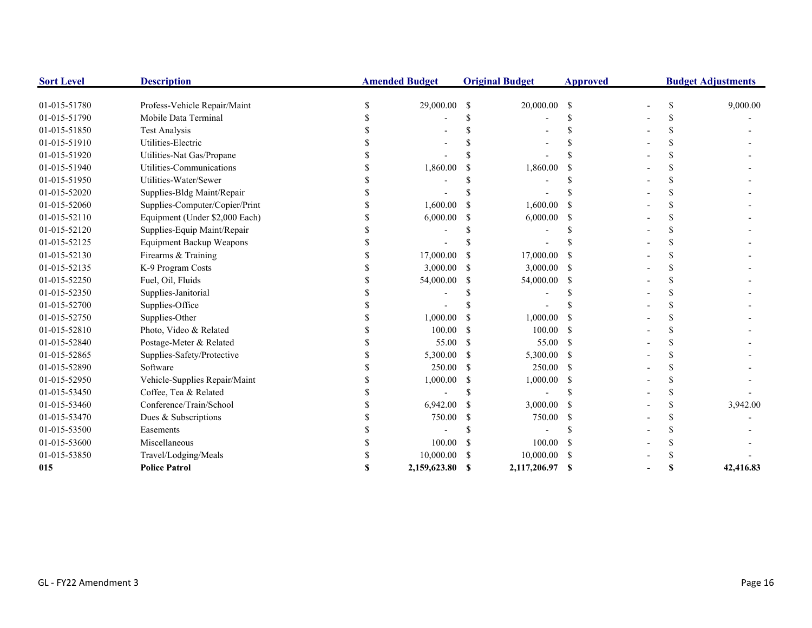| <b>Sort Level</b> | <b>Description</b>              | <b>Amended Budget</b> |               | <b>Original Budget</b> | <b>Approved</b> |  | <b>Budget Adjustments</b> |
|-------------------|---------------------------------|-----------------------|---------------|------------------------|-----------------|--|---------------------------|
| 01-015-51780      | Profess-Vehicle Repair/Maint    | 29,000.00             | <sup>\$</sup> | 20,000.00              | <sup>\$</sup>   |  | 9,000.00                  |
| 01-015-51790      | Mobile Data Terminal            |                       |               |                        |                 |  |                           |
| 01-015-51850      | <b>Test Analysis</b>            |                       |               |                        |                 |  |                           |
| 01-015-51910      | Utilities-Electric              |                       |               |                        |                 |  |                           |
| 01-015-51920      | Utilities-Nat Gas/Propane       |                       |               |                        |                 |  |                           |
| 01-015-51940      | Utilities-Communications        | 1,860.00              |               | 1,860.00               |                 |  |                           |
| 01-015-51950      | Utilities-Water/Sewer           |                       |               |                        |                 |  |                           |
| 01-015-52020      | Supplies-Bldg Maint/Repair      |                       |               |                        |                 |  |                           |
| 01-015-52060      | Supplies-Computer/Copier/Print  | 1,600.00              |               | 1,600.00               |                 |  |                           |
| 01-015-52110      | Equipment (Under \$2,000 Each)  | 6,000.00              | S             | 6,000.00               | -S              |  |                           |
| 01-015-52120      | Supplies-Equip Maint/Repair     |                       |               |                        |                 |  |                           |
| 01-015-52125      | <b>Equipment Backup Weapons</b> |                       |               |                        |                 |  |                           |
| 01-015-52130      | Firearms & Training             | 17,000.00             |               | 17,000.00              |                 |  |                           |
| 01-015-52135      | K-9 Program Costs               | 3,000.00              | S             | 3,000.00               | -S              |  |                           |
| 01-015-52250      | Fuel, Oil, Fluids               | 54,000.00             | S             | 54,000.00              | -S              |  |                           |
| 01-015-52350      | Supplies-Janitorial             |                       |               |                        |                 |  |                           |
| 01-015-52700      | Supplies-Office                 |                       |               |                        |                 |  |                           |
| 01-015-52750      | Supplies-Other                  | 1,000.00              | S             | 1,000.00               |                 |  |                           |
| 01-015-52810      | Photo, Video & Related          | 100.00                | -S            | 100.00                 | -S              |  |                           |
| 01-015-52840      | Postage-Meter & Related         | 55.00                 | S             | 55.00                  | -S              |  |                           |
| 01-015-52865      | Supplies-Safety/Protective      | 5,300.00              | <sup>\$</sup> | 5,300.00               | -S              |  |                           |
| 01-015-52890      | Software                        | 250.00                | £.            | 250.00                 | -S              |  |                           |
| 01-015-52950      | Vehicle-Supplies Repair/Maint   | 1,000.00              | S             | 1,000.00               | -S              |  |                           |
| 01-015-53450      | Coffee, Tea & Related           |                       |               |                        |                 |  |                           |
| 01-015-53460      | Conference/Train/School         | 6,942.00              | S             | 3,000.00               |                 |  | 3,942.00                  |
| 01-015-53470      | Dues & Subscriptions            | 750.00                | \$            | 750.00                 |                 |  |                           |
| 01-015-53500      | Easements                       |                       |               |                        |                 |  |                           |
| 01-015-53600      | Miscellaneous                   | 100.00                | \$            | 100.00                 |                 |  |                           |
| 01-015-53850      | Travel/Lodging/Meals            | 10,000.00             |               | 10,000.00              |                 |  |                           |
| 015               | <b>Police Patrol</b>            | 2.159.623.80          | $\mathbf{s}$  | 2.117.206.97           | -8              |  | 42,416.83                 |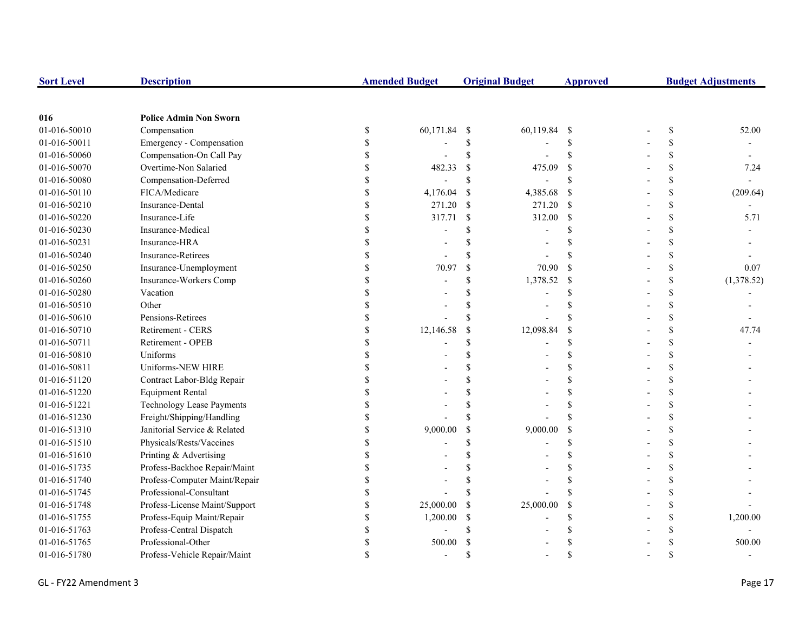| <b>Sort Level</b> | <b>Description</b>               |             | <b>Amended Budget</b> |               | <b>Original Budget</b> | <b>Approved</b>           | <b>Budget Adjustments</b> |                    |            |
|-------------------|----------------------------------|-------------|-----------------------|---------------|------------------------|---------------------------|---------------------------|--------------------|------------|
|                   |                                  |             |                       |               |                        |                           |                           |                    |            |
| 016               | <b>Police Admin Non Sworn</b>    |             |                       |               |                        |                           |                           |                    |            |
| 01-016-50010      | Compensation                     | \$          | 60,171.84             | -\$           | 60,119.84 \$           |                           |                           | \$                 | 52.00      |
| 01-016-50011      | Emergency - Compensation         | \$          |                       | \$            |                        | \$                        |                           | \$                 |            |
| 01-016-50060      | Compensation-On Call Pay         | \$          |                       | \$            |                        | $\mathbf{\hat{s}}$        |                           | \$                 |            |
| 01-016-50070      | Overtime-Non Salaried            | \$          | 482.33                | \$            | 475.09                 | \$                        |                           | \$                 | 7.24       |
| 01-016-50080      | Compensation-Deferred            | \$          |                       | \$            |                        | \$                        |                           | \$                 |            |
| 01-016-50110      | FICA/Medicare                    | \$          | 4,176.04              | \$            | 4,385.68               | <sup>S</sup>              |                           | \$                 | (209.64)   |
| 01-016-50210      | Insurance-Dental                 | \$          | 271.20                | $\mathcal{S}$ | 271.20                 | -S                        |                           | \$                 |            |
| 01-016-50220      | Insurance-Life                   | \$          | 317.71                | $\mathcal{S}$ | 312.00                 | <sup>\$</sup>             |                           | \$                 | 5.71       |
| 01-016-50230      | Insurance-Medical                | \$          |                       |               |                        | \$.                       |                           | \$                 |            |
| 01-016-50231      | Insurance-HRA                    | \$          |                       |               |                        | \$.                       |                           | \$                 |            |
| 01-016-50240      | <b>Insurance-Retirees</b>        | \$          |                       |               |                        |                           |                           | \$                 |            |
| 01-016-50250      | Insurance-Unemployment           | \$          | 70.97                 | \$            | 70.90                  | $\mathbf S$               |                           | \$                 | 0.07       |
| 01-016-50260      | Insurance-Workers Comp           | \$          |                       |               | 1,378.52               | $\boldsymbol{\mathsf{S}}$ |                           | \$                 | (1,378.52) |
| 01-016-50280      | Vacation                         | \$          |                       |               |                        | \$                        |                           | \$                 |            |
| 01-016-50510      | Other                            |             |                       |               |                        | \$.                       |                           | \$                 |            |
| 01-016-50610      | Pensions-Retirees                | \$          |                       |               |                        | $\mathcal{S}$             |                           | \$                 |            |
| 01-016-50710      | Retirement - CERS                | \$          | 12,146.58             | \$            | 12,098.84              | $\mathbf S$               |                           | \$                 | 47.74      |
| 01-016-50711      | Retirement - OPEB                | \$          |                       | \$            |                        | \$                        |                           | \$                 |            |
| 01-016-50810      | Uniforms                         | \$          |                       |               |                        | \$                        |                           | \$                 |            |
| 01-016-50811      | Uniforms-NEW HIRE                | $\mathbf S$ |                       |               |                        | $\mathcal{S}$             |                           | \$                 |            |
| 01-016-51120      | Contract Labor-Bldg Repair       | \$          |                       |               |                        | $\mathbf S$               |                           | \$                 |            |
| 01-016-51220      | <b>Equipment Rental</b>          | \$          |                       |               |                        | <sup>\$</sup>             |                           | \$                 |            |
| 01-016-51221      | <b>Technology Lease Payments</b> | \$          |                       |               |                        | <sup>\$</sup>             |                           | \$                 |            |
| 01-016-51230      | Freight/Shipping/Handling        | \$          |                       |               |                        | \$.                       |                           | \$                 |            |
| 01-016-51310      | Janitorial Service & Related     | \$          | 9,000.00              | \$            | 9,000.00               | $\mathcal{S}$             |                           | \$                 |            |
| 01-016-51510      | Physicals/Rests/Vaccines         | \$          |                       |               |                        | \$                        |                           | \$                 |            |
| 01-016-51610      | Printing & Advertising           | \$          |                       |               |                        | \$                        |                           | \$                 |            |
| 01-016-51735      | Profess-Backhoe Repair/Maint     | \$          |                       |               |                        | <sup>\$</sup>             |                           | \$                 |            |
| 01-016-51740      | Profess-Computer Maint/Repair    | \$          |                       |               |                        | \$                        |                           | \$                 |            |
| 01-016-51745      | Professional-Consultant          | \$          |                       |               |                        | $\mathcal{S}$             |                           | \$                 |            |
| 01-016-51748      | Profess-License Maint/Support    | \$          | 25,000.00             | S             | 25,000.00              | \$                        |                           | \$                 |            |
| 01-016-51755      | Profess-Equip Maint/Repair       | \$          | 1,200.00              | S             |                        | \$                        |                           | \$                 | 1,200.00   |
| 01-016-51763      | Profess-Central Dispatch         | \$          |                       |               |                        | \$.                       |                           | \$                 |            |
| 01-016-51765      | Professional-Other               | \$          | 500.00                |               |                        | S                         |                           | $\mathbf{\hat{S}}$ | 500.00     |
| 01-016-51780      | Profess-Vehicle Repair/Maint     | \$          |                       | \$.           |                        | $\mathcal{S}$             |                           | $\mathbf{\hat{S}}$ |            |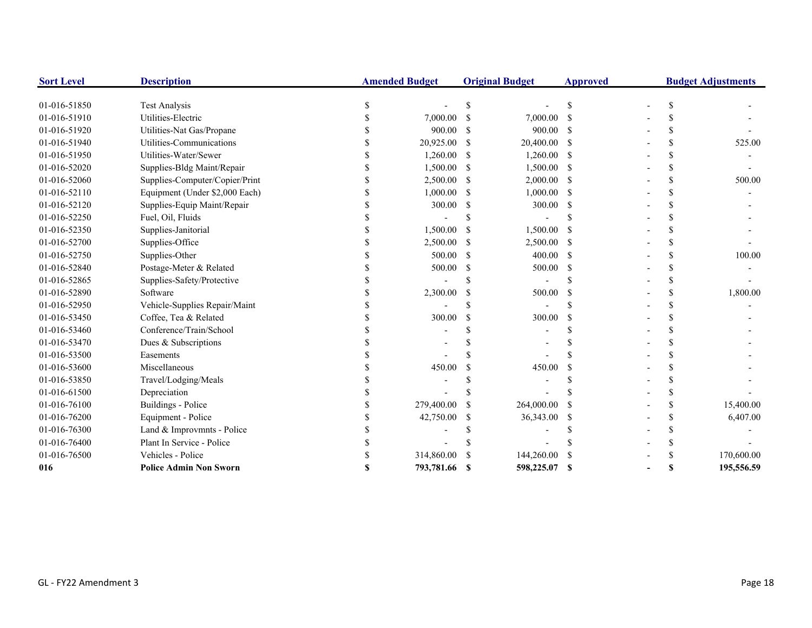| <b>Sort Level</b> | <b>Description</b>             | <b>Amended Budget</b> |               | <b>Original Budget</b> | <b>Approved</b> | <b>Budget Adjustments</b> |  |            |
|-------------------|--------------------------------|-----------------------|---------------|------------------------|-----------------|---------------------------|--|------------|
|                   |                                |                       |               |                        |                 |                           |  |            |
| 01-016-51850      | <b>Test Analysis</b>           |                       |               |                        | S               |                           |  |            |
| 01-016-51910      | Utilities-Electric             | 7,000.00              | -\$           | 7,000.00               | -S              |                           |  |            |
| 01-016-51920      | Utilities-Nat Gas/Propane      | 900.00                | S             | 900.00                 |                 |                           |  |            |
| 01-016-51940      | Utilities-Communications       | 20,925.00             | -S            | 20,400.00              | -S              |                           |  | 525.00     |
| 01-016-51950      | Utilities-Water/Sewer          | 1,260.00              | -\$           | 1,260.00               | -S              |                           |  |            |
| 01-016-52020      | Supplies-Bldg Maint/Repair     | 1,500.00              | S             | 1,500.00               |                 |                           |  |            |
| 01-016-52060      | Supplies-Computer/Copier/Print | 2,500.00              | <sup>\$</sup> | 2,000.00               | <sup>\$</sup>   |                           |  | 500.00     |
| 01-016-52110      | Equipment (Under \$2,000 Each) | 1,000.00              | S             | 1,000.00               | -S              |                           |  |            |
| 01-016-52120      | Supplies-Equip Maint/Repair    | 300.00                | -S            | 300.00                 | -S              |                           |  |            |
| 01-016-52250      | Fuel, Oil, Fluids              |                       |               |                        |                 |                           |  |            |
| 01-016-52350      | Supplies-Janitorial            | 1,500.00              | -S            | 1,500.00               |                 |                           |  |            |
| 01-016-52700      | Supplies-Office                | 2,500.00              | -S            | 2,500.00               | -S              |                           |  |            |
| 01-016-52750      | Supplies-Other                 | 500.00                | <sup>\$</sup> | 400.00                 | -S              |                           |  | 100.00     |
| 01-016-52840      | Postage-Meter & Related        | 500.00                | S             | 500.00                 | -S              |                           |  |            |
| 01-016-52865      | Supplies-Safety/Protective     |                       |               |                        |                 |                           |  |            |
| 01-016-52890      | Software                       | 2,300.00              |               | 500.00                 |                 |                           |  | 1,800.00   |
| 01-016-52950      | Vehicle-Supplies Repair/Maint  |                       |               |                        |                 |                           |  |            |
| 01-016-53450      | Coffee, Tea & Related          | 300.00                | \$.           | 300.00                 | \$.             |                           |  |            |
| 01-016-53460      | Conference/Train/School        |                       |               |                        |                 |                           |  |            |
| 01-016-53470      | Dues & Subscriptions           |                       |               |                        |                 |                           |  |            |
| 01-016-53500      | Easements                      |                       |               |                        |                 |                           |  |            |
| 01-016-53600      | Miscellaneous                  | 450.00                |               | 450.00                 |                 |                           |  |            |
| 01-016-53850      | Travel/Lodging/Meals           |                       |               |                        |                 |                           |  |            |
| 01-016-61500      | Depreciation                   |                       |               |                        |                 |                           |  |            |
| 01-016-76100      | Buildings - Police             | 279,400.00            | S             | 264,000.00             |                 |                           |  | 15,400.00  |
| 01-016-76200      | Equipment - Police             | 42,750.00             | S             | 36,343.00              |                 |                           |  | 6,407.00   |
| 01-016-76300      | Land & Improvmnts - Police     |                       |               |                        |                 |                           |  |            |
| 01-016-76400      | Plant In Service - Police      |                       |               |                        |                 |                           |  |            |
| 01-016-76500      | Vehicles - Police              | 314,860.00            |               | 144,260.00             |                 |                           |  | 170,600.00 |
| 016               | <b>Police Admin Non Sworn</b>  | 793,781.66            |               | 598,225.07             | <b>S</b>        |                           |  | 195,556.59 |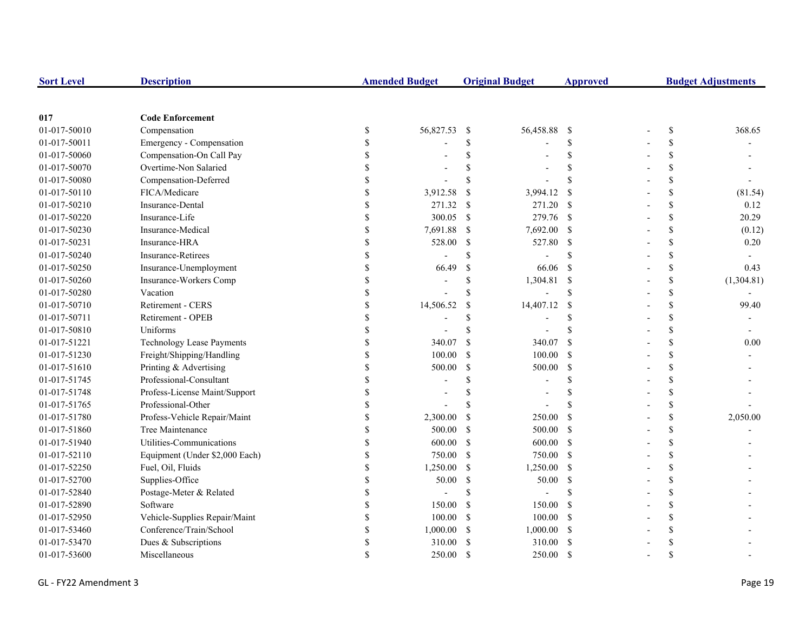| <b>Sort Level</b> | <b>Description</b>               |               | <b>Amended Budget</b> |               | <b>Original Budget</b> | <b>Approved</b>    | <b>Budget Adjustments</b> |            |  |
|-------------------|----------------------------------|---------------|-----------------------|---------------|------------------------|--------------------|---------------------------|------------|--|
|                   |                                  |               |                       |               |                        |                    |                           |            |  |
| 017               | <b>Code Enforcement</b>          |               |                       |               |                        |                    |                           |            |  |
| 01-017-50010      | Compensation                     | \$            | 56,827.53             | -\$           | 56,458.88              | - \$               | $\mathbb{S}$              | 368.65     |  |
| 01-017-50011      | Emergency - Compensation         | S             |                       | \$            |                        | <sup>\$</sup>      | \$                        |            |  |
| 01-017-50060      | Compensation-On Call Pay         |               |                       | \$            |                        | <sup>\$</sup>      | \$                        |            |  |
| 01-017-50070      | Overtime-Non Salaried            |               |                       | $\mathbf S$   |                        | $\mathcal{S}$      | \$                        |            |  |
| 01-017-50080      | Compensation-Deferred            |               |                       | $\mathbf S$   |                        | $\mathcal{S}$      | \$                        |            |  |
| 01-017-50110      | FICA/Medicare                    |               | 3,912.58              | <sup>\$</sup> | 3,994.12               | <sup>\$</sup>      | \$                        | (81.54)    |  |
| 01-017-50210      | Insurance-Dental                 |               | 271.32                | -S            | 271.20 \$              |                    | \$                        | 0.12       |  |
| 01-017-50220      | Insurance-Life                   |               | 300.05                | -\$           | 279.76 \$              |                    | \$                        | 20.29      |  |
| 01-017-50230      | Insurance-Medical                |               | 7,691.88              | -S            | 7,692.00 \$            |                    | \$                        | (0.12)     |  |
| 01-017-50231      | Insurance-HRA                    | <sup>\$</sup> | 528.00                | -S            | 527.80 \$              |                    | \$                        | 0.20       |  |
| 01-017-50240      | Insurance-Retirees               | $\mathcal{S}$ |                       | \$            |                        | $\mathcal{S}$      | \$                        |            |  |
| 01-017-50250      | Insurance-Unemployment           | \$            | 66.49                 | <sup>S</sup>  | 66.06                  | <sup>\$</sup>      | \$                        | 0.43       |  |
| 01-017-50260      | Insurance-Workers Comp           |               |                       | <sup>\$</sup> | 1,304.81               | $\mathbf{\hat{s}}$ | \$                        | (1,304.81) |  |
| 01-017-50280      | Vacation                         |               |                       | <sup>\$</sup> |                        | $\mathcal{S}$      | \$                        |            |  |
| 01-017-50710      | Retirement - CERS                |               | 14,506.52             | <sup>\$</sup> | 14,407.12              | <sup>\$</sup>      | \$                        | 99.40      |  |
| 01-017-50711      | Retirement - OPEB                |               |                       | \$            |                        | <sup>\$</sup>      | \$                        |            |  |
| 01-017-50810      | Uniforms                         |               |                       | \$            |                        | <sup>\$</sup>      | \$                        |            |  |
| 01-017-51221      | <b>Technology Lease Payments</b> |               | 340.07                | <sup>\$</sup> | 340.07                 | <sup>\$</sup>      | \$                        | 0.00       |  |
| 01-017-51230      | Freight/Shipping/Handling        |               | 100.00                | <sup>\$</sup> | 100.00                 | - \$               | \$                        |            |  |
| 01-017-51610      | Printing & Advertising           |               | 500.00                | \$            | 500.00                 | - \$               | \$                        |            |  |
| 01-017-51745      | Professional-Consultant          | \$.           |                       | \$            |                        | <sup>\$</sup>      | \$                        |            |  |
| 01-017-51748      | Profess-License Maint/Support    | \$            |                       | \$            |                        | \$                 | \$                        |            |  |
| 01-017-51765      | Professional-Other               | \$            |                       | S             |                        |                    | \$                        |            |  |
| 01-017-51780      | Profess-Vehicle Repair/Maint     | <sup>\$</sup> | 2,300.00              | <sup>\$</sup> | 250.00                 | <sup>\$</sup>      | \$                        | 2,050.00   |  |
| 01-017-51860      | Tree Maintenance                 | S             | 500.00                | <sup>S</sup>  | 500.00                 | $\mathbf{\hat{s}}$ | \$                        |            |  |
| 01-017-51940      | Utilities-Communications         | \$            | 600.00                | <sup>S</sup>  | 600.00 \$              |                    | \$                        |            |  |
| 01-017-52110      | Equipment (Under \$2,000 Each)   | \$            | 750.00                | $\mathcal{S}$ | 750.00 \$              |                    | \$                        |            |  |
| 01-017-52250      | Fuel, Oil, Fluids                | \$            | 1,250.00              | $\mathbb{S}$  | $1,250.00$ \$          |                    | \$                        |            |  |
| 01-017-52700      | Supplies-Office                  |               | 50.00                 | -S            | 50.00                  | $\mathbf{s}$       | \$                        |            |  |
| 01-017-52840      | Postage-Meter & Related          |               |                       | <sup>\$</sup> |                        | <sup>\$</sup>      | \$                        |            |  |
| 01-017-52890      | Software                         |               | 150.00                | -S            | 150.00                 | - \$               | \$                        |            |  |
| 01-017-52950      | Vehicle-Supplies Repair/Maint    |               | 100.00                | -S            | 100.00                 | - \$               | \$                        |            |  |
| 01-017-53460      | Conference/Train/School          | \$.           | 1,000.00              | <sup>\$</sup> | $1,000.00$ \$          |                    | \$                        |            |  |
| 01-017-53470      | Dues & Subscriptions             | \$            | 310.00                | <sup>\$</sup> | 310.00                 | - \$               | \$                        |            |  |
| 01-017-53600      | Miscellaneous                    |               | 250.00                | <sup>\$</sup> | 250.00                 | <sup>\$</sup>      | $\mathbf{\hat{S}}$        |            |  |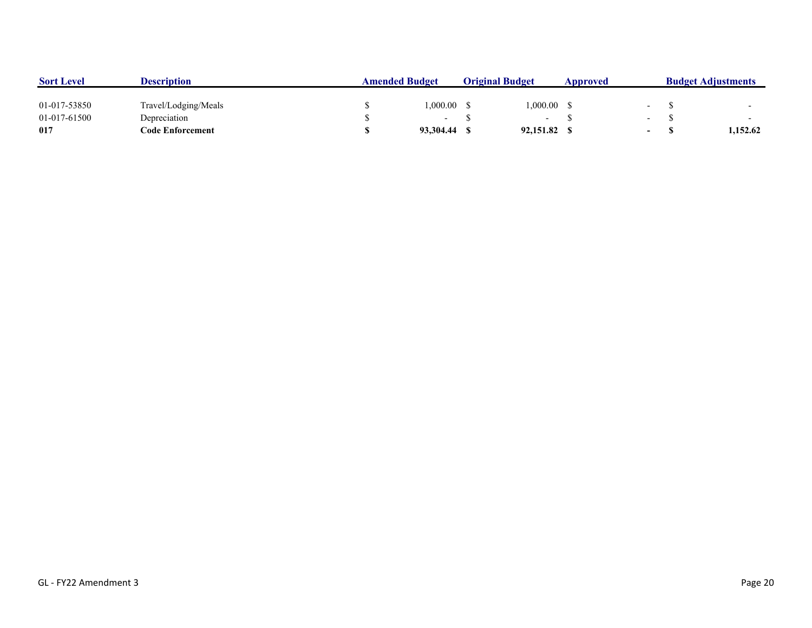| <b>Sort Level</b> | <b>Description</b>   | <b>Amended Budget</b> |           | <b>Original Budget</b> |                          | Approved |                          | <b>Budget Adjustments</b> |          |
|-------------------|----------------------|-----------------------|-----------|------------------------|--------------------------|----------|--------------------------|---------------------------|----------|
| 01-017-53850      | Travel/Lodging/Meals |                       | 00.000.1  |                        | ,000.00                  |          |                          |                           |          |
| 01-017-61500      | Depreciation         |                       |           |                        | $\overline{\phantom{0}}$ |          | $\overline{\phantom{0}}$ |                           |          |
| 017               | Code Enforcement     |                       | 93,304.44 |                        | 92,151.82                |          | $\overline{\phantom{0}}$ |                           | 1,152.62 |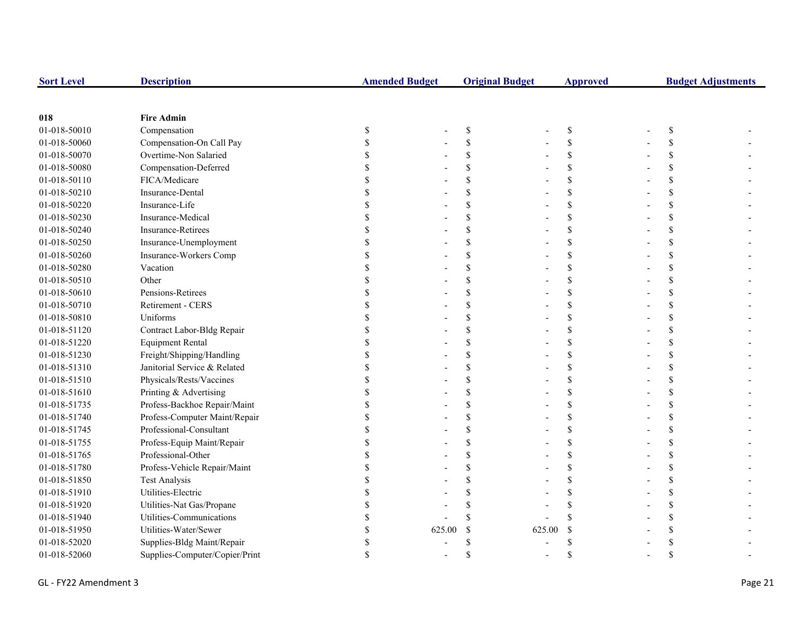| <b>Sort Level</b> | <b>Description</b>             | <b>Amended Budget</b> |        | <b>Original Budget</b> |        | <b>Approved</b>    |    | <b>Budget Adjustments</b> |
|-------------------|--------------------------------|-----------------------|--------|------------------------|--------|--------------------|----|---------------------------|
|                   |                                |                       |        |                        |        |                    |    |                           |
| 018               | <b>Fire Admin</b>              |                       |        |                        |        |                    |    |                           |
| 01-018-50010      | Compensation                   | \$                    |        | \$                     |        | \$                 | \$ |                           |
| 01-018-50060      | Compensation-On Call Pay       |                       |        | $\mathbf S$            |        | $\mathcal{S}$      | \$ |                           |
| 01-018-50070      | Overtime-Non Salaried          |                       |        | S                      |        | \$                 | \$ |                           |
| 01-018-50080      | Compensation-Deferred          |                       |        | \$                     |        | \$                 | \$ |                           |
| 01-018-50110      | FICA/Medicare                  |                       |        | \$                     |        | $\mathcal{S}$      | \$ |                           |
| 01-018-50210      | Insurance-Dental               |                       |        | \$.                    |        | <sup>\$</sup>      | \$ |                           |
| 01-018-50220      | Insurance-Life                 |                       |        | \$                     |        | \$                 | \$ |                           |
| 01-018-50230      | Insurance-Medical              |                       |        | S                      |        | \$                 | \$ |                           |
| 01-018-50240      | <b>Insurance-Retirees</b>      |                       |        | S                      |        | \$                 | \$ |                           |
| 01-018-50250      | Insurance-Unemployment         |                       |        | \$                     |        | \$                 | \$ |                           |
| 01-018-50260      | Insurance-Workers Comp         |                       |        | \$                     |        | \$                 | \$ |                           |
| 01-018-50280      | Vacation                       |                       |        | S                      |        | $\mathcal{S}$      | \$ |                           |
| 01-018-50510      | Other                          |                       |        |                        |        | \$                 | \$ |                           |
| 01-018-50610      | Pensions-Retirees              |                       |        |                        |        | \$                 | \$ |                           |
| 01-018-50710      | Retirement - CERS              |                       |        |                        |        | $\mathcal{S}$      | \$ |                           |
| 01-018-50810      | Uniforms                       |                       |        |                        |        | \$                 | \$ |                           |
| 01-018-51120      | Contract Labor-Bldg Repair     |                       |        |                        |        | $\mathcal{S}$      | \$ |                           |
| 01-018-51220      | <b>Equipment Rental</b>        |                       |        | $\mathbf S$            |        | $\mathcal{S}$      | \$ |                           |
| 01-018-51230      | Freight/Shipping/Handling      |                       |        | \$                     |        | \$                 | \$ |                           |
| 01-018-51310      | Janitorial Service & Related   |                       |        | \$                     |        | $\mathcal{S}$      | \$ |                           |
| 01-018-51510      | Physicals/Rests/Vaccines       |                       |        | \$                     |        | \$                 | \$ |                           |
| 01-018-51610      | Printing & Advertising         |                       |        | \$                     |        | \$                 | \$ |                           |
| 01-018-51735      | Profess-Backhoe Repair/Maint   |                       |        | S                      |        | \$                 | \$ |                           |
| 01-018-51740      | Profess-Computer Maint/Repair  |                       |        | \$.                    |        | \$                 | \$ |                           |
| 01-018-51745      | Professional-Consultant        |                       |        |                        |        | \$                 | \$ |                           |
| 01-018-51755      | Profess-Equip Maint/Repair     |                       |        |                        |        | <sup>\$</sup>      | \$ |                           |
| 01-018-51765      | Professional-Other             |                       |        |                        |        | $\mathcal{S}$      | \$ |                           |
| 01-018-51780      | Profess-Vehicle Repair/Maint   |                       |        |                        |        | \$                 | \$ |                           |
| 01-018-51850      | <b>Test Analysis</b>           |                       |        |                        |        | $\mathcal{S}$      | \$ |                           |
| 01-018-51910      | Utilities-Electric             |                       |        |                        |        |                    | \$ |                           |
| 01-018-51920      | Utilities-Nat Gas/Propane      |                       |        |                        |        | $\mathbf{\hat{S}}$ | \$ |                           |
| 01-018-51940      | Utilities-Communications       |                       |        |                        |        |                    | \$ |                           |
| 01-018-51950      | Utilities-Water/Sewer          |                       | 625.00 | <sup>\$</sup>          | 625.00 | <sup>\$</sup>      | \$ |                           |
| 01-018-52020      | Supplies-Bldg Maint/Repair     |                       |        |                        |        |                    | \$ |                           |
| 01-018-52060      | Supplies-Computer/Copier/Print |                       |        | \$                     |        |                    | \$ |                           |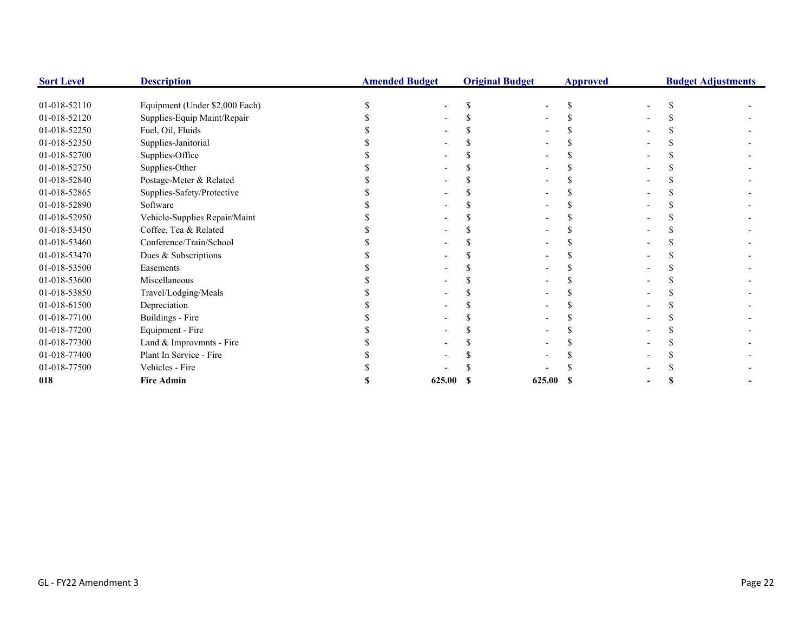| <b>Sort Level</b> | <b>Description</b>             | <b>Amended Budget</b> |  | <b>Original Budget</b> | <b>Approved</b> |  | <b>Budget Adjustments</b> |  |  |
|-------------------|--------------------------------|-----------------------|--|------------------------|-----------------|--|---------------------------|--|--|
|                   |                                |                       |  |                        |                 |  |                           |  |  |
| 01-018-52110      | Equipment (Under \$2,000 Each) |                       |  |                        |                 |  |                           |  |  |
| 01-018-52120      | Supplies-Equip Maint/Repair    |                       |  |                        |                 |  |                           |  |  |
| 01-018-52250      | Fuel, Oil, Fluids              |                       |  |                        |                 |  |                           |  |  |
| 01-018-52350      | Supplies-Janitorial            |                       |  |                        |                 |  |                           |  |  |
| 01-018-52700      | Supplies-Office                |                       |  |                        |                 |  |                           |  |  |
| 01-018-52750      | Supplies-Other                 |                       |  |                        |                 |  |                           |  |  |
| 01-018-52840      | Postage-Meter & Related        |                       |  |                        |                 |  |                           |  |  |
| 01-018-52865      | Supplies-Safety/Protective     |                       |  |                        |                 |  |                           |  |  |
| 01-018-52890      | Software                       |                       |  |                        |                 |  |                           |  |  |
| 01-018-52950      | Vehicle-Supplies Repair/Maint  |                       |  |                        |                 |  |                           |  |  |
| 01-018-53450      | Coffee, Tea & Related          |                       |  |                        |                 |  |                           |  |  |
| 01-018-53460      | Conference/Train/School        |                       |  |                        |                 |  |                           |  |  |
| 01-018-53470      | Dues & Subscriptions           |                       |  |                        |                 |  |                           |  |  |
| 01-018-53500      | Easements                      |                       |  |                        |                 |  |                           |  |  |
| 01-018-53600      | Miscellaneous                  |                       |  |                        |                 |  |                           |  |  |
| 01-018-53850      | Travel/Lodging/Meals           |                       |  |                        |                 |  |                           |  |  |
| 01-018-61500      | Depreciation                   |                       |  |                        |                 |  |                           |  |  |
| 01-018-77100      | Buildings - Fire               |                       |  |                        |                 |  |                           |  |  |
| 01-018-77200      | Equipment - Fire               |                       |  |                        |                 |  |                           |  |  |
| 01-018-77300      | Land & Improvmnts - Fire       |                       |  |                        |                 |  |                           |  |  |
| 01-018-77400      | Plant In Service - Fire        |                       |  |                        |                 |  |                           |  |  |
| 01-018-77500      | Vehicles - Fire                |                       |  |                        |                 |  |                           |  |  |
| 018               | <b>Fire Admin</b>              | 625.00                |  | 625.00                 |                 |  |                           |  |  |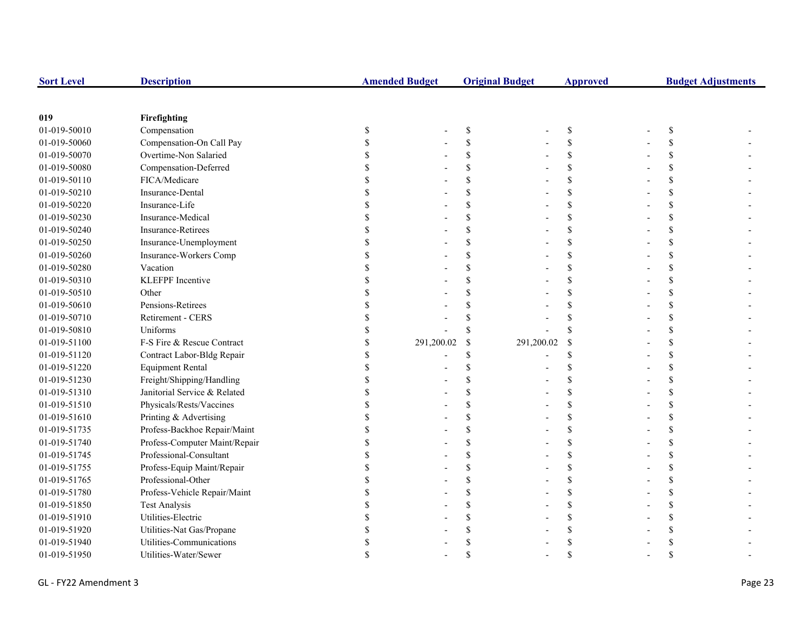| <b>Sort Level</b> | <b>Description</b>            | <b>Amended Budget</b> |               | <b>Original Budget</b> | <b>Approved</b> | <b>Budget Adjustments</b> |  |  |
|-------------------|-------------------------------|-----------------------|---------------|------------------------|-----------------|---------------------------|--|--|
|                   |                               |                       |               |                        |                 |                           |  |  |
| 019               | Firefighting                  |                       |               |                        |                 |                           |  |  |
| 01-019-50010      | Compensation                  | \$                    | \$            |                        | \$              | \$                        |  |  |
| 01-019-50060      | Compensation-On Call Pay      |                       | $\mathbf S$   |                        | \$              |                           |  |  |
| 01-019-50070      | Overtime-Non Salaried         |                       | $\mathcal{S}$ |                        | \$              |                           |  |  |
| 01-019-50080      | Compensation-Deferred         |                       | <sup>\$</sup> |                        | \$              |                           |  |  |
| 01-019-50110      | FICA/Medicare                 |                       | \$            |                        | \$              |                           |  |  |
| 01-019-50210      | Insurance-Dental              |                       | $\mathcal{S}$ |                        | \$              |                           |  |  |
| 01-019-50220      | Insurance-Life                |                       | <sup>\$</sup> |                        | \$              |                           |  |  |
| 01-019-50230      | Insurance-Medical             |                       | <sup>\$</sup> |                        | \$              |                           |  |  |
| 01-019-50240      | Insurance-Retirees            |                       | \$            |                        | \$              |                           |  |  |
| 01-019-50250      | Insurance-Unemployment        |                       | $\mathcal{S}$ |                        | \$              |                           |  |  |
| 01-019-50260      | Insurance-Workers Comp        |                       | <sup>\$</sup> |                        | \$              | \$                        |  |  |
| 01-019-50280      | Vacation                      |                       | <sup>\$</sup> |                        | \$              |                           |  |  |
| 01-019-50310      | <b>KLEFPF</b> Incentive       |                       | <sup>\$</sup> |                        | \$              |                           |  |  |
| 01-019-50510      | Other                         |                       |               |                        | \$              |                           |  |  |
| 01-019-50610      | Pensions-Retirees             |                       |               |                        | $\mathbf S$     |                           |  |  |
| 01-019-50710      | Retirement - CERS             |                       |               |                        | \$              |                           |  |  |
| 01-019-50810      | Uniforms                      |                       | <sup>\$</sup> |                        | \$              |                           |  |  |
| 01-019-51100      | F-S Fire & Rescue Contract    | 291,200.02            | \$            | 291,200.02             | $\mathbf S$     |                           |  |  |
| 01-019-51120      | Contract Labor-Bldg Repair    |                       | <sup>\$</sup> |                        | \$              |                           |  |  |
| 01-019-51220      | <b>Equipment Rental</b>       |                       | <sup>\$</sup> |                        | \$              |                           |  |  |
| 01-019-51230      | Freight/Shipping/Handling     |                       |               |                        | \$              |                           |  |  |
| 01-019-51310      | Janitorial Service & Related  |                       | $\mathcal{S}$ |                        | \$              |                           |  |  |
| 01-019-51510      | Physicals/Rests/Vaccines      |                       | <sup>\$</sup> |                        | \$              | \$.                       |  |  |
| 01-019-51610      | Printing & Advertising        |                       | <sup>\$</sup> |                        | \$              |                           |  |  |
| 01-019-51735      | Profess-Backhoe Repair/Maint  |                       | <sup>\$</sup> |                        | \$              |                           |  |  |
| 01-019-51740      | Profess-Computer Maint/Repair |                       | \$            |                        | \$              |                           |  |  |
| 01-019-51745      | Professional-Consultant       |                       | \$            |                        | \$              |                           |  |  |
| 01-019-51755      | Profess-Equip Maint/Repair    |                       | \$            |                        | \$              |                           |  |  |
| 01-019-51765      | Professional-Other            |                       | <sup>\$</sup> |                        | \$              |                           |  |  |
| 01-019-51780      | Profess-Vehicle Repair/Maint  |                       | $\mathcal{S}$ |                        | \$              |                           |  |  |
| 01-019-51850      | <b>Test Analysis</b>          |                       | \$            |                        | \$              |                           |  |  |
| 01-019-51910      | Utilities-Electric            |                       | <sup>\$</sup> |                        | \$              |                           |  |  |
| 01-019-51920      | Utilities-Nat Gas/Propane     |                       |               |                        | \$              |                           |  |  |
| 01-019-51940      | Utilities-Communications      |                       |               |                        |                 |                           |  |  |
| 01-019-51950      | Utilities-Water/Sewer         |                       |               |                        |                 |                           |  |  |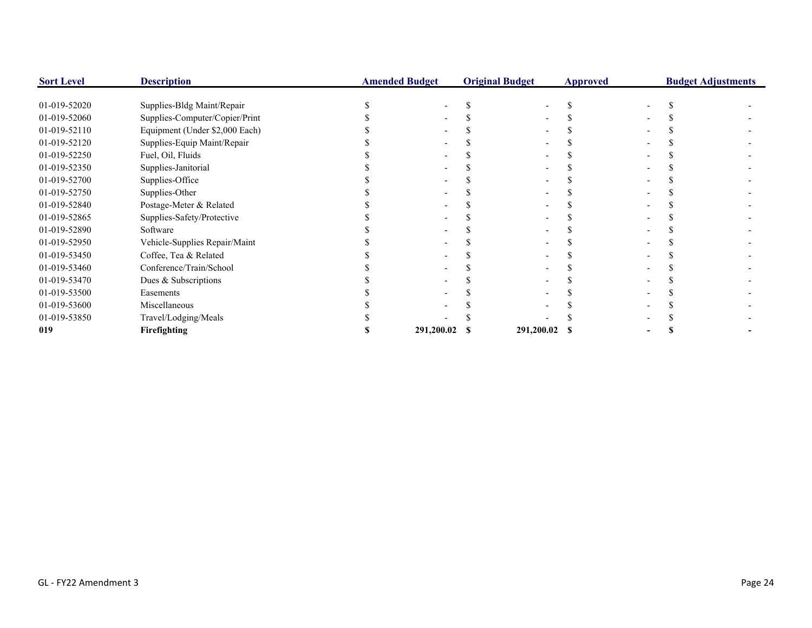| <b>Sort Level</b> | <b>Description</b>             | <b>Amended Budget</b> | <b>Original Budget</b> |               | <b>Approved</b> |  | <b>Budget Adjustments</b> |
|-------------------|--------------------------------|-----------------------|------------------------|---------------|-----------------|--|---------------------------|
|                   |                                |                       |                        |               |                 |  |                           |
| 01-019-52020      | Supplies-Bldg Maint/Repair     |                       |                        |               |                 |  |                           |
| 01-019-52060      | Supplies-Computer/Copier/Print |                       |                        |               |                 |  |                           |
| 01-019-52110      | Equipment (Under \$2,000 Each) |                       |                        |               |                 |  |                           |
| 01-019-52120      | Supplies-Equip Maint/Repair    |                       |                        |               |                 |  |                           |
| 01-019-52250      | Fuel, Oil, Fluids              |                       |                        |               |                 |  |                           |
| 01-019-52350      | Supplies-Janitorial            |                       |                        |               |                 |  |                           |
| 01-019-52700      | Supplies-Office                |                       |                        |               |                 |  |                           |
| 01-019-52750      | Supplies-Other                 |                       |                        |               |                 |  |                           |
| 01-019-52840      | Postage-Meter & Related        |                       |                        |               |                 |  |                           |
| 01-019-52865      | Supplies-Safety/Protective     |                       |                        |               |                 |  |                           |
| 01-019-52890      | Software                       |                       |                        |               |                 |  |                           |
| 01-019-52950      | Vehicle-Supplies Repair/Maint  |                       |                        |               |                 |  |                           |
| 01-019-53450      | Coffee, Tea & Related          |                       |                        |               |                 |  |                           |
| 01-019-53460      | Conference/Train/School        |                       |                        |               |                 |  |                           |
| 01-019-53470      | Dues & Subscriptions           |                       |                        |               |                 |  |                           |
| 01-019-53500      | Easements                      |                       |                        |               |                 |  |                           |
| 01-019-53600      | Miscellaneous                  |                       |                        |               |                 |  |                           |
| 01-019-53850      | Travel/Lodging/Meals           |                       |                        |               |                 |  |                           |
| 019               | Firefighting                   | 291,200.02            |                        | 291,200.02 \$ |                 |  |                           |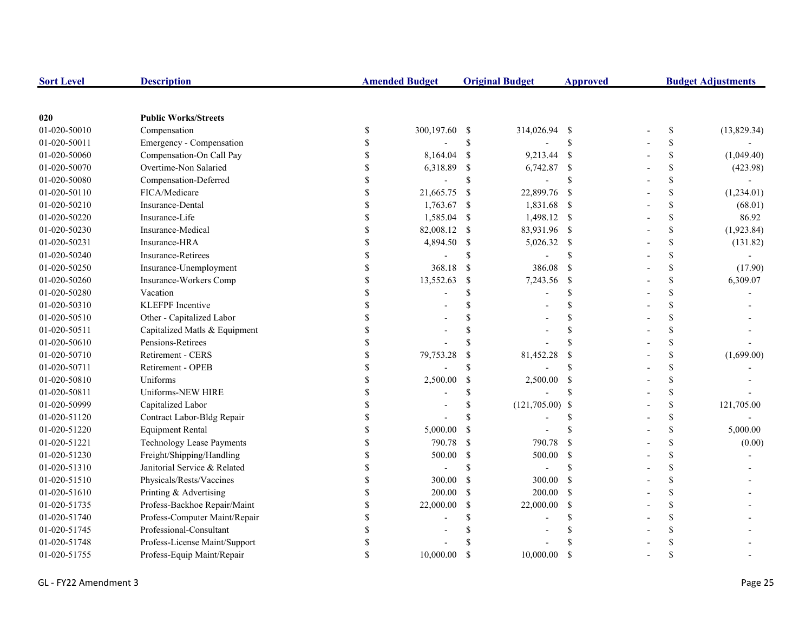| <b>Sort Level</b> | <b>Description</b>               |                    | <b>Amended Budget</b> |                    | <b>Original Budget</b> | <b>Approved</b>    | <b>Budget Adjustments</b> |    |             |
|-------------------|----------------------------------|--------------------|-----------------------|--------------------|------------------------|--------------------|---------------------------|----|-------------|
|                   |                                  |                    |                       |                    |                        |                    |                           |    |             |
| 020               | <b>Public Works/Streets</b>      |                    |                       |                    |                        |                    |                           |    |             |
| 01-020-50010      | Compensation                     | \$                 | 300,197.60 \$         |                    | 314,026.94             | - \$               |                           | \$ | (13,829.34) |
| 01-020-50011      | Emergency - Compensation         | \$                 |                       | $\mathbf{\hat{S}}$ |                        | $\mathcal{S}$      |                           | \$ |             |
| 01-020-50060      | Compensation-On Call Pay         | \$                 | 8,164.04              | <sup>S</sup>       | 9,213.44               | - \$               |                           | \$ | (1,049.40)  |
| 01-020-50070      | Overtime-Non Salaried            | \$                 | 6,318.89              | \$                 | 6,742.87               | $\mathbf{\hat{s}}$ |                           | \$ | (423.98)    |
| 01-020-50080      | Compensation-Deferred            | \$                 |                       | $\mathbf S$        |                        | <sup>\$</sup>      |                           | \$ |             |
| 01-020-50110      | FICA/Medicare                    | \$                 | 21,665.75             | -S                 | 22,899.76              | - \$               |                           | \$ | (1,234.01)  |
| 01-020-50210      | Insurance-Dental                 | \$                 | 1,763.67              | -\$                | 1,831.68 \$            |                    |                           | \$ | (68.01)     |
| 01-020-50220      | Insurance-Life                   | \$                 | 1,585.04              | -\$                | 1,498.12 \$            |                    |                           | \$ | 86.92       |
| 01-020-50230      | Insurance-Medical                | \$                 | 82,008.12             | -S                 | 83,931.96 \$           |                    |                           | \$ | (1,923.84)  |
| 01-020-50231      | Insurance-HRA                    | \$                 | 4,894.50              | -S                 | 5,026.32 \$            |                    |                           | \$ | (131.82)    |
| 01-020-50240      | <b>Insurance-Retirees</b>        | \$                 |                       | \$                 |                        | <sup>\$</sup>      |                           | \$ |             |
| 01-020-50250      | Insurance-Unemployment           | \$                 | 368.18                | -S                 | 386.08                 | - \$               |                           | \$ | (17.90)     |
| 01-020-50260      | Insurance-Workers Comp           | \$                 | 13,552.63             | \$                 | 7,243.56               | - \$               |                           | \$ | 6,309.07    |
| 01-020-50280      | Vacation                         | \$                 |                       | $\mathbf S$        |                        | $\mathcal{S}$      |                           | \$ |             |
| 01-020-50310      | <b>KLEFPF</b> Incentive          |                    |                       |                    |                        | $\mathcal{S}$      |                           | \$ |             |
| 01-020-50510      | Other - Capitalized Labor        |                    |                       |                    |                        | <sup>\$</sup>      |                           | \$ |             |
| 01-020-50511      | Capitalized Matls & Equipment    | $\mathbf{\hat{S}}$ |                       |                    |                        | <sup>\$</sup>      |                           | \$ |             |
| 01-020-50610      | Pensions-Retirees                |                    |                       |                    |                        | $\mathcal{S}$      |                           | \$ |             |
| 01-020-50710      | <b>Retirement - CERS</b>         | \$                 | 79,753.28             | \$                 | 81,452.28              | <sup>\$</sup>      |                           | \$ | (1,699.00)  |
| 01-020-50711      | Retirement - OPEB                | \$                 |                       | S                  |                        |                    |                           | \$ |             |
| 01-020-50810      | Uniforms                         | \$                 | 2,500.00              | <sup>\$</sup>      | 2,500.00               | <sup>\$</sup>      |                           | \$ |             |
| 01-020-50811      | Uniforms-NEW HIRE                | \$                 |                       | \$                 |                        |                    |                           | \$ |             |
| 01-020-50999      | Capitalized Labor                | \$                 |                       | \$                 | $(121,705.00)$ \$      |                    |                           | \$ | 121,705.00  |
| 01-020-51120      | Contract Labor-Bldg Repair       | \$                 |                       | S                  |                        | <sup>\$</sup>      |                           | \$ |             |
| 01-020-51220      | <b>Equipment Rental</b>          | \$                 | 5,000.00              | <sup>\$</sup>      |                        |                    |                           | \$ | 5,000.00    |
| 01-020-51221      | <b>Technology Lease Payments</b> | \$                 | 790.78                | -S                 | 790.78                 | <sup>\$</sup>      |                           | \$ | (0.00)      |
| 01-020-51230      | Freight/Shipping/Handling        | $\mathbf{\hat{S}}$ | 500.00                | $\$$               | 500.00                 | <sup>\$</sup>      |                           | \$ |             |
| 01-020-51310      | Janitorial Service & Related     | \$                 |                       | \$                 |                        | $\mathcal{S}$      |                           | \$ |             |
| 01-020-51510      | Physicals/Rests/Vaccines         | \$                 | 300.00                | <sup>\$</sup>      | 300.00                 | - \$               |                           | \$ |             |
| 01-020-51610      | Printing & Advertising           | $\mathbb{S}$       | 200.00                | $\mathcal{S}$      | 200.00                 | $\mathbf{s}$       |                           | \$ |             |
| 01-020-51735      | Profess-Backhoe Repair/Maint     | \$                 | 22,000.00             | <sup>\$</sup>      | 22,000.00              | <sup>\$</sup>      |                           | \$ |             |
| 01-020-51740      | Profess-Computer Maint/Repair    | \$                 |                       | S                  |                        | S                  |                           | \$ |             |
| 01-020-51745      | Professional-Consultant          | \$                 |                       |                    |                        |                    |                           | \$ |             |
| 01-020-51748      | Profess-License Maint/Support    | \$                 |                       |                    |                        |                    |                           | \$ |             |
| 01-020-51755      | Profess-Equip Maint/Repair       | $\mathbf S$        | 10,000.00             | <sup>\$</sup>      | 10,000.00              | <sup>\$</sup>      |                           | \$ |             |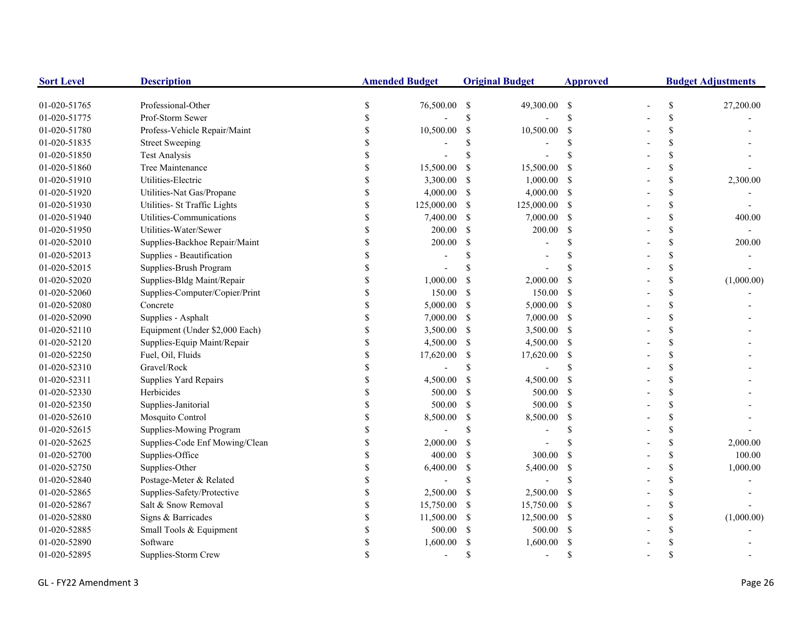| <b>Sort Level</b> | <b>Description</b>             | <b>Amended Budget</b> |            | <b>Original Budget</b> |             | <b>Approved</b> | <b>Budget Adjustments</b> |               |            |
|-------------------|--------------------------------|-----------------------|------------|------------------------|-------------|-----------------|---------------------------|---------------|------------|
| 01-020-51765      | Professional-Other             | \$                    | 76,500.00  | -S                     | 49,300.00   | $\mathbf{s}$    |                           | \$            | 27,200.00  |
| 01-020-51775      | Prof-Storm Sewer               |                       |            | \$                     |             | $\mathbf S$     |                           | \$            |            |
| 01-020-51780      | Profess-Vehicle Repair/Maint   | <sup>\$</sup>         | 10,500.00  | -S                     | 10,500.00   | \$              |                           | \$            |            |
| 01-020-51835      | <b>Street Sweeping</b>         |                       |            |                        |             | <sup>\$</sup>   |                           | \$            |            |
| 01-020-51850      | <b>Test Analysis</b>           |                       |            |                        |             |                 |                           | \$            |            |
| 01-020-51860      | Tree Maintenance               |                       | 15,500.00  | -S                     | 15,500.00   | S               |                           | \$            |            |
| 01-020-51910      | Utilities-Electric             |                       | 3,300.00   | -S                     | 1,000.00    | -S              |                           | \$            | 2,300.00   |
| 01-020-51920      | Utilities-Nat Gas/Propane      | $\mathcal{S}$         | 4,000.00   | -S                     | 4,000.00    | <sup>\$</sup>   |                           | \$            |            |
| 01-020-51930      | Utilities- St Traffic Lights   | \$                    | 125,000.00 | -S                     | 125,000.00  | -S              |                           | \$            |            |
| 01-020-51940      | Utilities-Communications       | \$                    | 7,400.00   | -S                     | 7,000.00    | -S              |                           | \$            | 400.00     |
| 01-020-51950      | Utilities-Water/Sewer          | \$                    | 200.00     | <sup>\$</sup>          | 200.00      | <sup>\$</sup>   |                           | \$            |            |
| 01-020-52010      | Supplies-Backhoe Repair/Maint  | \$                    | 200.00     | -S                     |             | \$.             |                           | \$            | 200.00     |
| 01-020-52013      | Supplies - Beautification      |                       |            |                        |             |                 |                           | \$            |            |
| 01-020-52015      | Supplies-Brush Program         |                       |            |                        |             |                 |                           | \$            |            |
| 01-020-52020      | Supplies-Bldg Maint/Repair     | <sup>\$</sup>         | 1,000.00   | <sup>\$</sup>          | 2,000.00    | <sup>\$</sup>   |                           | \$            | (1,000.00) |
| 01-020-52060      | Supplies-Computer/Copier/Print |                       | 150.00     | \$                     | 150.00      | <sup>\$</sup>   |                           | \$            |            |
| 01-020-52080      | Concrete                       |                       | 5,000.00   | -S                     | 5,000.00    | <sup>S</sup>    |                           | \$            |            |
| 01-020-52090      | Supplies - Asphalt             |                       | 7,000.00   | -S                     | 7,000.00    | -S              |                           | \$            |            |
| 01-020-52110      | Equipment (Under \$2,000 Each) |                       | 3,500.00   | -S                     | 3,500.00 \$ |                 |                           | \$            |            |
| 01-020-52120      | Supplies-Equip Maint/Repair    |                       | 4,500.00   | -S                     | 4,500.00 \$ |                 |                           | \$            |            |
| 01-020-52250      | Fuel, Oil, Fluids              |                       | 17,620.00  | -S                     | 17,620.00   | <sup>\$</sup>   |                           | \$            |            |
| 01-020-52310      | Gravel/Rock                    | \$                    |            | \$                     |             | S.              |                           | \$            |            |
| 01-020-52311      | Supplies Yard Repairs          | \$                    | 4,500.00   | \$                     | 4,500.00    | <sup>\$</sup>   |                           | \$            |            |
| 01-020-52330      | Herbicides                     | S                     | 500.00     | <sup>\$</sup>          | 500.00      | <sup>\$</sup>   |                           | \$            |            |
| 01-020-52350      | Supplies-Janitorial            | \$                    | 500.00     | -S                     | 500.00      | <sup>\$</sup>   |                           | \$            |            |
| 01-020-52610      | Mosquito Control               | \$                    | 8,500.00   | -\$                    | 8,500.00    | \$              |                           | \$            |            |
| 01-020-52615      | Supplies-Mowing Program        | <sup>\$</sup>         |            | S                      |             | $\mathcal{S}$   |                           | \$            |            |
| 01-020-52625      | Supplies-Code Enf Mowing/Clean |                       | 2,000.00   | -S                     |             |                 |                           | \$            | 2,000.00   |
| 01-020-52700      | Supplies-Office                |                       | 400.00     | -S                     | 300.00      | <sup>\$</sup>   |                           | \$            | 100.00     |
| 01-020-52750      | Supplies-Other                 |                       | 6,400.00   | <sup>\$</sup>          | 5,400.00    | <sup>\$</sup>   |                           | \$            | 1,000.00   |
| 01-020-52840      | Postage-Meter & Related        |                       |            | \$                     |             | <sup>\$</sup>   |                           | \$            |            |
| 01-020-52865      | Supplies-Safety/Protective     |                       | 2,500.00   | -S                     | 2,500.00    | S               |                           | \$            |            |
| 01-020-52867      | Salt & Snow Removal            |                       | 15,750.00  | -S                     | 15,750.00   | -\$             |                           | \$            |            |
| 01-020-52880      | Signs & Barricades             |                       | 11,500.00  | -S                     | 12,500.00   | -\$             |                           | \$            | (1,000.00) |
| 01-020-52885      | Small Tools & Equipment        |                       | 500.00     | -S                     | 500.00      | <sup>\$</sup>   |                           | \$            |            |
| 01-020-52890      | Software                       |                       | 1,600.00   |                        | 1,600.00    | S               |                           | <sup>\$</sup> |            |
| 01-020-52895      | Supplies-Storm Crew            |                       |            | S                      |             | $\mathcal{S}$   |                           | $\mathcal{S}$ |            |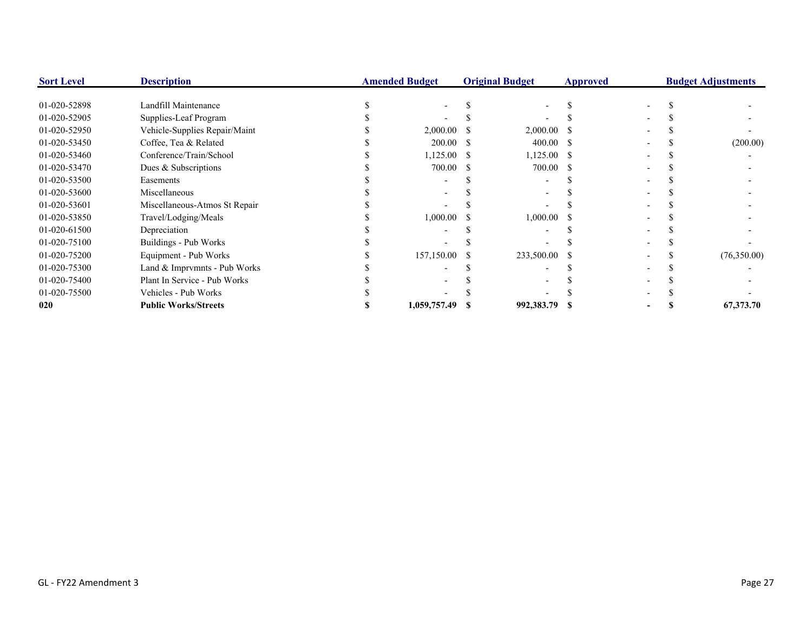| <b>Sort Level</b> | <b>Description</b>            | <b>Amended Budget</b> |    | <b>Original Budget</b> | Approved |  | <b>Budget Adjustments</b> |
|-------------------|-------------------------------|-----------------------|----|------------------------|----------|--|---------------------------|
| 01-020-52898      | Landfill Maintenance          |                       |    |                        |          |  |                           |
| 01-020-52905      | Supplies-Leaf Program         |                       |    |                        |          |  |                           |
| 01-020-52950      | Vehicle-Supplies Repair/Maint | 2,000.00              |    | $2,000.00$ \$          |          |  |                           |
| 01-020-53450      | Coffee, Tea & Related         | 200.00                | -8 | 400.00 \$              |          |  | (200.00)                  |
| 01-020-53460      | Conference/Train/School       | 1,125.00              | -S | $1,125.00$ \$          |          |  |                           |
| 01-020-53470      | Dues & Subscriptions          | 700.00                | -S | 700.00 \$              |          |  |                           |
| 01-020-53500      | Easements                     |                       |    |                        |          |  |                           |
| 01-020-53600      | Miscellaneous                 |                       |    |                        |          |  |                           |
| 01-020-53601      | Miscellaneous-Atmos St Repair |                       |    |                        |          |  |                           |
| 01-020-53850      | Travel/Lodging/Meals          | 1,000.00              |    | $1,000.00$ \$          |          |  |                           |
| 01-020-61500      | Depreciation                  |                       |    |                        |          |  |                           |
| 01-020-75100      | Buildings - Pub Works         |                       |    |                        |          |  |                           |
| 01-020-75200      | Equipment - Pub Works         | 157,150.00            |    | 233,500.00 \$          |          |  | (76,350.00)               |
| 01-020-75300      | Land & Imprvmnts - Pub Works  |                       |    |                        |          |  |                           |
| 01-020-75400      | Plant In Service - Pub Works  |                       |    |                        |          |  |                           |
| 01-020-75500      | Vehicles - Pub Works          |                       |    |                        |          |  |                           |
| 020               | <b>Public Works/Streets</b>   | 1,059,757.49          |    | 992,383.79             |          |  | 67,373.70                 |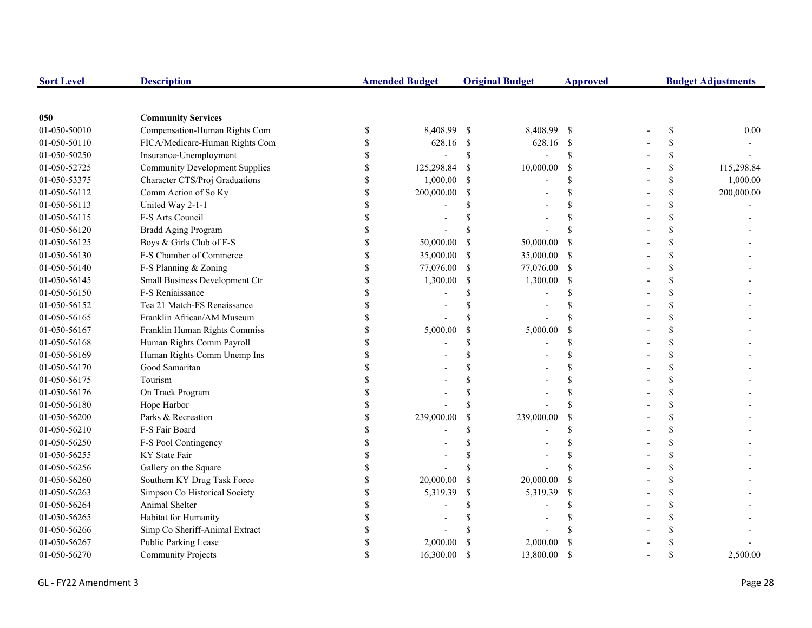| <b>Sort Level</b> | <b>Description</b>                    |                    | <b>Amended Budget</b> |             | <b>Original Budget</b> | <b>Approved</b> |               | <b>Budget Adjustments</b> |
|-------------------|---------------------------------------|--------------------|-----------------------|-------------|------------------------|-----------------|---------------|---------------------------|
|                   |                                       |                    |                       |             |                        |                 |               |                           |
| 050               | <b>Community Services</b>             |                    |                       |             |                        |                 |               |                           |
| 01-050-50010      | Compensation-Human Rights Com         | $\$$               | 8,408.99              | -S          | 8,408.99 \$            |                 | $\mathbb{S}$  | 0.00                      |
| 01-050-50110      | FICA/Medicare-Human Rights Com        | \$                 | 628.16 \$             |             | 628.16 \$              |                 | \$            |                           |
| 01-050-50250      | Insurance-Unemployment                | \$                 |                       | $\mathbf S$ | $\overline{a}$         | $\mathcal{S}$   | $\mathsf{\$}$ |                           |
| 01-050-52725      | <b>Community Development Supplies</b> | \$                 | 125,298.84            | -S          | 10,000.00              | <sup>\$</sup>   | \$            | 115,298.84                |
| 01-050-53375      | Character CTS/Proj Graduations        | \$                 | 1,000.00              | S           |                        | \$              | \$            | 1,000.00                  |
| 01-050-56112      | Comm Action of So Ky                  | \$                 | 200,000.00            | S           |                        | \$              | \$            | 200,000.00                |
| 01-050-56113      | United Way 2-1-1                      | \$                 |                       |             |                        | \$              | \$            |                           |
| 01-050-56115      | F-S Arts Council                      | \$                 |                       |             |                        |                 | \$            |                           |
| 01-050-56120      | <b>Bradd Aging Program</b>            | \$                 |                       |             |                        |                 | \$            |                           |
| 01-050-56125      | Boys & Girls Club of F-S              | \$                 | 50,000.00             | S           | 50,000.00              | -S              | \$            |                           |
| 01-050-56130      | F-S Chamber of Commerce               | $\$$               | 35,000.00             | S           | 35,000.00              | -S              | \$            |                           |
| 01-050-56140      | F-S Planning & Zoning                 | $\mathbb{S}$       | 77,076.00             | -S          | 77,076.00 \$           |                 | \$            |                           |
| 01-050-56145      | Small Business Development Ctr        | \$                 | 1,300.00              | \$          | 1,300.00               | -\$             | \$            |                           |
| 01-050-56150      | F-S Reniaissance                      | \$                 |                       |             |                        | \$              | \$            |                           |
| 01-050-56152      | Tea 21 Match-FS Renaissance           | \$                 |                       |             |                        |                 | <sup>\$</sup> |                           |
| 01-050-56165      | Franklin African/AM Museum            | \$                 |                       |             |                        | S               | <sup>\$</sup> |                           |
| 01-050-56167      | Franklin Human Rights Commiss         | \$                 | 5,000.00              | S           | 5,000.00               | $\mathcal{S}$   | \$            |                           |
| 01-050-56168      | Human Rights Comm Payroll             | \$                 |                       | \$          |                        | \$              | \$            |                           |
| 01-050-56169      | Human Rights Comm Unemp Ins           | \$                 |                       |             |                        | $\mathbf S$     | \$            |                           |
| 01-050-56170      | Good Samaritan                        | $\mathbf S$        |                       |             |                        | S               | \$            |                           |
| 01-050-56175      | Tourism                               | \$                 |                       |             |                        | S               | $\mathbf S$   |                           |
| 01-050-56176      | On Track Program                      | \$                 |                       |             |                        | S               | \$            |                           |
| 01-050-56180      | Hope Harbor                           | \$                 |                       |             |                        |                 | \$            |                           |
| 01-050-56200      | Parks & Recreation                    | \$                 | 239,000.00            | \$          | 239,000.00             | $\mathcal{S}$   | \$            |                           |
| 01-050-56210      | F-S Fair Board                        | \$                 |                       |             |                        | \$              | \$            |                           |
| 01-050-56250      | F-S Pool Contingency                  | \$                 |                       |             |                        |                 | <sup>\$</sup> |                           |
| 01-050-56255      | KY State Fair                         | \$                 |                       |             |                        |                 | <sup>\$</sup> |                           |
| 01-050-56256      | Gallery on the Square                 | \$                 |                       |             |                        | \$              | \$            |                           |
| 01-050-56260      | Southern KY Drug Task Force           | \$                 | 20,000.00             | S           | 20,000.00              | <sup>\$</sup>   | <sup>\$</sup> |                           |
| 01-050-56263      | Simpson Co Historical Society         | \$                 | 5,319.39              | S           | 5,319.39               | <sup>\$</sup>   | \$            |                           |
| 01-050-56264      | Animal Shelter                        | \$                 |                       |             |                        | \$              | <sup>\$</sup> |                           |
| 01-050-56265      | Habitat for Humanity                  | \$                 |                       |             |                        |                 | <sup>\$</sup> |                           |
| 01-050-56266      | Simp Co Sheriff-Animal Extract        | \$                 |                       |             |                        |                 | <sup>\$</sup> |                           |
| 01-050-56267      | Public Parking Lease                  | \$                 | 2,000.00              |             | 2,000.00               | <sup>\$</sup>   | <sup>\$</sup> |                           |
| 01-050-56270      | <b>Community Projects</b>             | $\mathbf{\hat{S}}$ | 16,300.00             | \$.         | 13,800.00              | <sup>\$</sup>   | $\mathcal{S}$ | 2.500.00                  |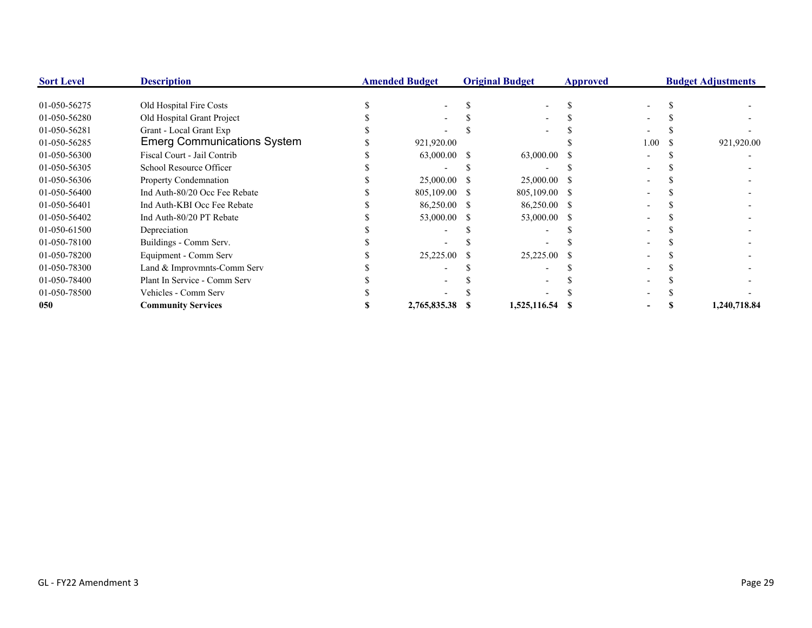| <b>Sort Level</b> | <b>Description</b>                 | <b>Amended Budget</b> |               | <b>Original Budget</b> |              | <b>Approved</b> | <b>Budget Adjustments</b> |  |              |
|-------------------|------------------------------------|-----------------------|---------------|------------------------|--------------|-----------------|---------------------------|--|--------------|
| 01-050-56275      | Old Hospital Fire Costs            |                       |               |                        |              |                 |                           |  |              |
| 01-050-56280      | Old Hospital Grant Project         |                       |               |                        |              |                 |                           |  |              |
| 01-050-56281      | Grant - Local Grant Exp            |                       |               |                        |              |                 |                           |  |              |
| 01-050-56285      | <b>Emerg Communications System</b> |                       | 921,920.00    |                        |              |                 | 1.00                      |  | 921,920.00   |
| 01-050-56300      | Fiscal Court - Jail Contrib        |                       | 63,000.00 \$  |                        | 63,000.00    |                 |                           |  |              |
| 01-050-56305      | School Resource Officer            |                       |               |                        |              |                 |                           |  |              |
| 01-050-56306      | Property Condemnation              |                       | 25,000.00 \$  |                        | 25,000.00    |                 |                           |  |              |
| 01-050-56400      | Ind Auth-80/20 Occ Fee Rebate      |                       | 805,109.00 \$ |                        | 805,109.00   |                 |                           |  |              |
| 01-050-56401      | Ind Auth-KBI Occ Fee Rebate        |                       | 86,250.00 \$  |                        | 86,250.00    |                 |                           |  |              |
| 01-050-56402      | Ind Auth-80/20 PT Rebate           |                       | 53,000.00 \$  |                        | 53,000.00    | -8              |                           |  |              |
| 01-050-61500      | Depreciation                       |                       |               |                        |              |                 |                           |  |              |
| 01-050-78100      | Buildings - Comm Serv.             |                       |               |                        |              |                 |                           |  |              |
| 01-050-78200      | Equipment - Comm Serv              |                       | 25,225.00     |                        | 25,225.00    |                 |                           |  |              |
| 01-050-78300      | Land & Improvmnts-Comm Serv        |                       |               |                        |              |                 |                           |  |              |
| 01-050-78400      | Plant In Service - Comm Serv       |                       |               |                        |              |                 |                           |  |              |
| 01-050-78500      | Vehicles - Comm Serv               |                       |               |                        |              |                 |                           |  |              |
| 050               | <b>Community Services</b>          |                       | 2,765,835.38  |                        | 1,525,116.54 |                 |                           |  | 1,240,718.84 |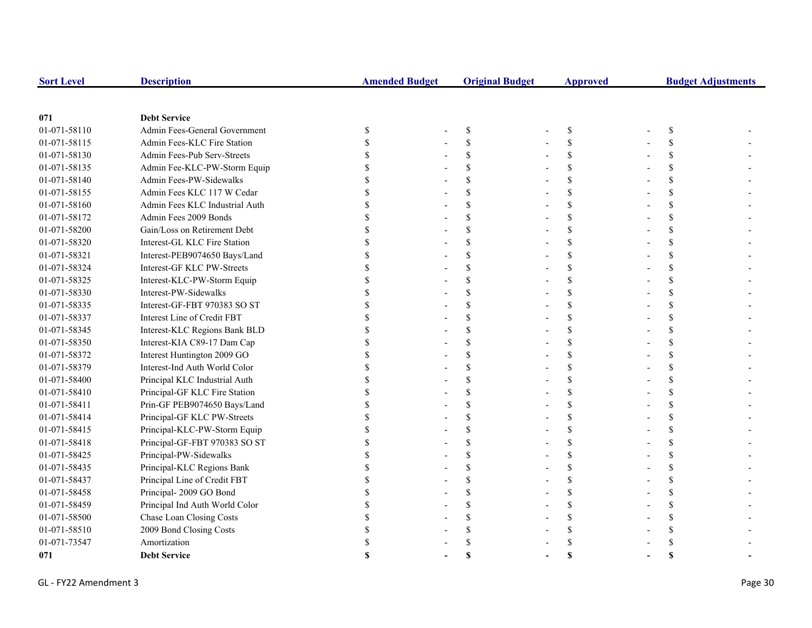| <b>Sort Level</b> | <b>Description</b>             | <b>Amended Budget</b> | <b>Original Budget</b> | <b>Approved</b>    | <b>Budget Adjustments</b> |  |
|-------------------|--------------------------------|-----------------------|------------------------|--------------------|---------------------------|--|
|                   |                                |                       |                        |                    |                           |  |
| 071               | <b>Debt Service</b>            |                       |                        |                    |                           |  |
| 01-071-58110      | Admin Fees-General Government  | \$                    | \$                     | \$                 | \$                        |  |
| 01-071-58115      | Admin Fees-KLC Fire Station    |                       | <sup>\$</sup>          | \$                 |                           |  |
| 01-071-58130      | Admin Fees-Pub Serv-Streets    |                       | \$                     | \$                 |                           |  |
| 01-071-58135      | Admin Fee-KLC-PW-Storm Equip   |                       | $\mathcal{S}$          | $\mathbf{\hat{S}}$ |                           |  |
| 01-071-58140      | Admin Fees-PW-Sidewalks        |                       | $\mathcal{S}$          | $\mathbf{\hat{S}}$ |                           |  |
| 01-071-58155      | Admin Fees KLC 117 W Cedar     |                       | <sup>\$</sup>          | \$                 |                           |  |
| 01-071-58160      | Admin Fees KLC Industrial Auth |                       | <sup>\$</sup>          | \$                 |                           |  |
| 01-071-58172      | Admin Fees 2009 Bonds          |                       |                        | \$                 |                           |  |
| 01-071-58200      | Gain/Loss on Retirement Debt   |                       |                        | \$                 |                           |  |
| 01-071-58320      | Interest-GL KLC Fire Station   |                       | $\mathcal{S}$          | \$                 |                           |  |
| 01-071-58321      | Interest-PEB9074650 Bays/Land  |                       | $\mathcal{S}$          | \$                 |                           |  |
| 01-071-58324      | Interest-GF KLC PW-Streets     |                       | <sup>\$</sup>          | \$                 |                           |  |
| 01-071-58325      | Interest-KLC-PW-Storm Equip    |                       | <sup>\$</sup>          | \$                 |                           |  |
| 01-071-58330      | Interest-PW-Sidewalks          |                       |                        | \$                 |                           |  |
| 01-071-58335      | Interest-GF-FBT 970383 SO ST   |                       |                        | \$                 |                           |  |
| 01-071-58337      | Interest Line of Credit FBT    |                       |                        | $\mathbf{\hat{S}}$ |                           |  |
| 01-071-58345      | Interest-KLC Regions Bank BLD  |                       | $\mathcal{S}$          | $\mathbf{\hat{S}}$ |                           |  |
| 01-071-58350      | Interest-KIA C89-17 Dam Cap    |                       |                        | \$                 |                           |  |
| 01-071-58372      | Interest Huntington 2009 GO    |                       |                        | \$                 |                           |  |
| 01-071-58379      | Interest-Ind Auth World Color  |                       |                        | \$                 |                           |  |
| 01-071-58400      | Principal KLC Industrial Auth  |                       |                        | \$                 |                           |  |
| 01-071-58410      | Principal-GF KLC Fire Station  |                       | $\mathcal{S}$          | \$                 |                           |  |
| 01-071-58411      | Prin-GF PEB9074650 Bays/Land   |                       | <sup>\$</sup>          | \$                 |                           |  |
| 01-071-58414      | Principal-GF KLC PW-Streets    |                       | <sup>\$</sup>          | \$                 |                           |  |
| 01-071-58415      | Principal-KLC-PW-Storm Equip   |                       | <sup>\$</sup>          | \$                 |                           |  |
| 01-071-58418      | Principal-GF-FBT 970383 SO ST  |                       |                        | \$                 |                           |  |
| 01-071-58425      | Principal-PW-Sidewalks         |                       | \$                     | \$                 |                           |  |
| 01-071-58435      | Principal-KLC Regions Bank     |                       | $\mathcal{S}$          | $\mathbf{\hat{S}}$ |                           |  |
| 01-071-58437      | Principal Line of Credit FBT   |                       | <sup>\$</sup>          | $\mathbf{\hat{S}}$ |                           |  |
| 01-071-58458      | Principal-2009 GO Bond         |                       | <sup>\$</sup>          | \$                 |                           |  |
| 01-071-58459      | Principal Ind Auth World Color |                       | <sup>\$</sup>          | \$                 |                           |  |
| 01-071-58500      | Chase Loan Closing Costs       |                       |                        |                    |                           |  |
| 01-071-58510      | 2009 Bond Closing Costs        |                       |                        |                    |                           |  |
| 01-071-73547      | Amortization                   |                       |                        |                    |                           |  |
| 071               | <b>Debt Service</b>            |                       | S                      |                    |                           |  |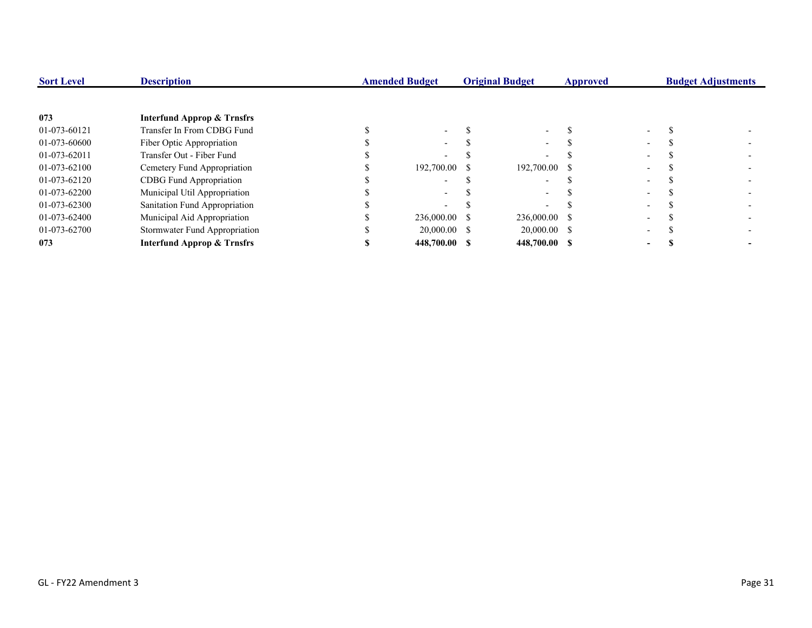| <b>Sort Level</b> | <b>Description</b>                    | <b>Amended Budget</b> |               | <b>Original Budget</b> |                | <b>Approved</b> |                          | <b>Budget Adjustments</b> |  |
|-------------------|---------------------------------------|-----------------------|---------------|------------------------|----------------|-----------------|--------------------------|---------------------------|--|
|                   |                                       |                       |               |                        |                |                 |                          |                           |  |
| 073               | <b>Interfund Approp &amp; Trnsfrs</b> |                       |               |                        |                |                 |                          |                           |  |
| 01-073-60121      | Transfer In From CDBG Fund            |                       |               |                        |                |                 |                          |                           |  |
| 01-073-60600      | Fiber Optic Appropriation             |                       | $\sim$        |                        |                |                 |                          |                           |  |
| 01-073-62011      | Transfer Out - Fiber Fund             |                       |               |                        |                |                 |                          |                           |  |
| 01-073-62100      | Cemetery Fund Appropriation           |                       | 192,700.00 \$ |                        | 192,700.00 \$  |                 | $\overline{\phantom{0}}$ |                           |  |
| 01-073-62120      | CDBG Fund Appropriation               |                       |               |                        |                |                 |                          |                           |  |
| 01-073-62200      | Municipal Util Appropriation          |                       |               |                        |                |                 |                          |                           |  |
| 01-073-62300      | Sanitation Fund Appropriation         |                       |               |                        |                |                 | $\overline{\phantom{a}}$ |                           |  |
| 01-073-62400      | Municipal Aid Appropriation           |                       | 236,000.00 \$ |                        | 236,000.00 \$  |                 |                          |                           |  |
| 01-073-62700      | Stormwater Fund Appropriation         |                       | 20,000.00 \$  |                        | $20,000.00$ \$ |                 | $\overline{\phantom{0}}$ |                           |  |
| 073               | <b>Interfund Approp &amp; Trnsfrs</b> |                       | 448,700.00 \$ |                        | 448,700.00 \$  |                 | -                        |                           |  |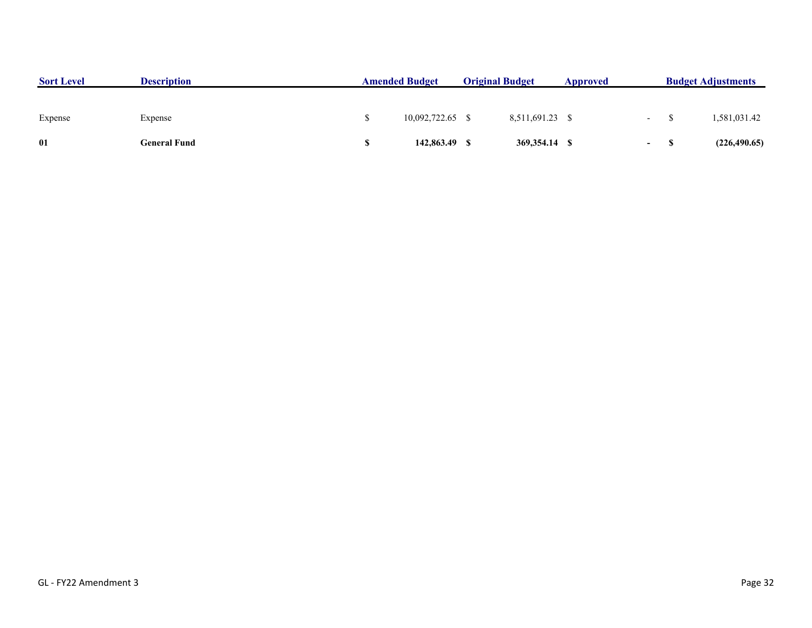| <b>Sort Level</b> | <b>Description</b> | <b>Amended Budget</b><br><b>Original Budget</b> |               |  |                 | Approved |        | <b>Budget Adjustments</b> |  |
|-------------------|--------------------|-------------------------------------------------|---------------|--|-----------------|----------|--------|---------------------------|--|
|                   |                    |                                                 |               |  |                 |          |        |                           |  |
| Expense           | Expense            |                                                 | 10,092,722.65 |  | 8,511,691.23 \$ |          | $\sim$ | 1,581,031.42              |  |
| 01                | General Fund       |                                                 | 142,863.49    |  | 369,354.14 \$   |          | $\sim$ | (226, 490.65)             |  |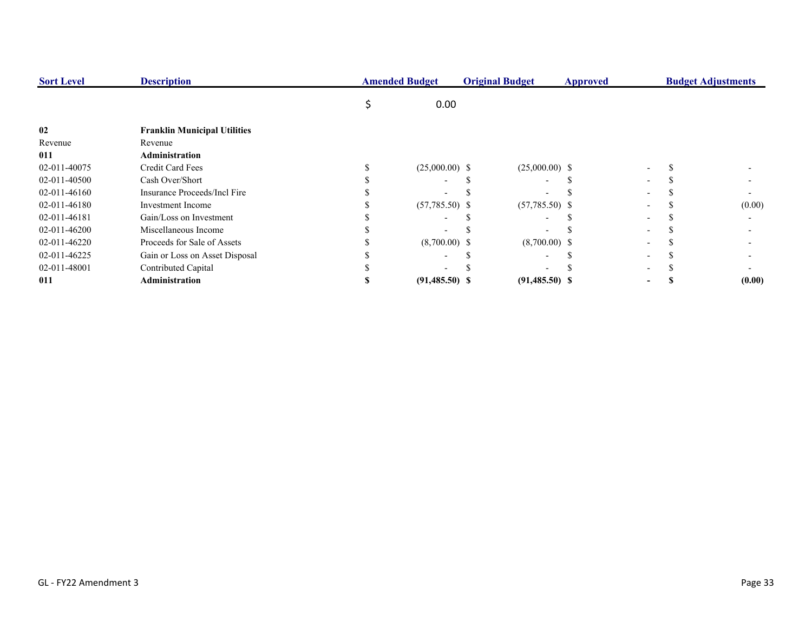| <b>Sort Level</b> | <b>Description</b>                  | <b>Amended Budget</b> |                  | <b>Original Budget</b><br>Approved |                          | <b>Budget Adjustments</b> |  |  |        |
|-------------------|-------------------------------------|-----------------------|------------------|------------------------------------|--------------------------|---------------------------|--|--|--------|
|                   |                                     |                       | 0.00             |                                    |                          |                           |  |  |        |
| 02                | <b>Franklin Municipal Utilities</b> |                       |                  |                                    |                          |                           |  |  |        |
| Revenue           | Revenue                             |                       |                  |                                    |                          |                           |  |  |        |
| 011               | Administration                      |                       |                  |                                    |                          |                           |  |  |        |
| 02-011-40075      | Credit Card Fees                    |                       | $(25,000.00)$ \$ |                                    | $(25,000.00)$ \$         |                           |  |  |        |
| 02-011-40500      | Cash Over/Short                     |                       |                  |                                    | $\overline{\phantom{0}}$ |                           |  |  |        |
| 02-011-46160      | Insurance Proceeds/Incl Fire        |                       |                  |                                    |                          |                           |  |  |        |
| 02-011-46180      | <b>Investment</b> Income            |                       | $(57,785.50)$ \$ |                                    | $(57,785.50)$ \$         |                           |  |  | (0.00) |
| 02-011-46181      | Gain/Loss on Investment             |                       |                  |                                    |                          |                           |  |  |        |
| 02-011-46200      | Miscellaneous Income                |                       |                  |                                    |                          |                           |  |  |        |
| 02-011-46220      | Proceeds for Sale of Assets         |                       | $(8,700.00)$ \$  |                                    | $(8,700.00)$ \$          |                           |  |  |        |
| 02-011-46225      | Gain or Loss on Asset Disposal      |                       |                  |                                    |                          |                           |  |  |        |
| 02-011-48001      | Contributed Capital                 |                       |                  |                                    |                          |                           |  |  |        |
| 011               | <b>Administration</b>               |                       | $(91,485.50)$ \$ |                                    | $(91,485.50)$ \$         |                           |  |  | (0.00) |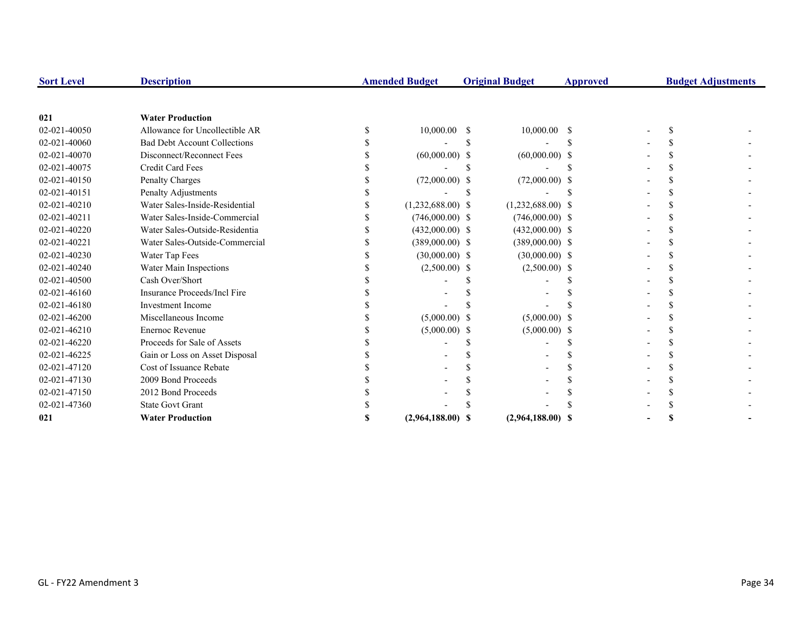| <b>Sort Level</b> | <b>Description</b>                  | <b>Amended Budget</b> |    | <b>Original Budget</b> | <b>Approved</b> |  | <b>Budget Adjustments</b> |
|-------------------|-------------------------------------|-----------------------|----|------------------------|-----------------|--|---------------------------|
|                   |                                     |                       |    |                        |                 |  |                           |
| 021               | <b>Water Production</b>             |                       |    |                        |                 |  |                           |
| 02-021-40050      | Allowance for Uncollectible AR      | 10,000.00             | -S | $10,000.00$ \$         |                 |  |                           |
| 02-021-40060      | <b>Bad Debt Account Collections</b> |                       |    |                        |                 |  |                           |
| 02-021-40070      | Disconnect/Reconnect Fees           | $(60,000.00)$ \$      |    | $(60,000.00)$ \$       |                 |  |                           |
| 02-021-40075      | Credit Card Fees                    |                       |    |                        |                 |  |                           |
| 02-021-40150      | Penalty Charges                     | $(72,000.00)$ \$      |    | $(72,000.00)$ \$       |                 |  |                           |
| 02-021-40151      | Penalty Adjustments                 |                       |    |                        |                 |  |                           |
| 02-021-40210      | Water Sales-Inside-Residential      | $(1,232,688.00)$ \$   |    | $(1,232,688.00)$ \$    |                 |  |                           |
| 02-021-40211      | Water Sales-Inside-Commercial       | $(746,000.00)$ \$     |    | $(746,000.00)$ \$      |                 |  |                           |
| 02-021-40220      | Water Sales-Outside-Residentia      | $(432,000.00)$ \$     |    | $(432,000.00)$ \$      |                 |  |                           |
| 02-021-40221      | Water Sales-Outside-Commercial      | $(389,000.00)$ \$     |    | $(389,000.00)$ \$      |                 |  |                           |
| 02-021-40230      | Water Tap Fees                      | $(30,000.00)$ \$      |    | $(30,000.00)$ \$       |                 |  |                           |
| 02-021-40240      | Water Main Inspections              | $(2,500.00)$ \$       |    | $(2,500.00)$ \$        |                 |  |                           |
| 02-021-40500      | Cash Over/Short                     |                       |    |                        |                 |  |                           |
| 02-021-46160      | Insurance Proceeds/Incl Fire        |                       |    |                        |                 |  |                           |
| 02-021-46180      | <b>Investment Income</b>            |                       |    |                        |                 |  |                           |
| 02-021-46200      | Miscellaneous Income                | $(5,000.00)$ \$       |    | $(5,000.00)$ \$        |                 |  |                           |
| 02-021-46210      | <b>Enernoc Revenue</b>              | $(5,000.00)$ \$       |    | $(5,000.00)$ \$        |                 |  |                           |
| 02-021-46220      | Proceeds for Sale of Assets         |                       |    |                        |                 |  |                           |
| 02-021-46225      | Gain or Loss on Asset Disposal      |                       |    |                        |                 |  |                           |
| 02-021-47120      | Cost of Issuance Rebate             |                       |    |                        |                 |  |                           |
| 02-021-47130      | 2009 Bond Proceeds                  |                       |    |                        |                 |  |                           |
| 02-021-47150      | 2012 Bond Proceeds                  |                       |    |                        |                 |  |                           |
| 02-021-47360      | <b>State Govt Grant</b>             |                       |    |                        |                 |  |                           |
| 021               | <b>Water Production</b>             | $(2,964,188.00)$ \$   |    | $(2,964,188.00)$ \$    |                 |  |                           |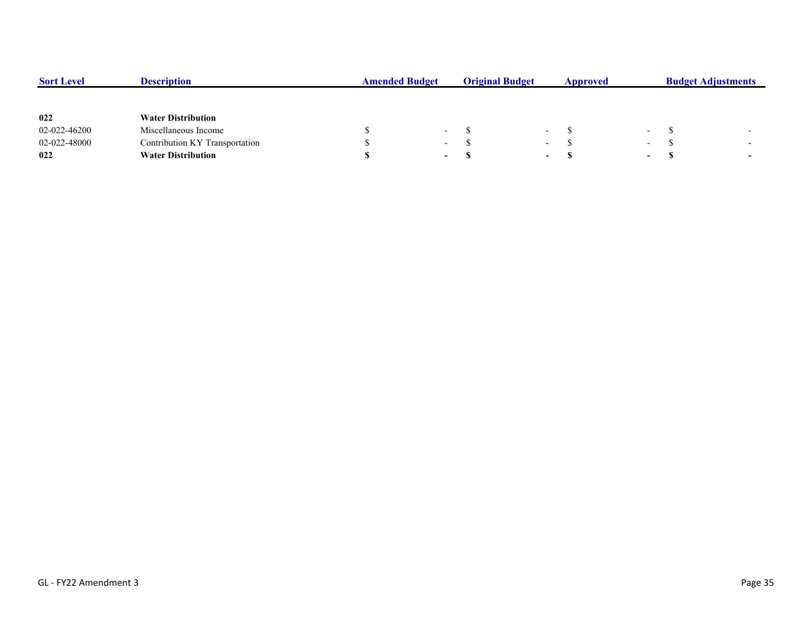| <b>Sort Level</b> | <b>Description</b>             | <b>Amended Budget</b> |                          | <b>Original Budget</b> |                          | Approved |        | <b>Budget Adjustments</b> |  |  |
|-------------------|--------------------------------|-----------------------|--------------------------|------------------------|--------------------------|----------|--------|---------------------------|--|--|
|                   |                                |                       |                          |                        |                          |          |        |                           |  |  |
| 022               | <b>Water Distribution</b>      |                       |                          |                        |                          |          |        |                           |  |  |
| 02-022-46200      | Miscellaneous Income           |                       | $\overline{\phantom{0}}$ |                        | $\overline{\phantom{0}}$ |          | $\sim$ |                           |  |  |
| 02-022-48000      | Contribution KY Transportation |                       | $\overline{\phantom{0}}$ |                        | $\overline{\phantom{0}}$ |          | $\sim$ |                           |  |  |
| 022               | <b>Water Distribution</b>      |                       | $\sim$                   |                        | $\sim$                   |          | $\sim$ |                           |  |  |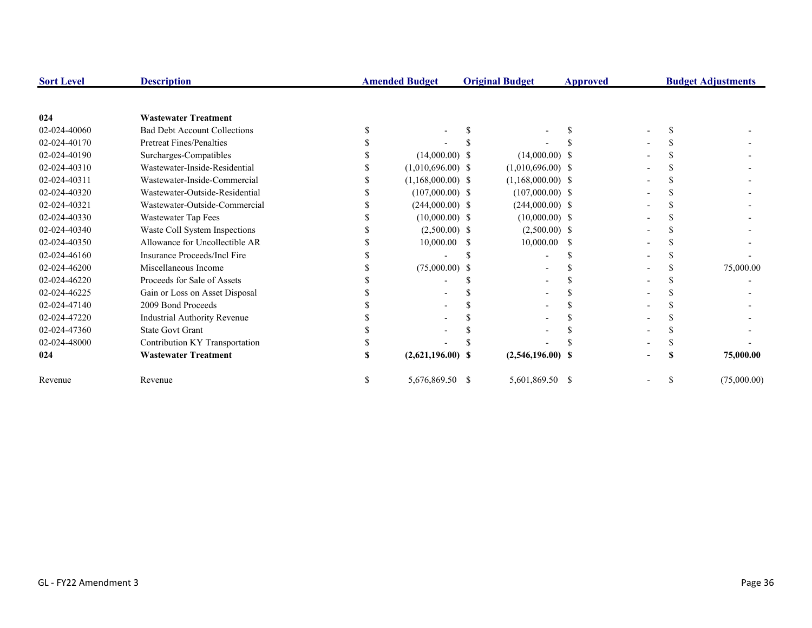| <b>Sort Level</b> | <b>Description</b>                  | <b>Amended Budget</b> |                     | <b>Original Budget</b> |                     | Approved |  | <b>Budget Adjustments</b> |             |
|-------------------|-------------------------------------|-----------------------|---------------------|------------------------|---------------------|----------|--|---------------------------|-------------|
|                   |                                     |                       |                     |                        |                     |          |  |                           |             |
| 024               | <b>Wastewater Treatment</b>         |                       |                     |                        |                     |          |  |                           |             |
| 02-024-40060      | <b>Bad Debt Account Collections</b> |                       |                     |                        |                     |          |  |                           |             |
| 02-024-40170      | <b>Pretreat Fines/Penalties</b>     |                       |                     |                        |                     |          |  |                           |             |
| 02-024-40190      | Surcharges-Compatibles              |                       | $(14,000.00)$ \$    |                        | $(14,000.00)$ \$    |          |  |                           |             |
| 02-024-40310      | Wastewater-Inside-Residential       |                       | $(1,010,696.00)$ \$ |                        | $(1,010,696.00)$ \$ |          |  |                           |             |
| 02-024-40311      | Wastewater-Inside-Commercial        |                       | $(1,168,000.00)$ \$ |                        | $(1,168,000.00)$ \$ |          |  |                           |             |
| 02-024-40320      | Wastewater-Outside-Residential      |                       | $(107,000.00)$ \$   |                        | $(107,000.00)$ \$   |          |  |                           |             |
| 02-024-40321      | Wastewater-Outside-Commercial       |                       | $(244,000.00)$ \$   |                        | $(244,000.00)$ \$   |          |  |                           |             |
| 02-024-40330      | Wastewater Tap Fees                 |                       | $(10,000.00)$ \$    |                        | $(10,000.00)$ \$    |          |  |                           |             |
| 02-024-40340      | Waste Coll System Inspections       |                       | $(2,500.00)$ \$     |                        | $(2,500.00)$ \$     |          |  |                           |             |
| 02-024-40350      | Allowance for Uncollectible AR      |                       | 10,000.00           | <sup>\$</sup>          | $10,000.00$ \$      |          |  |                           |             |
| 02-024-46160      | Insurance Proceeds/Incl Fire        |                       |                     |                        |                     |          |  |                           |             |
| 02-024-46200      | Miscellaneous Income                |                       | $(75,000.00)$ \$    |                        |                     |          |  |                           | 75,000.00   |
| 02-024-46220      | Proceeds for Sale of Assets         |                       |                     |                        |                     |          |  |                           |             |
| 02-024-46225      | Gain or Loss on Asset Disposal      |                       |                     |                        |                     |          |  |                           |             |
| 02-024-47140      | 2009 Bond Proceeds                  |                       |                     |                        |                     |          |  |                           |             |
| 02-024-47220      | Industrial Authority Revenue        |                       |                     |                        |                     |          |  |                           |             |
| 02-024-47360      | <b>State Govt Grant</b>             |                       |                     |                        |                     |          |  |                           |             |
| 02-024-48000      | Contribution KY Transportation      |                       |                     |                        |                     |          |  |                           |             |
| 024               | <b>Wastewater Treatment</b>         |                       | $(2,621,196.00)$ \$ |                        | $(2,546,196.00)$ \$ |          |  |                           | 75,000.00   |
| Revenue           | Revenue                             |                       | 5,676,869.50 \$     |                        | 5,601,869.50 \$     |          |  | S                         | (75,000.00) |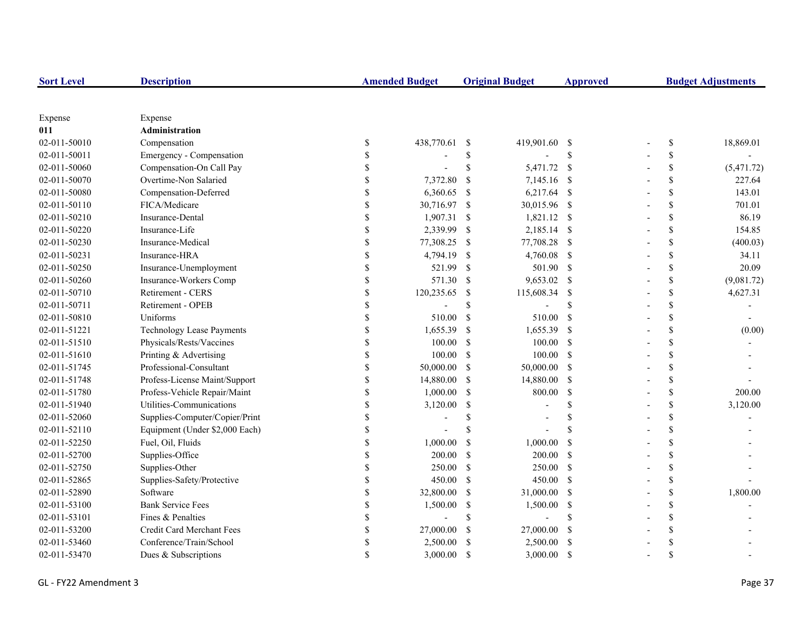| <b>Sort Level</b> | <b>Description</b>               |               | <b>Amended Budget</b> |               | <b>Original Budget</b> | <b>Approved</b> | <b>Budget Adjustments</b> |                    |            |
|-------------------|----------------------------------|---------------|-----------------------|---------------|------------------------|-----------------|---------------------------|--------------------|------------|
|                   |                                  |               |                       |               |                        |                 |                           |                    |            |
| Expense           | Expense                          |               |                       |               |                        |                 |                           |                    |            |
| 011               | Administration                   |               |                       |               |                        |                 |                           |                    |            |
| 02-011-50010      | Compensation                     | \$            | 438,770.61            | -S            | 419,901.60 \$          |                 |                           | \$                 | 18,869.01  |
| 02-011-50011      | Emergency - Compensation         |               |                       | \$            |                        | $\mathbf S$     |                           | \$                 |            |
| 02-011-50060      | Compensation-On Call Pay         | \$            |                       | \$            | 5,471.72               | - \$            |                           | \$                 | (5,471.72) |
| 02-011-50070      | Overtime-Non Salaried            |               | 7,372.80              | -S            | 7,145.16 \$            |                 |                           | \$                 | 227.64     |
| 02-011-50080      | Compensation-Deferred            |               | 6,360.65              | - \$          | $6,217.64$ \$          |                 |                           | \$                 | 143.01     |
| 02-011-50110      | FICA/Medicare                    |               | 30,716.97 \$          |               | 30,015.96 \$           |                 |                           | \$                 | 701.01     |
| 02-011-50210      | Insurance-Dental                 | $\mathbf S$   | 1,907.31 \$           |               | 1,821.12 \$            |                 |                           | \$                 | 86.19      |
| 02-011-50220      | Insurance-Life                   | \$            | 2,339.99              | -S            | 2,185.14 \$            |                 |                           | \$                 | 154.85     |
| 02-011-50230      | Insurance-Medical                | \$            | 77,308.25             | -S            | 77,708.28 \$           |                 |                           | \$                 | (400.03)   |
| 02-011-50231      | Insurance-HRA                    | \$            | 4,794.19              | -S            | 4,760.08 \$            |                 |                           | \$                 | 34.11      |
| 02-011-50250      | Insurance-Unemployment           | \$            | 521.99                | $\mathcal{S}$ | 501.90 \$              |                 |                           | \$                 | 20.09      |
| 02-011-50260      | Insurance-Workers Comp           | <sup>\$</sup> | 571.30                | $\mathcal{S}$ | 9,653.02 \$            |                 |                           | \$                 | (9,081.72) |
| 02-011-50710      | Retirement - CERS                | $\mathcal{S}$ | 120,235.65            | -\$           | 115,608.34             | <sup>\$</sup>   |                           | \$                 | 4,627.31   |
| 02-011-50711      | Retirement - OPEB                |               |                       | \$            |                        | <sup>\$</sup>   |                           | \$                 |            |
| 02-011-50810      | Uniforms                         |               | 510.00                | $\mathcal{S}$ | 510.00                 | <sup>\$</sup>   |                           | \$                 |            |
| 02-011-51221      | <b>Technology Lease Payments</b> |               | 1,655.39              | -S            | 1,655.39               | -S              |                           | \$                 | (0.00)     |
| 02-011-51510      | Physicals/Rests/Vaccines         |               | 100.00                | <sup>S</sup>  | 100.00                 | $\mathbf{s}$    |                           | \$                 |            |
| 02-011-51610      | Printing & Advertising           |               | 100.00                | <sup>S</sup>  | $100.00$ \$            |                 |                           | \$                 |            |
| 02-011-51745      | Professional-Consultant          | \$            | 50,000.00             | -\$           | 50,000.00 \$           |                 |                           | \$                 |            |
| 02-011-51748      | Profess-License Maint/Support    | \$            | 14,880.00             | -S            | 14,880.00 \$           |                 |                           | \$                 |            |
| 02-011-51780      | Profess-Vehicle Repair/Maint     | \$            | 1,000.00              | -S            | 800.00                 | -S              |                           | \$                 | 200.00     |
| 02-011-51940      | Utilities-Communications         | \$            | 3,120.00              | -S            |                        | $\mathcal{S}$   |                           | \$                 | 3,120.00   |
| 02-011-52060      | Supplies-Computer/Copier/Print   | \$            |                       | \$.           |                        | <sup>\$</sup>   |                           | \$                 |            |
| 02-011-52110      | Equipment (Under \$2,000 Each)   | <sup>\$</sup> |                       | \$.           |                        |                 |                           | \$                 |            |
| 02-011-52250      | Fuel, Oil, Fluids                |               | 1,000.00              | -S            | 1,000.00               | <sup>\$</sup>   |                           | \$                 |            |
| 02-011-52700      | Supplies-Office                  |               | 200.00                | -S            | 200.00                 | -S              |                           | \$                 |            |
| 02-011-52750      | Supplies-Other                   |               | 250.00                | $\mathbb{S}$  | 250.00 \$              |                 |                           | \$                 |            |
| 02-011-52865      | Supplies-Safety/Protective       |               | 450.00                | -S            | 450.00 S               |                 |                           | \$                 |            |
| 02-011-52890      | Software                         |               | 32,800.00             | -S            | 31,000.00              | - \$            |                           | \$                 | 1,800.00   |
| 02-011-53100      | <b>Bank Service Fees</b>         |               | 1,500.00              | -\$           | 1,500.00               | -S              |                           | \$                 |            |
| 02-011-53101      | Fines & Penalties                |               |                       | \$            |                        | <sup>\$</sup>   |                           | \$                 |            |
| 02-011-53200      | Credit Card Merchant Fees        | \$            | 27,000.00             | S             | 27,000.00              | -S              |                           | \$                 |            |
| 02-011-53460      | Conference/Train/School          | \$            | 2,500.00              | -S            | 2,500.00               | -S              |                           | \$                 |            |
| 02-011-53470      | Dues & Subscriptions             |               | 3,000.00              | <sup>\$</sup> | 3,000.00               | <sup>\$</sup>   |                           | $\mathbf{\hat{S}}$ |            |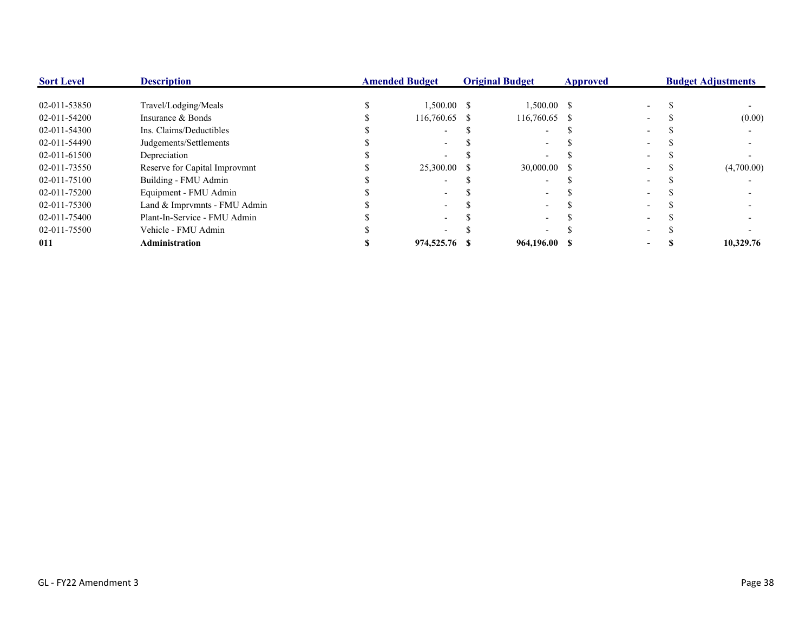| <b>Sort Level</b> | <b>Description</b>            | <b>Amended Budget</b> |               | <b>Original Budget</b> | <b>Approved</b> | <b>Budget Adjustments</b> |  |            |
|-------------------|-------------------------------|-----------------------|---------------|------------------------|-----------------|---------------------------|--|------------|
| 02-011-53850      | Travel/Lodging/Meals          |                       | $1,500.00$ \$ | $1,500.00$ \$          |                 |                           |  |            |
| 02-011-54200      | Insurance & Bonds             |                       | 116,760.65 \$ | 116,760.65 \$          |                 |                           |  | (0.00)     |
| 02-011-54300      | Ins. Claims/Deductibles       |                       |               |                        |                 |                           |  |            |
| 02-011-54490      | Judgements/Settlements        |                       |               |                        |                 |                           |  |            |
| 02-011-61500      | Depreciation                  |                       |               |                        |                 |                           |  |            |
| 02-011-73550      | Reserve for Capital Improvmnt |                       | 25,300.00 \$  | 30,000.00 \$           |                 |                           |  | (4,700.00) |
| 02-011-75100      | Building - FMU Admin          |                       |               |                        |                 |                           |  |            |
| 02-011-75200      | Equipment - FMU Admin         |                       |               |                        |                 |                           |  |            |
| 02-011-75300      | Land & Imprymnts - FMU Admin  |                       |               |                        |                 |                           |  |            |
| 02-011-75400      | Plant-In-Service - FMU Admin  |                       |               |                        |                 |                           |  |            |
| 02-011-75500      | Vehicle - FMU Admin           |                       |               |                        |                 |                           |  |            |
| 011               | <b>Administration</b>         |                       | 974,525.76 \$ | 964,196.00 \$          |                 |                           |  | 10.329.76  |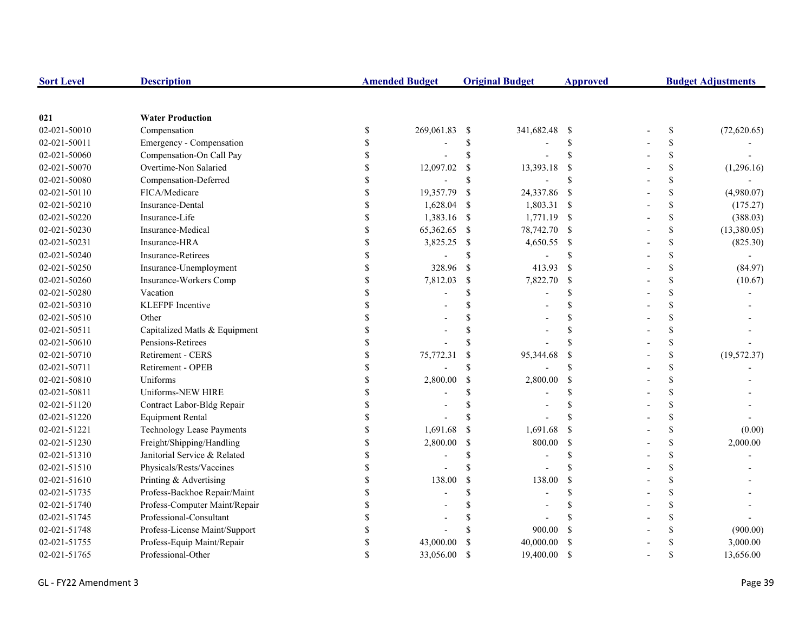| <b>Sort Level</b> | <b>Description</b>               |                    | <b>Amended Budget</b>    |               | <b>Original Budget</b> | <b>Approved</b>           | <b>Budget Adjustments</b> |              |  |
|-------------------|----------------------------------|--------------------|--------------------------|---------------|------------------------|---------------------------|---------------------------|--------------|--|
|                   |                                  |                    |                          |               |                        |                           |                           |              |  |
| 021               | <b>Water Production</b>          |                    |                          |               |                        |                           |                           |              |  |
| 02-021-50010      | Compensation                     | $\mathbb{S}$       | 269,061.83               | -S            | 341,682.48             | - \$                      | $\mathbb{S}$              | (72,620.65)  |  |
| 02-021-50011      | Emergency - Compensation         | \$                 |                          | \$            |                        | <sup>\$</sup>             | \$                        |              |  |
| 02-021-50060      | Compensation-On Call Pay         | \$                 |                          | \$            |                        | <sup>\$</sup>             | \$                        |              |  |
| 02-021-50070      | Overtime-Non Salaried            | $\mathbf{\hat{S}}$ | 12,097.02                | \$            | 13,393.18              | <sup>\$</sup>             | \$                        | (1,296.16)   |  |
| 02-021-50080      | Compensation-Deferred            | $\mathbf{\hat{S}}$ | $\overline{\phantom{a}}$ | $\mathbf S$   |                        | \$                        | \$                        |              |  |
| 02-021-50110      | FICA/Medicare                    | $\mathbb{S}$       | 19,357.79                | -S            | 24,337.86              | - \$                      | \$                        | (4,980.07)   |  |
| 02-021-50210      | Insurance-Dental                 | \$                 | 1,628.04                 | -S            | 1,803.31 \$            |                           | \$                        | (175.27)     |  |
| 02-021-50220      | Insurance-Life                   | \$                 | 1,383.16 \$              |               | 1,771.19 \$            |                           | \$                        | (388.03)     |  |
| 02-021-50230      | Insurance-Medical                | \$                 | 65,362.65                | -\$           | 78,742.70 \$           |                           | \$                        | (13,380.05)  |  |
| 02-021-50231      | Insurance-HRA                    | \$                 | 3,825.25                 | -S            | 4,650.55 \$            |                           | \$                        | (825.30)     |  |
| 02-021-50240      | <b>Insurance-Retirees</b>        | \$                 |                          | \$            |                        | <sup>\$</sup>             | \$                        |              |  |
| 02-021-50250      | Insurance-Unemployment           | \$                 | 328.96                   | <sup>S</sup>  | 413.93                 | <sup>\$</sup>             | \$                        | (84.97)      |  |
| 02-021-50260      | Insurance-Workers Comp           | \$                 | 7,812.03                 | $\mathbb{S}$  | 7,822.70               | $\boldsymbol{\mathsf{S}}$ | \$                        | (10.67)      |  |
| 02-021-50280      | Vacation                         | \$                 |                          | \$            |                        | <sup>\$</sup>             | \$                        |              |  |
| 02-021-50310      | <b>KLEFPF</b> Incentive          |                    |                          |               |                        | $\mathcal{S}$             | \$                        |              |  |
| 02-021-50510      | Other                            |                    |                          |               |                        | \$                        | \$                        |              |  |
| 02-021-50511      | Capitalized Matls & Equipment    |                    |                          |               |                        | <sup>\$</sup>             | \$                        |              |  |
| 02-021-50610      | Pensions-Retirees                | $\mathbf{\hat{S}}$ |                          |               |                        |                           | \$                        |              |  |
| 02-021-50710      | <b>Retirement - CERS</b>         | $\mathbf{\hat{S}}$ | 75,772.31                |               | 95,344.68              | <sup>\$</sup>             | \$                        | (19, 572.37) |  |
| 02-021-50711      | Retirement - OPEB                | \$                 |                          | S             |                        | $\mathcal{S}$             | \$                        |              |  |
| 02-021-50810      | Uniforms                         | $\mathbf{\hat{S}}$ | 2,800.00                 | $\mathcal{S}$ | 2,800.00               | <sup>\$</sup>             | \$                        |              |  |
| 02-021-50811      | Uniforms-NEW HIRE                | \$                 |                          |               |                        | <sup>\$</sup>             | \$                        |              |  |
| 02-021-51120      | Contract Labor-Bldg Repair       | \$                 |                          | S             |                        | <sup>\$</sup>             | \$                        |              |  |
| 02-021-51220      | <b>Equipment Rental</b>          | \$                 |                          |               |                        |                           | \$                        |              |  |
| 02-021-51221      | <b>Technology Lease Payments</b> | \$                 | 1,691.68                 | $\mathcal{S}$ | 1,691.68               | \$                        | \$                        | (0.00)       |  |
| 02-021-51230      | Freight/Shipping/Handling        | \$                 | 2,800.00                 | <sup>S</sup>  | 800.00                 | <sup>\$</sup>             | \$                        | 2,000.00     |  |
| 02-021-51310      | Janitorial Service & Related     | \$                 |                          | \$            |                        | \$                        | \$                        |              |  |
| 02-021-51510      | Physicals/Rests/Vaccines         | $\mathbf{\hat{S}}$ |                          | S             |                        | $\mathcal{S}$             | \$                        |              |  |
| 02-021-51610      | Printing & Advertising           | \$                 | 138.00                   | <sup>\$</sup> | 138.00                 | <sup>\$</sup>             | \$                        |              |  |
| 02-021-51735      | Profess-Backhoe Repair/Maint     |                    |                          | \$            |                        | <sup>\$</sup>             | \$                        |              |  |
| 02-021-51740      | Profess-Computer Maint/Repair    |                    |                          |               |                        |                           | \$                        |              |  |
| 02-021-51745      | Professional-Consultant          |                    |                          |               |                        |                           | \$                        |              |  |
| 02-021-51748      | Profess-License Maint/Support    | $\mathbf S$        |                          |               | 900.00                 | <sup>\$</sup>             | \$                        | (900.00)     |  |
| 02-021-51755      | Profess-Equip Maint/Repair       | \$                 | 43,000.00                |               | 40,000.00              | <sup>\$</sup>             | \$                        | 3,000.00     |  |
| 02-021-51765      | Professional-Other               | $\mathbf{\hat{s}}$ | 33,056.00                | $\mathcal{S}$ | 19,400.00              | <sup>\$</sup>             | \$                        | 13.656.00    |  |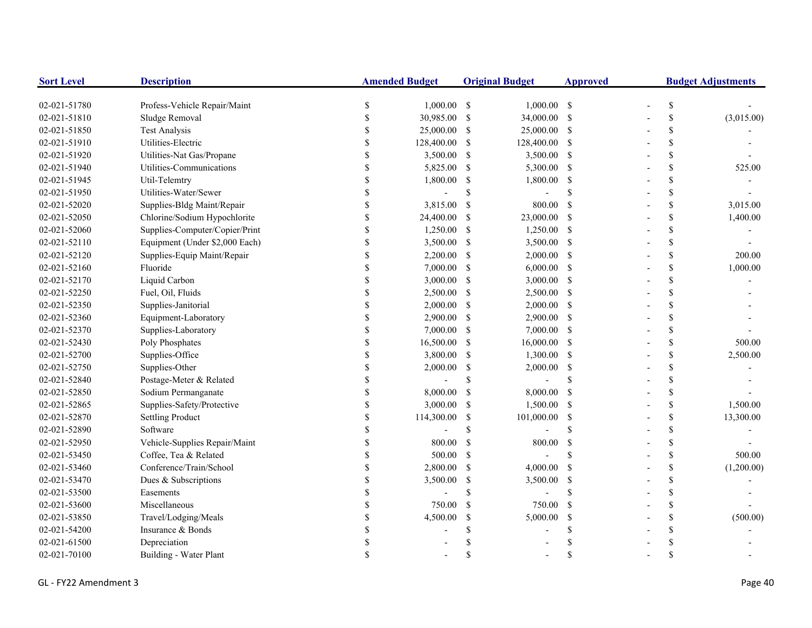| <b>Sort Level</b> | <b>Description</b>             |             | <b>Amended Budget</b> |               | <b>Original Budget</b> | <b>Approved</b>    | <b>Budget Adjustments</b> |             |            |
|-------------------|--------------------------------|-------------|-----------------------|---------------|------------------------|--------------------|---------------------------|-------------|------------|
| 02-021-51780      | Profess-Vehicle Repair/Maint   | \$          | $1,000.00$ \$         |               | $1,000.00$ \$          |                    |                           | \$          |            |
| 02-021-51810      | Sludge Removal                 | \$          | 30,985.00             | $\mathcal{S}$ | 34,000.00 \$           |                    |                           | \$          | (3,015.00) |
| 02-021-51850      | <b>Test Analysis</b>           | \$          | 25,000.00             | <sup>\$</sup> | 25,000.00 \$           |                    |                           | \$          |            |
| 02-021-51910      | Utilities-Electric             |             | 128,400.00            | -\$           | 128,400.00 \$          |                    |                           | \$          |            |
| 02-021-51920      | Utilities-Nat Gas/Propane      |             | 3,500.00              | -S            | 3,500.00 \$            |                    |                           | \$          |            |
| 02-021-51940      | Utilities-Communications       | S           | 5,825.00              | -\$           | 5,300.00 \$            |                    |                           | \$          | 525.00     |
| 02-021-51945      | Util-Telemtry                  | \$          | 1,800.00              | -S            | 1,800.00               | -\$                |                           | \$          |            |
| 02-021-51950      | Utilities-Water/Sewer          | \$          |                       | <sup>\$</sup> |                        | <sup>\$</sup>      |                           | \$          |            |
| 02-021-52020      | Supplies-Bldg Maint/Repair     | \$          | 3,815.00              | -S            | 800.00                 | <sup>\$</sup>      |                           | \$          | 3,015.00   |
| 02-021-52050      | Chlorine/Sodium Hypochlorite   | \$          | 24,400.00             | -S            | 23,000.00 \$           |                    |                           | \$          | 1,400.00   |
| 02-021-52060      | Supplies-Computer/Copier/Print | \$          | 1,250.00              | -S            | $1,250.00$ \$          |                    |                           | \$          |            |
| 02-021-52110      | Equipment (Under \$2,000 Each) | \$          | 3,500.00              | -\$           | 3,500.00 \$            |                    |                           | \$          |            |
| 02-021-52120      | Supplies-Equip Maint/Repair    | \$          | 2,200.00              | <sup>\$</sup> | $2,000.00$ \$          |                    |                           | \$          | 200.00     |
| 02-021-52160      | Fluoride                       |             | 7,000.00              | <sup>\$</sup> | $6,000.00$ \$          |                    |                           | \$          | 1,000.00   |
| 02-021-52170      | Liquid Carbon                  |             | 3,000.00              | -S            | $3,000.00$ \$          |                    |                           | \$          |            |
| 02-021-52250      | Fuel, Oil, Fluids              |             | 2,500.00              | <sup>\$</sup> | 2,500.00 \$            |                    |                           | \$          |            |
| 02-021-52350      | Supplies-Janitorial            |             | 2,000.00              | -\$           | $2,000.00$ \$          |                    |                           | \$          |            |
| 02-021-52360      | Equipment-Laboratory           |             | 2,900.00              | -\$           | 2,900.00 \$            |                    |                           | \$          |            |
| 02-021-52370      | Supplies-Laboratory            |             | 7,000.00              | -S            | $7,000.00$ \$          |                    |                           | \$          |            |
| 02-021-52430      | Poly Phosphates                | \$          | 16,500.00             | -\$           | 16,000.00 \$           |                    |                           | \$          | 500.00     |
| 02-021-52700      | Supplies-Office                | \$          | 3,800.00              | -S            | 1,300.00 \$            |                    |                           | \$          | 2,500.00   |
| 02-021-52750      | Supplies-Other                 | \$          | 2,000.00              | <sup>\$</sup> | $2,000.00$ \$          |                    |                           | \$          |            |
| 02-021-52840      | Postage-Meter & Related        | \$          |                       | <sup>\$</sup> |                        | <sup>\$</sup>      |                           | \$          |            |
| 02-021-52850      | Sodium Permanganate            | \$          | 8,000.00              | <sup>\$</sup> | 8,000.00               | <sup>\$</sup>      |                           | \$          |            |
| 02-021-52865      | Supplies-Safety/Protective     | \$          | 3,000.00              | <sup>\$</sup> | $1,500.00$ \$          |                    |                           | \$          | 1,500.00   |
| 02-021-52870      | <b>Settling Product</b>        | \$          | 114,300.00            | \$            | 101,000.00             | $\mathbf{s}$       |                           | \$          | 13,300.00  |
| 02-021-52890      | Software                       | \$          |                       | \$            |                        | $\mathbf S$        |                           | \$          |            |
| 02-021-52950      | Vehicle-Supplies Repair/Maint  | \$          | 800.00                | <sup>S</sup>  | 800.00                 | <sup>\$</sup>      |                           | \$          |            |
| 02-021-53450      | Coffee, Tea & Related          |             | 500.00                | -S            |                        | $\mathbf{\hat{s}}$ |                           | \$          | 500.00     |
| 02-021-53460      | Conference/Train/School        | \$          | 2,800.00              | <sup>\$</sup> | 4,000.00               | <sup>\$</sup>      |                           | \$          | (1,200.00) |
| 02-021-53470      | Dues & Subscriptions           |             | 3,500.00              | \$            | 3,500.00               | <sup>\$</sup>      |                           | \$          |            |
| 02-021-53500      | Easements                      |             |                       | \$            |                        | $\mathbf S$        |                           | \$          |            |
| 02-021-53600      | Miscellaneous                  | \$          | 750.00                | <sup>\$</sup> | 750.00                 | <sup>\$</sup>      |                           | \$          |            |
| 02-021-53850      | Travel/Lodging/Meals           | $\mathbf S$ | 4,500.00              | <sup>\$</sup> | 5,000.00               | <sup>\$</sup>      |                           | \$          | (500.00)   |
| 02-021-54200      | Insurance & Bonds              |             |                       | \$            |                        | \$.                |                           | \$          |            |
| 02-021-61500      | Depreciation                   |             |                       |               |                        |                    |                           | \$          |            |
| 02-021-70100      | Building - Water Plant         | \$          |                       | <sup>\$</sup> |                        | $\mathbf{\hat{s}}$ |                           | $\mathbf S$ |            |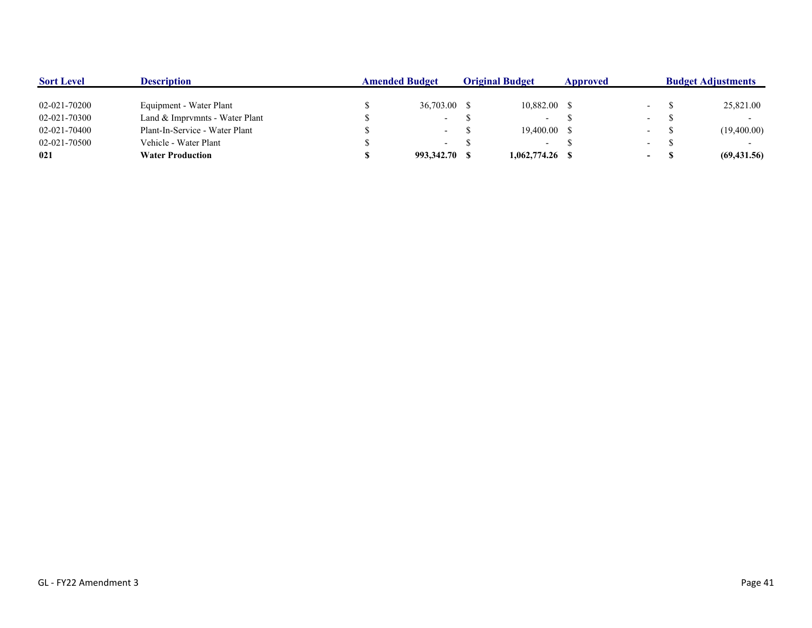| <b>Sort Level</b> | <b>Description</b>             | <b>Amended Budget</b> |               | <b>Original Budget</b> |                          | Approved |                  | <b>Budget Adjustments</b> |              |  |
|-------------------|--------------------------------|-----------------------|---------------|------------------------|--------------------------|----------|------------------|---------------------------|--------------|--|
|                   |                                |                       |               |                        |                          |          |                  |                           |              |  |
| 02-021-70200      | Equipment - Water Plant        |                       | 36,703.00 \$  |                        | 10,882.00 \$             |          |                  |                           | 25,821.00    |  |
| 02-021-70300      | Land & Imprymnts - Water Plant |                       | $\sim$ $-$    |                        | $\overline{\phantom{a}}$ |          | $\sim$           |                           |              |  |
| 02-021-70400      | Plant-In-Service - Water Plant |                       | $\sim$        |                        | $19,400.00$ \$           |          |                  |                           | (19,400.00)  |  |
| 02-021-70500      | Vehicle - Water Plant          |                       | $\sim$        |                        | $\overline{\phantom{a}}$ |          | $\sim$           |                           |              |  |
| 021               | <b>Water Production</b>        |                       | 993,342.70 \$ |                        | 1,062,774.26 \$          |          | $\sim$ 100 $\mu$ |                           | (69, 431.56) |  |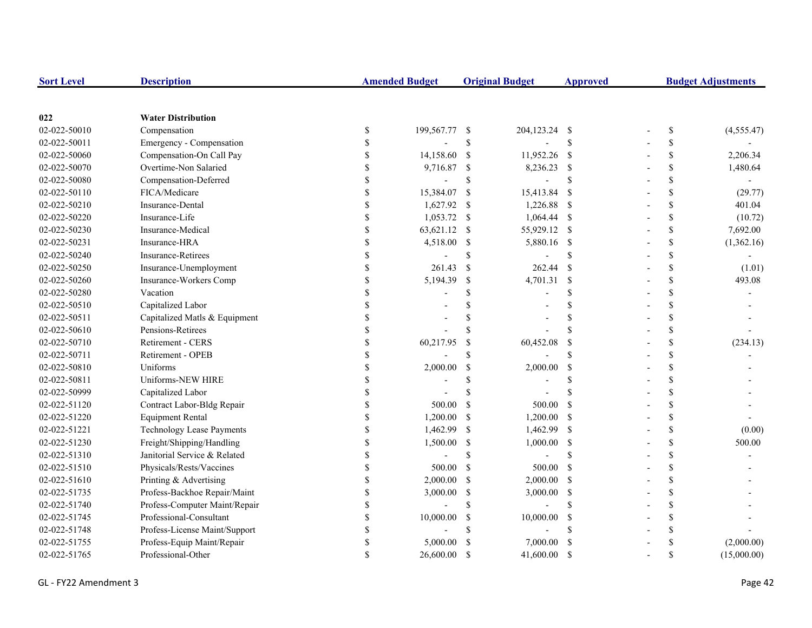| <b>Sort Level</b> | <b>Description</b>               |               | <b>Amended Budget</b> |               | <b>Original Budget</b> | <b>Approved</b> | <b>Budget Adjustments</b> |                    |             |
|-------------------|----------------------------------|---------------|-----------------------|---------------|------------------------|-----------------|---------------------------|--------------------|-------------|
|                   |                                  |               |                       |               |                        |                 |                           |                    |             |
| 022               | <b>Water Distribution</b>        |               |                       |               |                        |                 |                           |                    |             |
| 02-022-50010      | Compensation                     | \$            | 199,567.77            | -\$           | 204,123.24 \$          |                 |                           | \$                 | (4,555.47)  |
| 02-022-50011      | Emergency - Compensation         | <sup>\$</sup> |                       | \$            |                        | \$              |                           | \$                 |             |
| 02-022-50060      | Compensation-On Call Pay         | <sup>\$</sup> | 14,158.60             | <sup>\$</sup> | 11,952.26              | - \$            |                           | \$                 | 2,206.34    |
| 02-022-50070      | Overtime-Non Salaried            |               | 9,716.87              | \$            | 8,236.23               | $\mathbf{s}$    |                           | \$                 | 1,480.64    |
| 02-022-50080      | Compensation-Deferred            |               | $\overline{a}$        | \$            |                        | \$              |                           | \$                 |             |
| 02-022-50110      | FICA/Medicare                    |               | 15,384.07             | \$            | 15,413.84              | -\$             |                           | \$                 | (29.77)     |
| 02-022-50210      | Insurance-Dental                 | \$            | 1,627.92              | $\mathcal{S}$ | 1,226.88               | - \$            |                           | \$                 | 401.04      |
| 02-022-50220      | Insurance-Life                   | $\mathbf S$   | 1,053.72              | \$            | $1,064.44$ \$          |                 |                           | $\mathbf{s}$       | (10.72)     |
| 02-022-50230      | Insurance-Medical                | $\mathbf S$   | 63,621.12             | <sup>\$</sup> | 55,929.12 \$           |                 |                           | \$                 | 7,692.00    |
| 02-022-50231      | Insurance-HRA                    | \$            | 4,518.00              | <sup>\$</sup> | 5,880.16 \$            |                 |                           | \$                 | (1,362.16)  |
| 02-022-50240      | Insurance-Retirees               | \$            |                       | <sup>\$</sup> |                        | \$              |                           | \$                 |             |
| 02-022-50250      | Insurance-Unemployment           | <sup>\$</sup> | 261.43                | <sup>\$</sup> | 262.44                 | <sup>S</sup>    |                           | \$                 | (1.01)      |
| 02-022-50260      | Insurance-Workers Comp           |               | 5,194.39              | \$            | 4,701.31               | $\mathcal{S}$   |                           | \$                 | 493.08      |
| 02-022-50280      | Vacation                         |               |                       | $\mathbf S$   |                        | \$              |                           | \$                 |             |
| 02-022-50510      | Capitalized Labor                |               |                       | \$            |                        | \$              |                           | \$                 |             |
| 02-022-50511      | Capitalized Matls & Equipment    |               |                       | <sup>\$</sup> |                        | \$              |                           | \$                 |             |
| 02-022-50610      | Pensions-Retirees                |               |                       | <sup>\$</sup> |                        | \$              |                           | \$                 |             |
| 02-022-50710      | Retirement - CERS                |               | 60,217.95             | $\mathcal{S}$ | 60,452.08              | \$              |                           | \$                 | (234.13)    |
| 02-022-50711      | Retirement - OPEB                |               |                       | \$            |                        | $\mathbf S$     |                           | $\mathbf{s}$       |             |
| 02-022-50810      | Uniforms                         | $\mathbf S$   | 2,000.00              | \$            | 2,000.00               | <sup>\$</sup>   |                           | $\mathbf{s}$       |             |
| 02-022-50811      | Uniforms-NEW HIRE                | \$            |                       | <sup>\$</sup> |                        | \$              |                           | \$                 |             |
| 02-022-50999      | Capitalized Labor                | \$            |                       | $\mathcal{S}$ |                        | \$              |                           | \$                 |             |
| 02-022-51120      | Contract Labor-Bldg Repair       | \$            | 500.00                | <sup>\$</sup> | 500.00                 | $\mathcal{S}$   |                           | $\mathbb S$        |             |
| 02-022-51220      | <b>Equipment Rental</b>          |               | 1,200.00              | <sup>\$</sup> | 1,200.00               | - \$            |                           | $\mathbb S$        |             |
| 02-022-51221      | <b>Technology Lease Payments</b> |               | 1,462.99              | $\mathbb{S}$  | 1,462.99 \$            |                 |                           | \$                 | (0.00)      |
| 02-022-51230      | Freight/Shipping/Handling        |               | 1,500.00              | $\mathbb{S}$  | 1,000.00               | - \$            |                           | \$                 | 500.00      |
| 02-022-51310      | Janitorial Service & Related     |               |                       | \$            |                        | \$              |                           | \$                 |             |
| 02-022-51510      | Physicals/Rests/Vaccines         |               | 500.00                | <sup>\$</sup> | 500.00                 | -S              |                           | \$                 |             |
| 02-022-51610      | Printing & Advertising           | \$            | 2,000.00              | -S            | 2,000.00               | - \$            |                           | \$                 |             |
| 02-022-51735      | Profess-Backhoe Repair/Maint     | \$            | 3,000.00              | \$            | 3,000.00               | - \$            |                           | $\mathbf{\hat{S}}$ |             |
| 02-022-51740      | Profess-Computer Maint/Repair    | \$            |                       | $\mathbf S$   |                        | \$              |                           | $\mathbf{s}$       |             |
| 02-022-51745      | Professional-Consultant          | $\mathbb{S}$  | 10,000.00             | $\mathcal{S}$ | 10,000.00              | <sup>\$</sup>   |                           | \$                 |             |
| 02-022-51748      | Profess-License Maint/Support    | <sup>\$</sup> |                       | <sup>\$</sup> |                        | \$              |                           | <sup>\$</sup>      |             |
| 02-022-51755      | Profess-Equip Maint/Repair       |               | 5,000.00              | <sup>\$</sup> | 7,000.00               | <sup>\$</sup>   |                           |                    | (2,000.00)  |
| 02-022-51765      | Professional-Other               |               | 26,600.00             | <sup>\$</sup> | 41,600.00              | -\$             |                           | \$                 | (15,000.00) |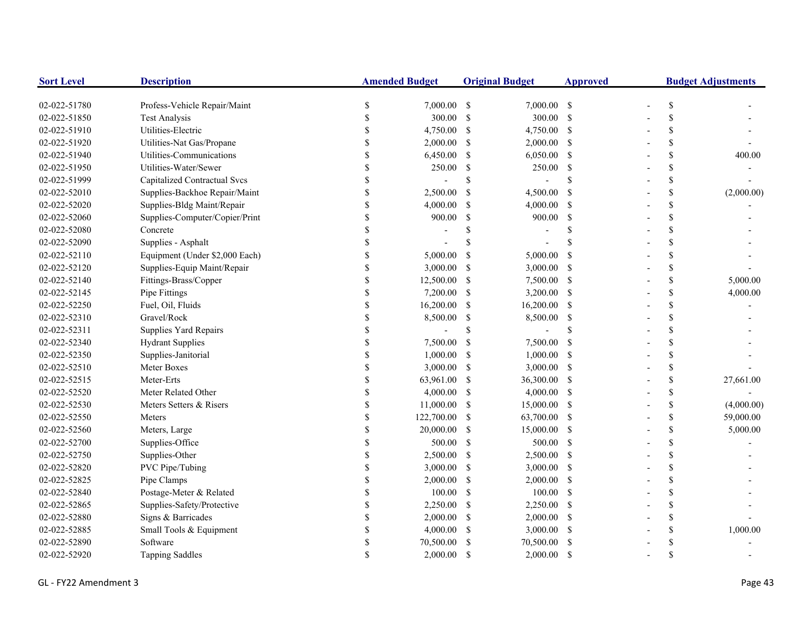| <b>Sort Level</b> | <b>Description</b>             | <b>Amended Budget</b> |             |                    | <b>Original Budget</b><br><b>Approved</b> |               |  |                    | <b>Budget Adjustments</b> |  |
|-------------------|--------------------------------|-----------------------|-------------|--------------------|-------------------------------------------|---------------|--|--------------------|---------------------------|--|
| 02-022-51780      | Profess-Vehicle Repair/Maint   | \$                    | 7,000.00 \$ |                    | $7,000.00$ \$                             |               |  | \$                 |                           |  |
| 02-022-51850      | <b>Test Analysis</b>           | \$                    | 300.00      | $\mathbf{\hat{S}}$ | 300.00 \$                                 |               |  | \$                 |                           |  |
| 02-022-51910      | Utilities-Electric             | \$                    | 4,750.00    | $\mathcal{S}$      | 4,750.00 \$                               |               |  | \$                 |                           |  |
| 02-022-51920      | Utilities-Nat Gas/Propane      | <sup>\$</sup>         | 2,000.00    | -S                 | 2,000.00                                  | <sup>\$</sup> |  | \$                 |                           |  |
| 02-022-51940      | Utilities-Communications       | <sup>\$</sup>         | 6,450.00    | -S                 | 6,050.00                                  | <sup>\$</sup> |  | \$                 | 400.00                    |  |
| 02-022-51950      | Utilities-Water/Sewer          | $\mathbf{\hat{S}}$    | 250.00      | \$                 | 250.00                                    | -S            |  | \$                 |                           |  |
| 02-022-51999      | Capitalized Contractual Svcs   | \$                    |             | \$                 |                                           | <sup>\$</sup> |  | \$                 |                           |  |
| 02-022-52010      | Supplies-Backhoe Repair/Maint  | \$                    | 2,500.00    | <sup>S</sup>       | 4,500.00                                  | <sup>\$</sup> |  | \$                 | (2,000.00)                |  |
| 02-022-52020      | Supplies-Bldg Maint/Repair     | \$                    | 4,000.00    | -S                 | 4,000.00                                  | -S            |  | \$                 |                           |  |
| 02-022-52060      | Supplies-Computer/Copier/Print | \$                    | 900.00      | <sup>S</sup>       | 900.00                                    | -S            |  | \$                 |                           |  |
| 02-022-52080      | Concrete                       | $\mathcal{S}$         |             | \$                 |                                           | S.            |  | \$                 |                           |  |
| 02-022-52090      | Supplies - Asphalt             | $\mathcal{S}$         |             | \$                 |                                           |               |  | \$                 |                           |  |
| 02-022-52110      | Equipment (Under \$2,000 Each) | <sup>\$</sup>         | 5,000.00    | \$                 | 5,000.00                                  | <sup>\$</sup> |  | \$                 |                           |  |
| 02-022-52120      | Supplies-Equip Maint/Repair    | \$                    | 3,000.00    | -S                 | 3,000.00                                  | <sup>\$</sup> |  | \$                 |                           |  |
| 02-022-52140      | Fittings-Brass/Copper          |                       | 12,500.00   | $\mathcal{S}$      | 7,500.00                                  | -S            |  | \$                 | 5,000.00                  |  |
| 02-022-52145      | Pipe Fittings                  | \$                    | 7,200.00    | $\mathcal{S}$      | 3,200.00                                  | -S            |  | \$                 | 4,000.00                  |  |
| 02-022-52250      | Fuel, Oil, Fluids              | \$                    | 16,200.00   | -S                 | 16,200.00                                 | <sup>\$</sup> |  | \$                 |                           |  |
| 02-022-52310      | Gravel/Rock                    | $\mathcal{S}$         | 8,500.00    | \$                 | 8,500.00                                  | <sup>\$</sup> |  | \$                 |                           |  |
| 02-022-52311      | Supplies Yard Repairs          | $\mathbf S$           |             | \$                 |                                           | \$.           |  | \$                 |                           |  |
| 02-022-52340      | <b>Hydrant Supplies</b>        | \$                    | 7,500.00    | <sup>S</sup>       | 7,500.00                                  | <sup>\$</sup> |  | \$                 |                           |  |
| 02-022-52350      | Supplies-Janitorial            | \$                    | 1,000.00    | -S                 | 1,000.00                                  | -S            |  | $\mathcal{S}$      |                           |  |
| 02-022-52510      | Meter Boxes                    | \$                    | 3,000.00    | -S                 | 3,000.00                                  | -S            |  | \$                 |                           |  |
| 02-022-52515      | Meter-Erts                     | \$                    | 63,961.00   | <sup>S</sup>       | 36,300.00                                 | -S            |  | $\mathcal{S}$      | 27,661.00                 |  |
| 02-022-52520      | Meter Related Other            | \$                    | 4,000.00    | -S                 | 4,000.00                                  | -S            |  | \$                 |                           |  |
| 02-022-52530      | Meters Setters & Risers        | <sup>\$</sup>         | 11,000.00   | -S                 | 15,000.00 \$                              |               |  | \$                 | (4,000.00)                |  |
| 02-022-52550      | Meters                         | <sup>\$</sup>         | 122,700.00  | -S                 | 63,700.00 \$                              |               |  | \$                 | 59,000.00                 |  |
| 02-022-52560      | Meters, Large                  | \$                    | 20,000.00   | $\mathcal{S}$      | 15,000.00                                 | -S            |  | \$                 | 5,000.00                  |  |
| 02-022-52700      | Supplies-Office                | \$                    | 500.00      | <sup>S</sup>       | 500.00                                    | <sup>\$</sup> |  | \$                 |                           |  |
| 02-022-52750      | Supplies-Other                 | <sup>\$</sup>         | 2,500.00    | -S                 | 2,500.00                                  | <sup>\$</sup> |  | \$                 |                           |  |
| 02-022-52820      | PVC Pipe/Tubing                | <sup>\$</sup>         | 3,000.00    | -S                 | 3,000.00                                  | -S            |  | \$                 |                           |  |
| 02-022-52825      | Pipe Clamps                    | \$                    | 2,000.00    | -S                 | 2,000.00                                  | <sup>\$</sup> |  | $\mathbf{\hat{S}}$ |                           |  |
| 02-022-52840      | Postage-Meter & Related        | \$                    | 100.00      | <sup>S</sup>       | 100.00                                    | -S            |  | $\mathcal{S}$      |                           |  |
| 02-022-52865      | Supplies-Safety/Protective     | \$                    | 2,250.00    | -S                 | 2,250.00                                  | -S            |  | $\mathcal{S}$      |                           |  |
| 02-022-52880      | Signs & Barricades             | \$                    | 2,000.00    | -S                 | 2,000.00                                  | -S            |  | \$                 |                           |  |
| 02-022-52885      | Small Tools & Equipment        | \$                    | 4,000.00    | -S                 | 3,000.00                                  | -S            |  | \$                 | 1,000.00                  |  |
| 02-022-52890      | Software                       | <sup>\$</sup>         | 70,500.00   | <sup>\$</sup>      | 70,500.00                                 |               |  | \$                 |                           |  |
| 02-022-52920      | <b>Tapping Saddles</b>         | $\mathcal{S}$         | 2,000.00    | <sup>S</sup>       | 2,000.00                                  | <sup>\$</sup> |  | \$                 |                           |  |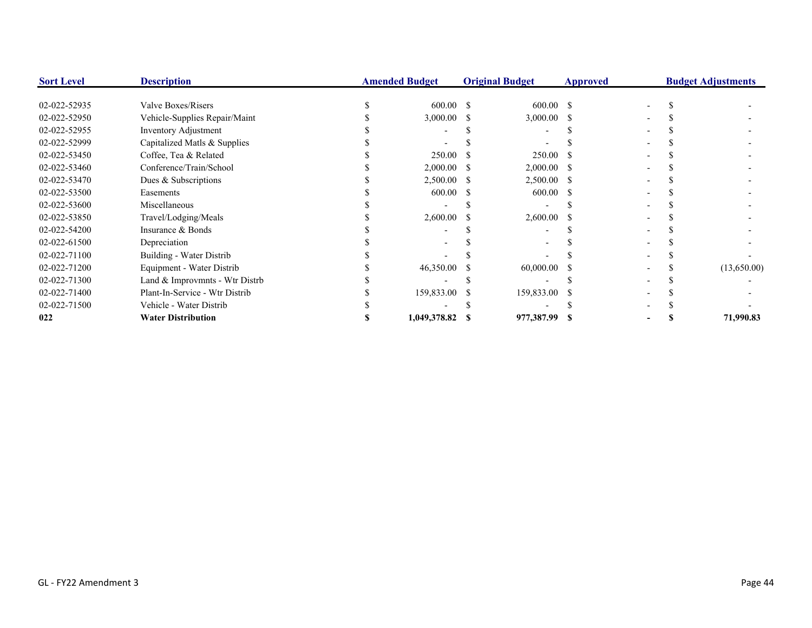| <b>Sort Level</b> | <b>Description</b>             | <b>Amended Budget</b> |      | <b>Original Budget</b><br><b>Approved</b> |  |  | <b>Budget Adjustments</b> |
|-------------------|--------------------------------|-----------------------|------|-------------------------------------------|--|--|---------------------------|
|                   |                                |                       |      |                                           |  |  |                           |
| 02-022-52935      | Valve Boxes/Risers             | $600.00 \quad$ \$     |      | $600.00 \quad$ \$                         |  |  |                           |
| 02-022-52950      | Vehicle-Supplies Repair/Maint  | 3,000.00              | -S   | $3,000.00$ \$                             |  |  |                           |
| 02-022-52955      | Inventory Adjustment           |                       |      |                                           |  |  |                           |
| 02-022-52999      | Capitalized Matls & Supplies   |                       |      |                                           |  |  |                           |
| 02-022-53450      | Coffee, Tea & Related          | 250.00                |      | 250.00                                    |  |  |                           |
| 02-022-53460      | Conference/Train/School        | 2,000.00              | - 55 | $2,000.00$ \$                             |  |  |                           |
| 02-022-53470      | Dues & Subscriptions           | 2,500.00              |      | 2,500.00 \$                               |  |  |                           |
| 02-022-53500      | Easements                      | 600.00                |      | 600.00                                    |  |  |                           |
| 02-022-53600      | Miscellaneous                  |                       |      |                                           |  |  |                           |
| 02-022-53850      | Travel/Lodging/Meals           | 2,600.00              |      | $2,600.00$ \$                             |  |  |                           |
| 02-022-54200      | Insurance & Bonds              |                       |      |                                           |  |  |                           |
| 02-022-61500      | Depreciation                   |                       |      |                                           |  |  |                           |
| 02-022-71100      | Building - Water Distrib       |                       |      |                                           |  |  |                           |
| 02-022-71200      | Equipment - Water Distrib      | 46,350.00             |      | $60,000.00$ \$                            |  |  | (13,650.00)               |
| 02-022-71300      | Land & Improvmnts - Wtr Distrb |                       |      |                                           |  |  |                           |
| 02-022-71400      | Plant-In-Service - Wtr Distrib | 159,833.00            |      | 159,833.00                                |  |  |                           |
| 02-022-71500      | Vehicle - Water Distrib        |                       |      |                                           |  |  |                           |
| 022               | <b>Water Distribution</b>      | 1,049,378.82          |      | 977,387.99 \$                             |  |  | 71,990.83                 |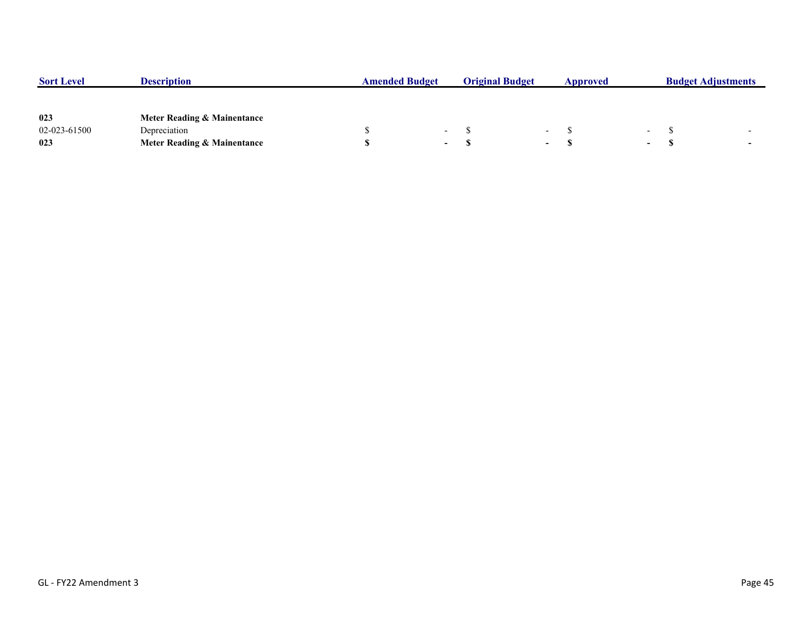| <b>Sort Level</b> | <b>Description</b>                     | <b>Amended Budget</b> |                          | <b>Original Budget</b> |                          | Approved |        | <b>Budget Adjustments</b> |  |
|-------------------|----------------------------------------|-----------------------|--------------------------|------------------------|--------------------------|----------|--------|---------------------------|--|
|                   |                                        |                       |                          |                        |                          |          |        |                           |  |
| 023               | Meter Reading & Mainentance            |                       |                          |                        |                          |          |        |                           |  |
| 02-023-61500      | Depreciation                           |                       | $\overline{\phantom{0}}$ |                        | $\overline{\phantom{0}}$ |          |        |                           |  |
| 023               | <b>Meter Reading &amp; Mainentance</b> |                       | . .                      |                        | $\sim$                   |          | $\sim$ |                           |  |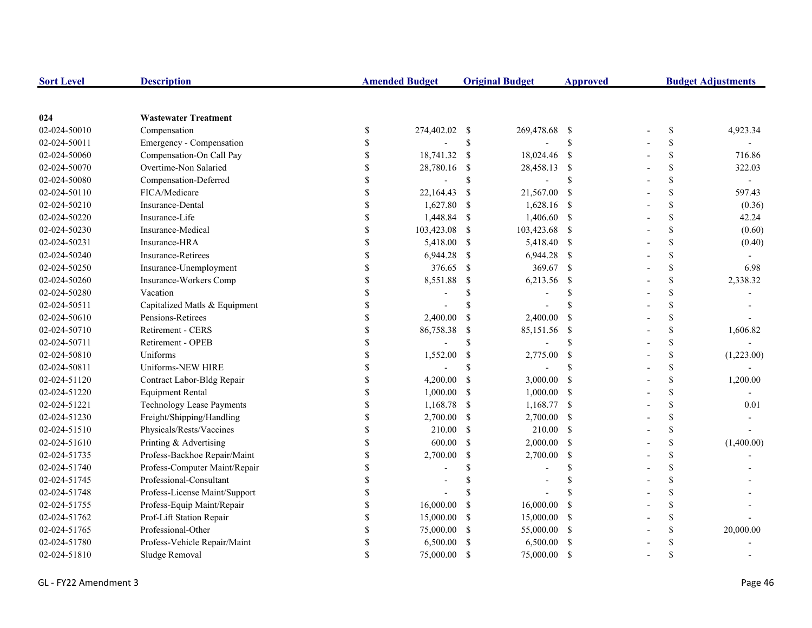| <b>Sort Level</b> | <b>Description</b>               |                    | <b>Amended Budget</b>    |               | <b>Original Budget</b> | <b>Approved</b>    | <b>Budget Adjustments</b> |             |            |
|-------------------|----------------------------------|--------------------|--------------------------|---------------|------------------------|--------------------|---------------------------|-------------|------------|
|                   |                                  |                    |                          |               |                        |                    |                           |             |            |
| 024               | <b>Wastewater Treatment</b>      |                    |                          |               |                        |                    |                           |             |            |
| 02-024-50010      | Compensation                     | \$                 | 274,402.02 \$            |               | 269,478.68             | - \$               |                           | \$          | 4,923.34   |
| 02-024-50011      | Emergency - Compensation         | \$                 |                          | $\mathbb S$   |                        | $\mathbf{\hat{S}}$ |                           | \$          |            |
| 02-024-50060      | Compensation-On Call Pay         | \$                 | 18,741.32                | -S            | 18,024.46 \$           |                    |                           | \$          | 716.86     |
| 02-024-50070      | Overtime-Non Salaried            | \$                 | 28,780.16                | \$            | 28,458.13              | $\mathcal{S}$      |                           | \$          | 322.03     |
| 02-024-50080      | Compensation-Deferred            | \$                 | $\overline{\phantom{a}}$ | $\mathbb{S}$  |                        | $\mathbf S$        |                           | \$          |            |
| 02-024-50110      | FICA/Medicare                    | \$                 | 22,164.43                | -S            | 21,567.00              | - \$               |                           | \$          | 597.43     |
| 02-024-50210      | Insurance-Dental                 | \$                 | 1,627.80                 | -S            | 1,628.16 \$            |                    |                           | \$          | (0.36)     |
| 02-024-50220      | Insurance-Life                   | \$                 | 1,448.84                 | -\$           | 1,406.60 \$            |                    |                           | $\mathbf S$ | 42.24      |
| 02-024-50230      | Insurance-Medical                | \$                 | 103,423.08               | <sup>\$</sup> | 103,423.68 \$          |                    |                           | \$          | (0.60)     |
| 02-024-50231      | Insurance-HRA                    | \$                 | 5,418.00                 | -S            | 5,418.40 \$            |                    |                           | \$          | (0.40)     |
| 02-024-50240      | <b>Insurance-Retirees</b>        | \$                 | 6,944.28                 | -S            | 6,944.28 \$            |                    |                           | \$          |            |
| 02-024-50250      | Insurance-Unemployment           | \$                 | 376.65                   | -S            | 369.67 \$              |                    |                           | \$          | 6.98       |
| 02-024-50260      | Insurance-Workers Comp           | \$                 | 8,551.88                 | \$            | 6,213.56               | $\mathcal{S}$      |                           | \$          | 2,338.32   |
| 02-024-50280      | Vacation                         | \$                 |                          | <sup>\$</sup> |                        | \$                 |                           | \$          |            |
| 02-024-50511      | Capitalized Matls & Equipment    | $\mathbf{\hat{S}}$ |                          | $\mathcal{S}$ |                        | $\mathcal{S}$      |                           | \$          |            |
| 02-024-50610      | Pensions-Retirees                | \$                 | 2,400.00                 | <sup>\$</sup> | 2,400.00               | <sup>\$</sup>      |                           | \$          |            |
| 02-024-50710      | Retirement - CERS                | $\mathbb{S}$       | 86,758.38                | <sup>\$</sup> | 85,151.56              | -\$                |                           | \$          | 1,606.82   |
| 02-024-50711      | Retirement - OPEB                | \$                 |                          | \$            |                        | <sup>\$</sup>      |                           | \$          |            |
| 02-024-50810      | Uniforms                         | \$                 | 1,552.00                 | <sup>\$</sup> | 2,775.00               | <sup>\$</sup>      |                           | \$          | (1,223.00) |
| 02-024-50811      | Uniforms-NEW HIRE                | \$                 |                          | \$.           |                        | S                  |                           | \$          |            |
| 02-024-51120      | Contract Labor-Bldg Repair       | \$                 | 4,200.00                 | $\mathbf S$   | 3,000.00               | $\mathcal{S}$      |                           | \$          | 1,200.00   |
| 02-024-51220      | <b>Equipment Rental</b>          | \$                 | 1,000.00                 | <sup>\$</sup> | 1,000.00               | <sup>\$</sup>      |                           | \$          |            |
| 02-024-51221      | <b>Technology Lease Payments</b> | \$                 | 1,168.78                 | \$            | 1,168.77 \$            |                    |                           | \$          | 0.01       |
| 02-024-51230      | Freight/Shipping/Handling        | \$                 | 2,700.00                 | \$            | 2,700.00 \$            |                    |                           | \$          |            |
| 02-024-51510      | Physicals/Rests/Vaccines         | \$                 | 210.00                   | <sup>\$</sup> | $210.00$ \$            |                    |                           | \$          |            |
| 02-024-51610      | Printing & Advertising           | \$                 | 600.00                   | $\mathcal{S}$ | $2,000.00$ \$          |                    |                           | \$          | (1,400.00) |
| 02-024-51735      | Profess-Backhoe Repair/Maint     | $\mathbf{\hat{S}}$ | 2,700.00                 | $\mathbb{S}$  | 2,700.00               | $\mathcal{S}$      |                           | \$          |            |
| 02-024-51740      | Profess-Computer Maint/Repair    | \$                 |                          | $\mathcal{S}$ |                        | $\mathbf S$        |                           | \$          |            |
| 02-024-51745      | Professional-Consultant          | \$                 |                          |               |                        | \$                 |                           | \$          |            |
| 02-024-51748      | Profess-License Maint/Support    | \$                 |                          |               |                        | \$.                |                           | \$          |            |
| 02-024-51755      | Profess-Equip Maint/Repair       | \$                 | 16,000.00                | -\$           | 16,000.00              | <sup>\$</sup>      |                           | \$          |            |
| 02-024-51762      | Prof-Lift Station Repair         | \$                 | 15,000.00                | -\$           | 15,000.00              | -\$                |                           | \$          |            |
| 02-024-51765      | Professional-Other               | \$                 | 75,000.00                | -S            | 55,000.00 \$           |                    |                           | \$          | 20,000.00  |
| 02-024-51780      | Profess-Vehicle Repair/Maint     | \$                 | 6,500.00                 | S             | 6,500.00               | -S                 |                           | \$          |            |
| 02-024-51810      | Sludge Removal                   | $\mathbf{\hat{S}}$ | 75,000.00                | <sup>\$</sup> | 75,000.00              | <sup>\$</sup>      |                           | \$          |            |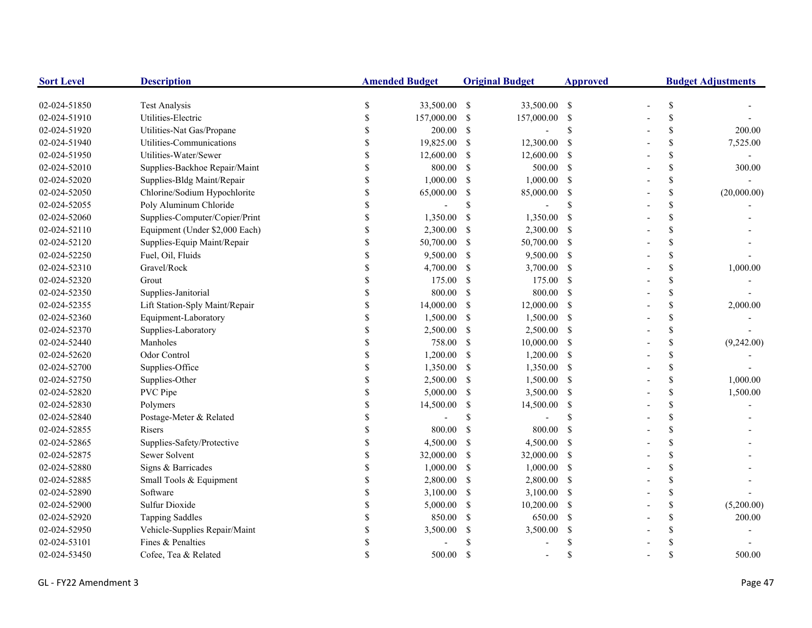| <b>Sort Level</b> | <b>Description</b>             |               | <b>Amended Budget</b> |               | <b>Original Budget</b>   | <b>Approved</b> | <b>Budget Adjustments</b> |                           |             |
|-------------------|--------------------------------|---------------|-----------------------|---------------|--------------------------|-----------------|---------------------------|---------------------------|-------------|
| 02-024-51850      | <b>Test Analysis</b>           | \$            | 33,500.00 \$          |               | 33,500.00 \$             |                 |                           | $\mathbb S$               |             |
| 02-024-51910      | Utilities-Electric             | \$            | 157,000.00            | -S            | 157,000.00 \$            |                 |                           | \$                        |             |
| 02-024-51920      | Utilities-Nat Gas/Propane      | \$            | 200.00                | -S            | $\overline{\phantom{a}}$ | <sup>\$</sup>   |                           | \$                        | 200.00      |
| 02-024-51940      | Utilities-Communications       | $\mathbf S$   | 19,825.00             | -S            | 12,300.00                | - \$            |                           | $\mathbb S$               | 7,525.00    |
| 02-024-51950      | Utilities-Water/Sewer          | \$            | 12,600.00             | -S            | 12,600.00 \$             |                 |                           | \$                        |             |
| 02-024-52010      | Supplies-Backhoe Repair/Maint  | \$            | 800.00                | -\$           | 500.00 \$                |                 |                           | \$                        | 300.00      |
| 02-024-52020      | Supplies-Bldg Maint/Repair     | \$            | 1,000.00              | -S            | $1,000.00$ \$            |                 |                           | \$                        |             |
| 02-024-52050      | Chlorine/Sodium Hypochlorite   | $\mathbf S$   | 65,000.00             | -S            | 85,000.00 \$             |                 |                           | $\mathbb{S}$              | (20,000.00) |
| 02-024-52055      | Poly Aluminum Chloride         | \$            |                       | S             |                          | \$              |                           | $\mathcal{S}$             |             |
| 02-024-52060      | Supplies-Computer/Copier/Print | \$            | 1,350.00              | \$            | 1,350.00                 | - \$            |                           | \$                        |             |
| 02-024-52110      | Equipment (Under \$2,000 Each) | $\$$          | 2,300.00              | -S            | 2,300.00 \$              |                 |                           | \$                        |             |
| 02-024-52120      | Supplies-Equip Maint/Repair    | \$            | 50,700.00             | -S            | 50,700.00 \$             |                 |                           | $\boldsymbol{\mathsf{S}}$ |             |
| 02-024-52250      | Fuel, Oil, Fluids              | \$            | 9,500.00              | -S            | 9,500.00 \$              |                 |                           | \$                        |             |
| 02-024-52310      | Gravel/Rock                    | \$            | 4,700.00              | -S            | 3,700.00 \$              |                 |                           | $\boldsymbol{\mathsf{S}}$ | 1,000.00    |
| 02-024-52320      | Grout                          |               | 175.00                | -\$           | 175.00 \$                |                 |                           | $\mathbb S$               |             |
| 02-024-52350      | Supplies-Janitorial            | \$            | 800.00                | $\mathcal{S}$ | 800.00 \$                |                 |                           | \$                        |             |
| 02-024-52355      | Lift Station-Sply Maint/Repair | \$            | 14,000.00             | -S            | $12,000.00$ \$           |                 |                           | \$                        | 2,000.00    |
| 02-024-52360      | Equipment-Laboratory           | \$            | 1,500.00              | -S            | $1,500.00$ \$            |                 |                           | \$                        |             |
| 02-024-52370      | Supplies-Laboratory            | $\mathcal{S}$ | 2,500.00              | -S            | $2,500.00$ \$            |                 |                           | \$                        |             |
| 02-024-52440      | Manholes                       | $\mathcal{S}$ | 758.00                | -\$           | $10,000.00$ \$           |                 |                           | \$                        | (9,242.00)  |
| 02-024-52620      | Odor Control                   | \$            | 1,200.00              | -S            | $1,200.00$ \$            |                 |                           | \$                        |             |
| 02-024-52700      | Supplies-Office                | \$            | 1,350.00              | -S            | 1,350.00 \$              |                 |                           | $\mathbf{\hat{S}}$        |             |
| 02-024-52750      | Supplies-Other                 | \$            | 2,500.00              | -S            | $1,500.00$ \$            |                 |                           | \$                        | 1,000.00    |
| 02-024-52820      | PVC Pipe                       | \$            | 5,000.00              | -S            | 3,500.00 \$              |                 |                           | $\$$                      | 1,500.00    |
| 02-024-52830      | Polymers                       | \$            | 14,500.00             | -\$           | 14,500.00 \$             |                 |                           | $\boldsymbol{\mathsf{S}}$ |             |
| 02-024-52840      | Postage-Meter & Related        | \$            |                       | \$            |                          | <sup>\$</sup>   |                           | $\boldsymbol{\mathsf{S}}$ |             |
| 02-024-52855      | Risers                         | \$            | 800.00                | -S            | 800.00 \$                |                 |                           | \$                        |             |
| 02-024-52865      | Supplies-Safety/Protective     | $\mathbf S$   | 4,500.00              | -S            | 4,500.00 \$              |                 |                           | \$                        |             |
| 02-024-52875      | Sewer Solvent                  | \$            | 32,000.00             | -S            | 32,000.00 \$             |                 |                           | $\mathcal{S}$             |             |
| 02-024-52880      | Signs & Barricades             | \$            | 1,000.00              | -S            | $1,000.00$ \$            |                 |                           | \$                        |             |
| 02-024-52885      | Small Tools & Equipment        | \$            | 2,800.00              | -S            | 2,800.00 \$              |                 |                           | \$                        |             |
| 02-024-52890      | Software                       |               | 3,100.00              | -S            | $3,100.00$ \$            |                 |                           | \$                        |             |
| 02-024-52900      | Sulfur Dioxide                 | $\mathcal{S}$ | 5,000.00              | -S            | $10,200.00$ \$           |                 |                           | \$                        | (5,200.00)  |
| 02-024-52920      | <b>Tapping Saddles</b>         | \$            | 850.00                | -S            | 650.00 \$                |                 |                           | \$                        | 200.00      |
| 02-024-52950      | Vehicle-Supplies Repair/Maint  | \$            | 3,500.00              | \$            | 3,500.00                 | -\$             |                           | \$                        |             |
| 02-024-53101      | Fines & Penalties              | \$.           |                       |               |                          |                 |                           | \$                        |             |
| 02-024-53450      | Cofee, Tea & Related           | $\mathbf S$   | 500.00                | \$.           |                          | \$.             |                           | $\mathcal{S}$             | 500.00      |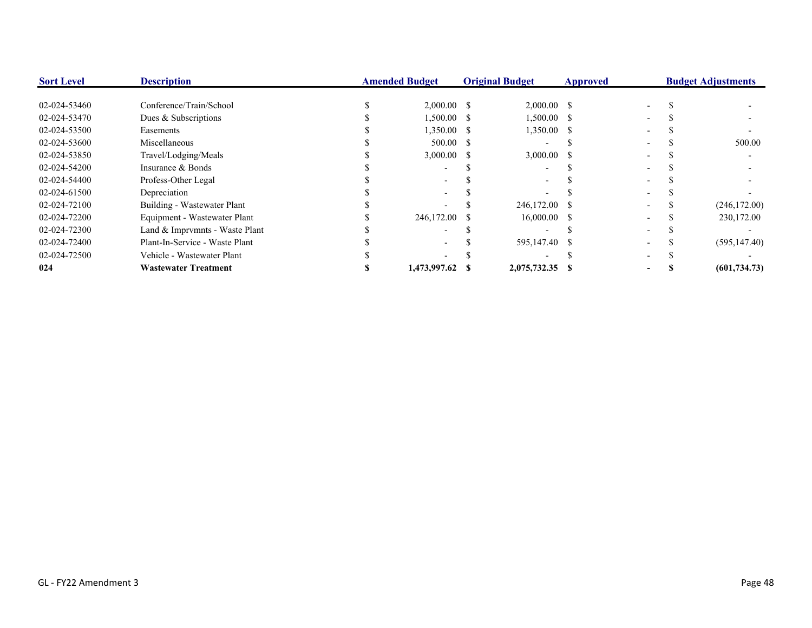| <b>Sort Level</b> | <b>Description</b>             | <b>Amended Budget</b> |                 | <b>Original Budget</b> |                 | <b>Approved</b> |  | <b>Budget Adjustments</b> |               |
|-------------------|--------------------------------|-----------------------|-----------------|------------------------|-----------------|-----------------|--|---------------------------|---------------|
|                   |                                |                       |                 |                        |                 |                 |  |                           |               |
| 02-024-53460      | Conference/Train/School        |                       | $2,000.00$ \$   |                        | $2,000.00$ \$   |                 |  |                           |               |
| 02-024-53470      | Dues & Subscriptions           |                       | $1,500.00$ \$   |                        | $1,500.00$ \$   |                 |  |                           |               |
| 02-024-53500      | Easements                      |                       | 1,350.00 \$     |                        | $1,350.00$ \$   |                 |  |                           |               |
| 02-024-53600      | Miscellaneous                  |                       | 500.00 S        |                        |                 |                 |  |                           | 500.00        |
| 02-024-53850      | Travel/Lodging/Meals           |                       | $3,000.00$ \$   |                        | $3,000.00$ \$   |                 |  |                           |               |
| 02-024-54200      | Insurance & Bonds              |                       |                 |                        |                 |                 |  |                           |               |
| 02-024-54400      | Profess-Other Legal            |                       |                 |                        |                 |                 |  |                           |               |
| 02-024-61500      | Depreciation                   |                       |                 |                        |                 |                 |  |                           |               |
| 02-024-72100      | Building - Wastewater Plant    |                       |                 |                        | 246,172.00 \$   |                 |  |                           | (246, 172.00) |
| 02-024-72200      | Equipment - Wastewater Plant   |                       | 246,172.00      |                        | $16,000.00$ \$  |                 |  |                           | 230,172.00    |
| 02-024-72300      | Land & Imprymnts - Waste Plant |                       |                 |                        |                 |                 |  |                           |               |
| 02-024-72400      | Plant-In-Service - Waste Plant |                       |                 |                        | 595,147.40 \$   |                 |  |                           | (595, 147.40) |
| 02-024-72500      | Vehicle - Wastewater Plant     |                       |                 |                        |                 |                 |  |                           |               |
| 024               | <b>Wastewater Treatment</b>    |                       | 1,473,997.62 \$ |                        | 2,075,732.35 \$ |                 |  |                           | (601, 734.73) |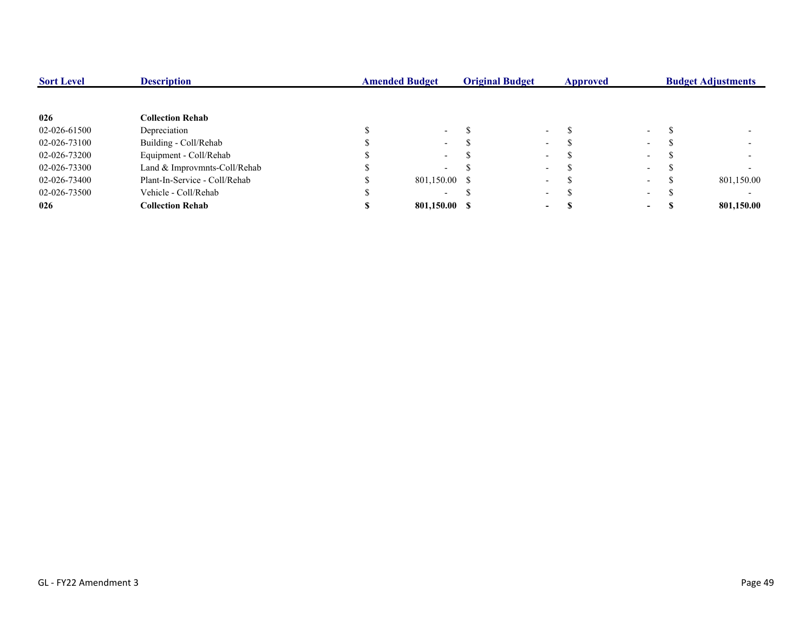| <b>Sort Level</b> | <b>Description</b>            | <b>Amended Budget</b> |                          | <b>Original Budget</b> |                          | Approved |               | <b>Budget Adjustments</b> |            |
|-------------------|-------------------------------|-----------------------|--------------------------|------------------------|--------------------------|----------|---------------|---------------------------|------------|
|                   |                               |                       |                          |                        |                          |          |               |                           |            |
| 026               | <b>Collection Rehab</b>       |                       |                          |                        |                          |          |               |                           |            |
| 02-026-61500      | Depreciation                  |                       | $\sim$                   |                        | $\overline{\phantom{0}}$ |          | $\sim$        |                           |            |
| 02-026-73100      | Building - Coll/Rehab         |                       | $\sim$                   |                        | $\sim$                   |          | $\sim$        |                           |            |
| 02-026-73200      | Equipment - Coll/Rehab        |                       | $\sim$                   |                        | $\sim$                   |          | $\sim$        |                           |            |
| 02-026-73300      | Land & Improvmnts-Coll/Rehab  |                       | $\overline{\phantom{0}}$ |                        | $\sim$                   |          | $\sim$ $\sim$ |                           |            |
| 02-026-73400      | Plant-In-Service - Coll/Rehab |                       | 801,150.00 \$            |                        | $\overline{\phantom{0}}$ |          | $\sim$        |                           | 801,150.00 |
| 02-026-73500      | Vehicle - Coll/Rehab          |                       | $\overline{\phantom{0}}$ |                        | $\overline{\phantom{0}}$ |          | $\sim$        |                           |            |
| 026               | <b>Collection Rehab</b>       |                       | 801.150.00 \$            |                        | $\overline{\phantom{a}}$ |          | $\sim$        |                           | 801,150.00 |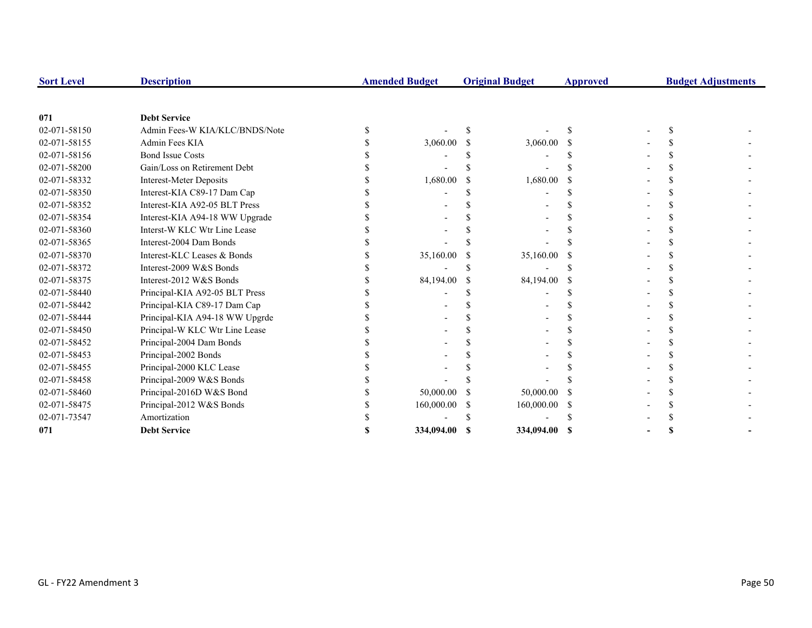| <b>Sort Level</b> | <b>Description</b>             | <b>Amended Budget</b> |              | <b>Original Budget</b> | <b>Approved</b> | <b>Budget Adjustments</b> |  |
|-------------------|--------------------------------|-----------------------|--------------|------------------------|-----------------|---------------------------|--|
|                   |                                |                       |              |                        |                 |                           |  |
| 071               | <b>Debt Service</b>            |                       |              |                        |                 |                           |  |
| 02-071-58150      | Admin Fees-W KIA/KLC/BNDS/Note |                       |              |                        |                 |                           |  |
| 02-071-58155      | Admin Fees KIA                 | 3,060.00              |              | 3,060.00               |                 |                           |  |
| 02-071-58156      | <b>Bond Issue Costs</b>        |                       |              |                        |                 |                           |  |
| 02-071-58200      | Gain/Loss on Retirement Debt   |                       |              |                        |                 |                           |  |
| 02-071-58332      | <b>Interest-Meter Deposits</b> | 1,680.00              |              | 1,680.00               |                 |                           |  |
| 02-071-58350      | Interest-KIA C89-17 Dam Cap    |                       |              |                        |                 |                           |  |
| 02-071-58352      | Interest-KIA A92-05 BLT Press  |                       |              |                        |                 |                           |  |
| 02-071-58354      | Interest-KIA A94-18 WW Upgrade |                       |              |                        |                 |                           |  |
| 02-071-58360      | Interst-W KLC Wtr Line Lease   |                       |              |                        |                 |                           |  |
| 02-071-58365      | Interest-2004 Dam Bonds        |                       |              |                        |                 |                           |  |
| 02-071-58370      | Interest-KLC Leases & Bonds    | 35,160.00             |              | 35,160.00              |                 |                           |  |
| 02-071-58372      | Interest-2009 W&S Bonds        |                       |              |                        |                 |                           |  |
| 02-071-58375      | Interest-2012 W&S Bonds        | 84,194.00             |              | 84,194.00              |                 |                           |  |
| 02-071-58440      | Principal-KIA A92-05 BLT Press |                       |              |                        |                 |                           |  |
| 02-071-58442      | Principal-KIA C89-17 Dam Cap   |                       |              |                        |                 |                           |  |
| 02-071-58444      | Principal-KIA A94-18 WW Upgrde |                       |              |                        |                 |                           |  |
| 02-071-58450      | Principal-W KLC Wtr Line Lease |                       |              |                        |                 |                           |  |
| 02-071-58452      | Principal-2004 Dam Bonds       |                       |              |                        |                 |                           |  |
| 02-071-58453      | Principal-2002 Bonds           |                       |              |                        |                 |                           |  |
| 02-071-58455      | Principal-2000 KLC Lease       |                       |              |                        |                 |                           |  |
| 02-071-58458      | Principal-2009 W&S Bonds       |                       |              |                        |                 |                           |  |
| 02-071-58460      | Principal-2016D W&S Bond       | 50,000.00             |              | 50,000.00              |                 |                           |  |
| 02-071-58475      | Principal-2012 W&S Bonds       | 160,000.00            | <sup>S</sup> | 160,000.00             | -S              |                           |  |
| 02-071-73547      | Amortization                   |                       |              |                        |                 |                           |  |
| 071               | <b>Debt Service</b>            | 334,094.00            |              | 334,094.00             | -SS             |                           |  |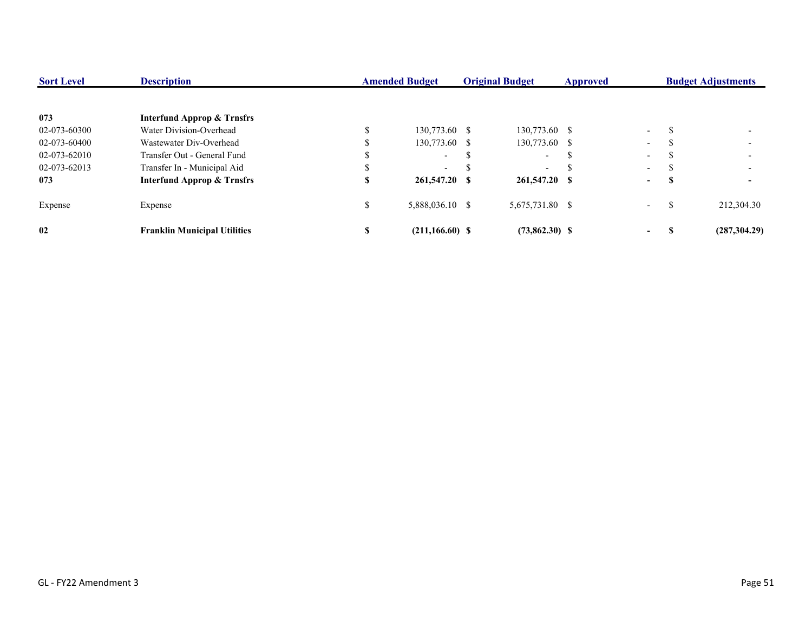| <b>Sort Level</b> | <b>Description</b>                    | <b>Amended Budget</b><br><b>Original Budget</b> |                    | <b>Approved</b>          |  | <b>Budget Adjustments</b> |               |               |
|-------------------|---------------------------------------|-------------------------------------------------|--------------------|--------------------------|--|---------------------------|---------------|---------------|
|                   |                                       |                                                 |                    |                          |  |                           |               |               |
| 073               | <b>Interfund Approp &amp; Trnsfrs</b> |                                                 |                    |                          |  |                           |               |               |
| 02-073-60300      | Water Division-Overhead               |                                                 | 130,773.60 \$      | 130,773.60 \$            |  | $\sim 100$                | \$.           |               |
| 02-073-60400      | Wastewater Div-Overhead               |                                                 | 130,773.60 \$      | 130,773.60 \$            |  | $-$                       | ĴЪ.           |               |
| 02-073-62010      | Transfer Out - General Fund           |                                                 | $\sim$             | $\sim$                   |  | $\sim$                    | - 33          |               |
| 02-073-62013      | Transfer In - Municipal Aid           |                                                 | $\sim$             | $\overline{\phantom{a}}$ |  | $-$                       | - 35          |               |
| 073               | <b>Interfund Approp &amp; Trnsfrs</b> | ъ                                               | 261,547.20 \$      | 261,547.20 \$            |  | $\sim$                    | э             |               |
| Expense           | Expense                               | аĐ.                                             | 5,888,036.10 \$    | 5,675,731.80 \$          |  | $\sim$                    | <sup>\$</sup> | 212,304.30    |
| 02                | <b>Franklin Municipal Utilities</b>   | ъ                                               | $(211, 166.60)$ \$ | $(73,862.30)$ \$         |  | $\sim$                    | э             | (287, 304.29) |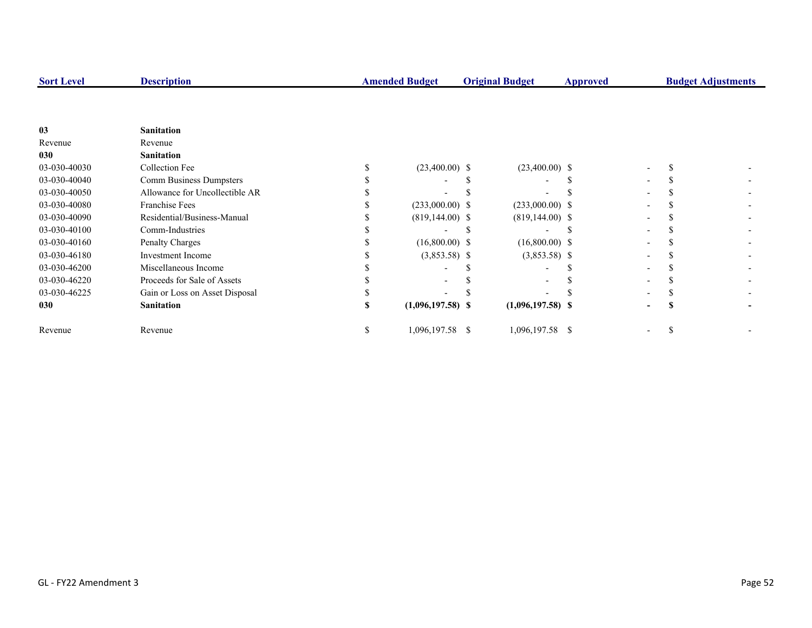| <b>Sort Level</b> | <b>Description</b>             |    | <b>Amended Budget</b> | <b>Original Budget</b> | Approved |   |              | <b>Budget Adjustments</b> |
|-------------------|--------------------------------|----|-----------------------|------------------------|----------|---|--------------|---------------------------|
|                   |                                |    |                       |                        |          |   |              |                           |
| 03                | <b>Sanitation</b>              |    |                       |                        |          |   |              |                           |
| Revenue           | Revenue                        |    |                       |                        |          |   |              |                           |
| 030               | <b>Sanitation</b>              |    |                       |                        |          |   |              |                           |
| 03-030-40030      | Collection Fee                 |    | $(23,400.00)$ \$      | $(23,400.00)$ \$       |          |   |              |                           |
| 03-030-40040      | Comm Business Dumpsters        |    |                       |                        |          |   |              |                           |
| 03-030-40050      | Allowance for Uncollectible AR |    |                       |                        |          |   |              |                           |
| 03-030-40080      | <b>Franchise Fees</b>          |    | $(233,000.00)$ \$     | $(233,000.00)$ \$      |          |   |              |                           |
| 03-030-40090      | Residential/Business-Manual    |    | $(819, 144.00)$ \$    | $(819, 144.00)$ \$     |          |   |              |                           |
| 03-030-40100      | Comm-Industries                |    |                       |                        |          |   |              |                           |
| 03-030-40160      | Penalty Charges                |    | $(16,800.00)$ \$      | $(16,800.00)$ \$       |          |   |              |                           |
| 03-030-46180      | <b>Investment</b> Income       |    | $(3,853.58)$ \$       | $(3,853.58)$ \$        |          |   |              |                           |
| 03-030-46200      | Miscellaneous Income           |    |                       |                        |          |   |              |                           |
| 03-030-46220      | Proceeds for Sale of Assets    |    |                       |                        |          |   |              |                           |
| 03-030-46225      | Gain or Loss on Asset Disposal |    |                       |                        |          |   |              |                           |
| 030               | <b>Sanitation</b>              |    | $(1,096,197.58)$ \$   | $(1,096,197.58)$ \$    |          | - | S            |                           |
| Revenue           | Revenue                        | S. | 1,096,197.58 \$       | 1,096,197.58 \$        |          |   | <sup>S</sup> |                           |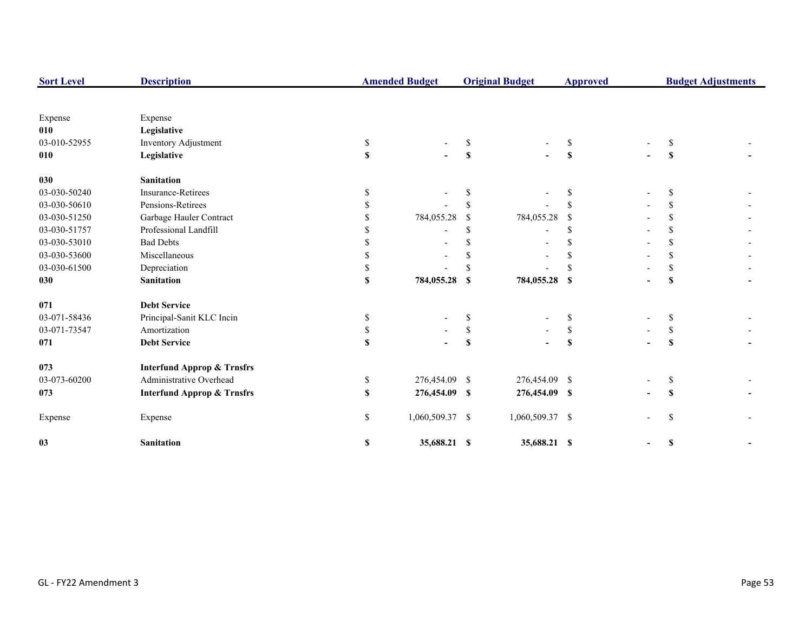| <b>Sort Level</b> | <b>Description</b>                    |    | <b>Amended Budget</b> |                           | <b>Original Budget</b> | <b>Approved</b>           |               | <b>Budget Adjustments</b> |
|-------------------|---------------------------------------|----|-----------------------|---------------------------|------------------------|---------------------------|---------------|---------------------------|
|                   |                                       |    |                       |                           |                        |                           |               |                           |
| Expense           | Expense                               |    |                       |                           |                        |                           |               |                           |
| 010               | Legislative                           |    |                       |                           |                        |                           |               |                           |
| 03-010-52955      | Inventory Adjustment                  | \$ |                       | \$                        |                        | \$                        | S             |                           |
| 010               | Legislative                           | \$ |                       | $\boldsymbol{\mathsf{s}}$ |                        | S                         | \$            |                           |
| 030               | <b>Sanitation</b>                     |    |                       |                           |                        |                           |               |                           |
| 03-030-50240      | Insurance-Retirees                    | S  |                       | S.                        |                        | S                         | S             |                           |
| 03-030-50610      | Pensions-Retirees                     | S  |                       | <sup>\$</sup>             |                        |                           | \$            |                           |
| 03-030-51250      | Garbage Hauler Contract               |    | 784,055.28            | <sup>\$</sup>             | 784,055.28             | -S                        | <sup>\$</sup> |                           |
| 03-030-51757      | Professional Landfill                 |    |                       | <sup>\$</sup>             |                        | \$.                       | \$.           |                           |
| 03-030-53010      | <b>Bad Debts</b>                      |    |                       | <sup>\$</sup>             |                        | S                         |               |                           |
| 03-030-53600      | Miscellaneous                         | S  |                       | <sup>\$</sup>             |                        |                           | \$.           |                           |
| 03-030-61500      | Depreciation                          |    |                       |                           |                        |                           | <sup>\$</sup> |                           |
| 030               | <b>Sanitation</b>                     | \$ | 784,055.28            | \$                        | 784,055.28 \$          |                           | \$            |                           |
| 071               | <b>Debt Service</b>                   |    |                       |                           |                        |                           |               |                           |
| 03-071-58436      | Principal-Sanit KLC Incin             | \$ |                       | \$                        |                        | \$                        | \$            |                           |
| 03-071-73547      | Amortization                          | \$ |                       | $\mathbb S$               |                        | \$                        | \$            |                           |
| 071               | <b>Debt Service</b>                   | \$ |                       | $\mathbb S$               |                        | $\boldsymbol{\mathsf{s}}$ | $\mathbf{s}$  |                           |
| 073               | <b>Interfund Approp &amp; Trnsfrs</b> |    |                       |                           |                        |                           |               |                           |
| 03-073-60200      | Administrative Overhead               | \$ | 276,454.09 \$         |                           | 276,454.09 \$          |                           | \$            |                           |
| 073               | <b>Interfund Approp &amp; Trnsfrs</b> | S. | 276,454.09 \$         |                           | 276,454.09 \$          |                           | S             |                           |
| Expense           | Expense                               | \$ | 1,060,509.37 \$       |                           | 1,060,509.37 \$        |                           | <sup>\$</sup> |                           |
| 03                | <b>Sanitation</b>                     | \$ | 35,688.21 \$          |                           | 35,688.21 \$           |                           | \$            |                           |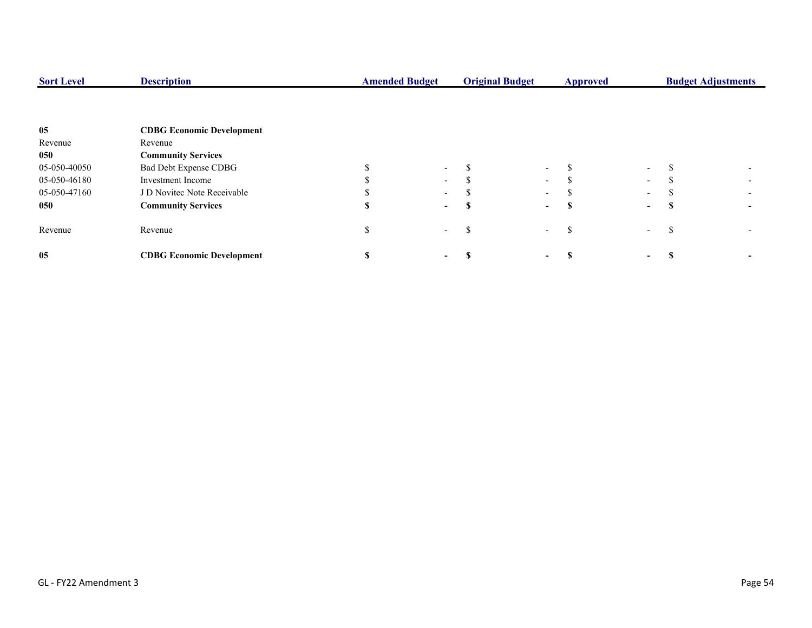| <b>Sort Level</b> | <b>Description</b>               | <b>Amended Budget</b> |        | <b>Original Budget</b> | <b>Approved</b>          |   |                          | <b>Budget Adjustments</b> |  |  |
|-------------------|----------------------------------|-----------------------|--------|------------------------|--------------------------|---|--------------------------|---------------------------|--|--|
|                   |                                  |                       |        |                        |                          |   |                          |                           |  |  |
| 05                | <b>CDBG Economic Development</b> |                       |        |                        |                          |   |                          |                           |  |  |
| Revenue           | Revenue                          |                       |        |                        |                          |   |                          |                           |  |  |
| 050               | <b>Community Services</b>        |                       |        |                        |                          |   |                          |                           |  |  |
| 05-050-40050      | Bad Debt Expense CDBG            |                       | $\sim$ |                        | $\sim$                   | Ф | $\sim$                   |                           |  |  |
| 05-050-46180      | Investment Income                |                       | $\sim$ |                        | $\sim$                   |   | $\sim$                   |                           |  |  |
| 05-050-47160      | J D Novitec Note Receivable      |                       | $\sim$ |                        | $\sim$                   | Ф | $\sim$                   |                           |  |  |
| 050               | <b>Community Services</b>        |                       | $\sim$ |                        | $\sim$                   | Я | $\overline{\phantom{a}}$ |                           |  |  |
| Revenue           | Revenue                          |                       | $\sim$ | ĴЪ.                    | $\sim$                   | ъ | $\sim$                   |                           |  |  |
| 05                | <b>CDBG Economic Development</b> |                       | -      |                        | $\overline{\phantom{0}}$ |   | ۰.                       |                           |  |  |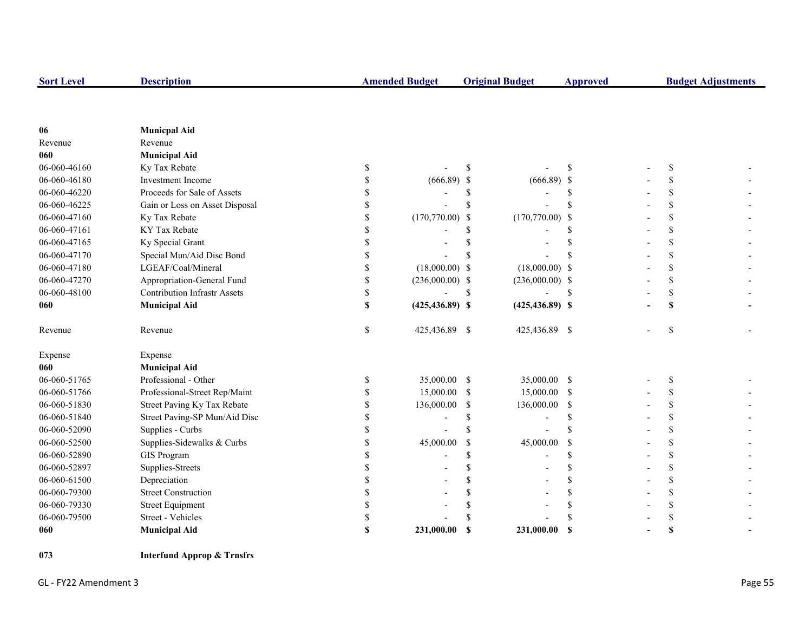| <b>Sort Level</b> | <b>Description</b>                  | <b>Amended Budget</b>    |               | <b>Original Budget</b> | <b>Approved</b> |               | <b>Budget Adjustments</b> |
|-------------------|-------------------------------------|--------------------------|---------------|------------------------|-----------------|---------------|---------------------------|
|                   |                                     |                          |               |                        |                 |               |                           |
|                   |                                     |                          |               |                        |                 |               |                           |
| 06<br>Revenue     | <b>Municpal Aid</b><br>Revenue      |                          |               |                        |                 |               |                           |
| 060               | <b>Municipal Aid</b>                |                          |               |                        |                 |               |                           |
| 06-060-46160      | Ky Tax Rebate                       | \$                       | <sup>\$</sup> |                        | \$.             | <sup>\$</sup> |                           |
| 06-060-46180      | Investment Income                   | \$<br>$(666.89)$ \$      |               | $(666.89)$ \$          |                 | \$            |                           |
| 06-060-46220      | Proceeds for Sale of Assets         | \$                       | \$            |                        | S               | \$            |                           |
| 06-060-46225      | Gain or Loss on Asset Disposal      | \$                       | <sup>\$</sup> |                        | S               | \$            |                           |
| 06-060-47160      | Ky Tax Rebate                       | \$<br>$(170,770.00)$ \$  |               | $(170,770.00)$ \$      |                 | \$            |                           |
| 06-060-47161      | KY Tax Rebate                       | \$                       | \$            |                        | S               | \$            |                           |
| 06-060-47165      | Ky Special Grant                    | \$                       | \$            |                        | S               | \$            |                           |
| 06-060-47170      | Special Mun/Aid Disc Bond           | \$                       |               |                        |                 | \$            |                           |
| 06-060-47180      | LGEAF/Coal/Mineral                  | \$<br>$(18,000.00)$ \$   |               | $(18,000.00)$ \$       |                 | \$            |                           |
| 06-060-47270      | Appropriation-General Fund          | \$<br>$(236,000.00)$ \$  |               | $(236,000.00)$ \$      |                 | \$            |                           |
| 06-060-48100      | <b>Contribution Infrastr Assets</b> | \$                       | \$            |                        | \$              | \$            |                           |
| 060               | <b>Municipal Aid</b>                | \$<br>$(425, 436.89)$ \$ |               | $(425, 436.89)$ \$     |                 | \$            |                           |
| Revenue           | Revenue                             | \$<br>425,436.89 \$      |               | 425,436.89 \$          |                 | \$            |                           |
| Expense           | Expense                             |                          |               |                        |                 |               |                           |
| 060               | <b>Municipal Aid</b>                |                          |               |                        |                 |               |                           |
| 06-060-51765      | Professional - Other                | \$<br>35,000.00 \$       |               | 35,000.00 \$           |                 | \$            |                           |
| 06-060-51766      | Professional-Street Rep/Maint       | \$<br>15,000.00          | <sup>\$</sup> | 15,000.00 \$           |                 | \$            |                           |
| 06-060-51830      | Street Paving Ky Tax Rebate         | \$<br>136,000.00         | \$            | 136,000.00             | -\$             | \$            |                           |
| 06-060-51840      | Street Paving-SP Mun/Aid Disc       | \$                       | $\mathbb S$   | $\overline{a}$         | S               | \$            |                           |
| 06-060-52090      | Supplies - Curbs                    | \$                       | \$            |                        | \$              | \$            |                           |
| 06-060-52500      | Supplies-Sidewalks & Curbs          | \$<br>45,000.00          | <sup>\$</sup> | 45,000.00              | $\mathcal{S}$   | \$            |                           |
| 06-060-52890      | <b>GIS Program</b>                  | \$                       | \$            |                        | \$              | \$            |                           |
| 06-060-52897      | Supplies-Streets                    | \$                       | \$            |                        | \$              | \$            |                           |
| 06-060-61500      | Depreciation                        | \$                       | \$            |                        | \$              | \$            |                           |
| 06-060-79300      | <b>Street Construction</b>          | \$                       | \$            |                        | \$              | \$            |                           |
| 06-060-79330      | <b>Street Equipment</b>             | \$                       |               |                        | S               | \$            |                           |
| 06-060-79500      | Street - Vehicles                   | \$                       |               |                        | \$              | \$            |                           |
| 060               | <b>Municipal Aid</b>                | \$<br>231,000.00         | <sup>\$</sup> | 231,000.00             | $\mathbf S$     | S             |                           |

**073 Interfund Approp & Trnsfrs**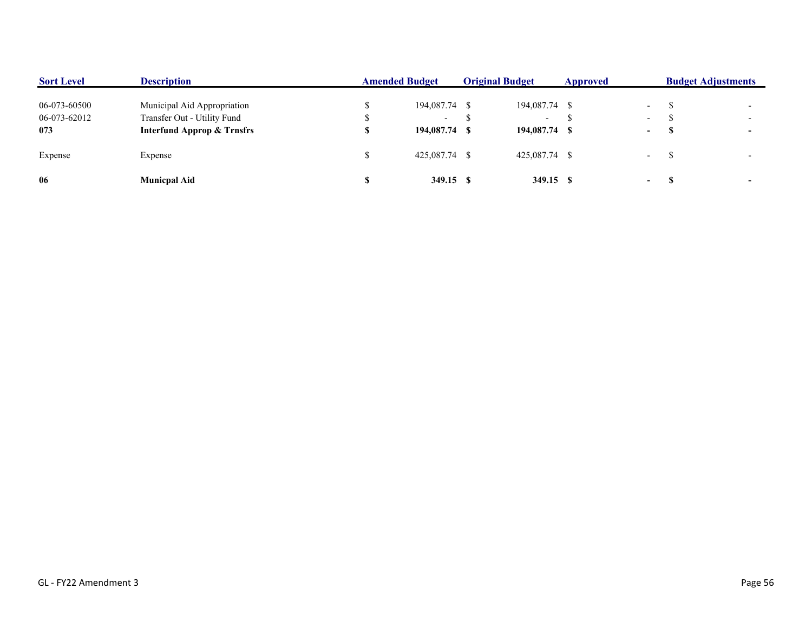| <b>Sort Level</b> | <b>Description</b>                    | <b>Amended Budget</b> | <b>Original Budget</b> |                          | Approved |                          | <b>Budget Adjustments</b> |  |
|-------------------|---------------------------------------|-----------------------|------------------------|--------------------------|----------|--------------------------|---------------------------|--|
| 06-073-60500      | Municipal Aid Appropriation           | 194,087.74 \$         |                        | 194,087.74 \$            |          | $\overline{a}$           |                           |  |
| 06-073-62012      | Transfer Out - Utility Fund           | $\sim$                |                        | $\overline{\phantom{0}}$ |          | $\overline{\phantom{0}}$ |                           |  |
| 073               | <b>Interfund Approp &amp; Trnsfrs</b> | 194,087.74 \$         |                        | 194,087.74 \$            |          | ۰.                       |                           |  |
| Expense           | Expense                               | 425,087.74 \$         |                        | 425,087.74 \$            |          | $\sim$                   |                           |  |
| 06                | <b>Municpal Aid</b>                   | 349.15 \$             |                        | 349.15 \$                |          | $\sim$                   |                           |  |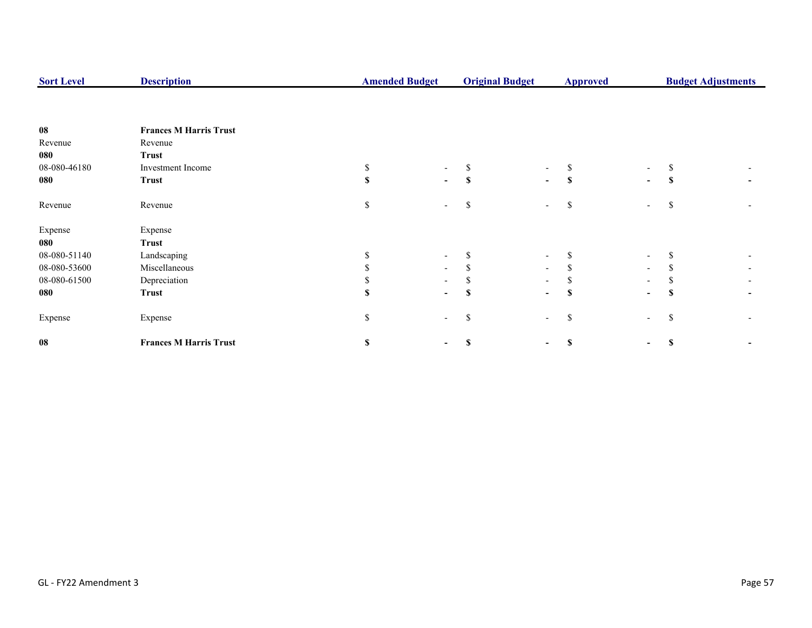| <b>Sort Level</b> | <b>Description</b>            | <b>Original Budget</b><br><b>Amended Budget</b> |                          | <b>Approved</b> |                          | <b>Budget Adjustments</b> |                          |               |  |
|-------------------|-------------------------------|-------------------------------------------------|--------------------------|-----------------|--------------------------|---------------------------|--------------------------|---------------|--|
|                   |                               |                                                 |                          |                 |                          |                           |                          |               |  |
| 08                | <b>Frances M Harris Trust</b> |                                                 |                          |                 |                          |                           |                          |               |  |
| Revenue           | Revenue                       |                                                 |                          |                 |                          |                           |                          |               |  |
| 080               | <b>Trust</b>                  |                                                 |                          |                 |                          |                           |                          |               |  |
| 08-080-46180      | Investment Income             | \$                                              |                          | \$              |                          |                           | $\overline{\phantom{a}}$ |               |  |
| 080               | <b>Trust</b>                  | S                                               | $\blacksquare$           | $\mathbf{s}$    | $\blacksquare$           | S                         | $\blacksquare$           | -S            |  |
| Revenue           | Revenue                       | \$                                              |                          | \$              | $\overline{\phantom{a}}$ | \$                        | $ \,$                    | <sup>\$</sup> |  |
| Expense           | Expense                       |                                                 |                          |                 |                          |                           |                          |               |  |
| 080               | <b>Trust</b>                  |                                                 |                          |                 |                          |                           |                          |               |  |
| 08-080-51140      | Landscaping                   |                                                 | $\overline{\phantom{0}}$ | ъ               | $\overline{\phantom{a}}$ |                           | $\overline{\phantom{a}}$ |               |  |
| 08-080-53600      | Miscellaneous                 |                                                 |                          |                 | $\overline{\phantom{a}}$ |                           | $\overline{\phantom{a}}$ |               |  |
| 08-080-61500      | Depreciation                  |                                                 |                          |                 | $\blacksquare$           |                           |                          |               |  |
| 080               | <b>Trust</b>                  | S                                               | $\overline{\phantom{0}}$ | S               | $\blacksquare$           | S                         | $\blacksquare$           | -SS           |  |
| Expense           | Expense                       | \$                                              | $\overline{\phantom{0}}$ | \$              | $\overline{\phantom{a}}$ | \$                        | $\overline{\phantom{a}}$ | <sup>\$</sup> |  |
| 08                | <b>Frances M Harris Trust</b> | S                                               |                          | \$              |                          | S                         | $\blacksquare$           | <b>S</b>      |  |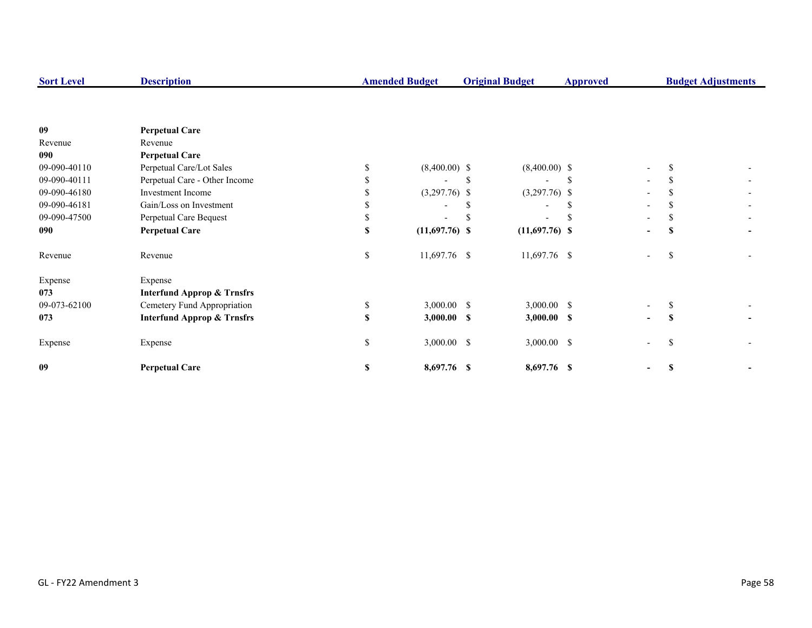| <b>Sort Level</b> | <b>Description</b>                    |    | <b>Amended Budget</b> | <b>Original Budget</b>   | <b>Budget Adjustments</b><br><b>Approved</b> |                          |     |  |
|-------------------|---------------------------------------|----|-----------------------|--------------------------|----------------------------------------------|--------------------------|-----|--|
|                   |                                       |    |                       |                          |                                              |                          |     |  |
| 09                | <b>Perpetual Care</b>                 |    |                       |                          |                                              |                          |     |  |
| Revenue           | Revenue                               |    |                       |                          |                                              |                          |     |  |
| 090               | <b>Perpetual Care</b>                 |    |                       |                          |                                              |                          |     |  |
| 09-090-40110      | Perpetual Care/Lot Sales              | S. | $(8,400.00)$ \$       | $(8,400.00)$ \$          |                                              | $\overline{\phantom{0}}$ |     |  |
| 09-090-40111      | Perpetual Care - Other Income         |    |                       |                          |                                              |                          |     |  |
| 09-090-46180      | Investment Income                     |    | $(3,297.76)$ \$       | $(3,297.76)$ \$          |                                              |                          |     |  |
| 09-090-46181      | Gain/Loss on Investment               |    |                       | $\overline{\phantom{0}}$ |                                              |                          |     |  |
| 09-090-47500      | Perpetual Care Bequest                |    |                       |                          |                                              |                          |     |  |
| 090               | <b>Perpetual Care</b>                 | S  | $(11,697.76)$ \$      | $(11,697.76)$ \$         |                                              | $\overline{\phantom{a}}$ |     |  |
| Revenue           | Revenue                               | S. | 11,697.76 \$          | 11,697.76 \$             |                                              |                          | S   |  |
| Expense           | Expense                               |    |                       |                          |                                              |                          |     |  |
| 073               | <b>Interfund Approp &amp; Trnsfrs</b> |    |                       |                          |                                              |                          |     |  |
| 09-073-62100      | Cemetery Fund Appropriation           | \$ | $3,000.00$ \$         | $3,000.00$ \$            |                                              |                          |     |  |
| 073               | <b>Interfund Approp &amp; Trnsfrs</b> | \$ | $3,000.00$ \$         | $3,000.00$ \$            |                                              | $\blacksquare$           | \$  |  |
| Expense           | Expense                               | \$ | $3,000.00$ \$         | 3,000.00 \$              |                                              | $\overline{\phantom{0}}$ | \$. |  |
| 09                | <b>Perpetual Care</b>                 | S  | 8,697.76 \$           | 8,697.76 \$              |                                              |                          |     |  |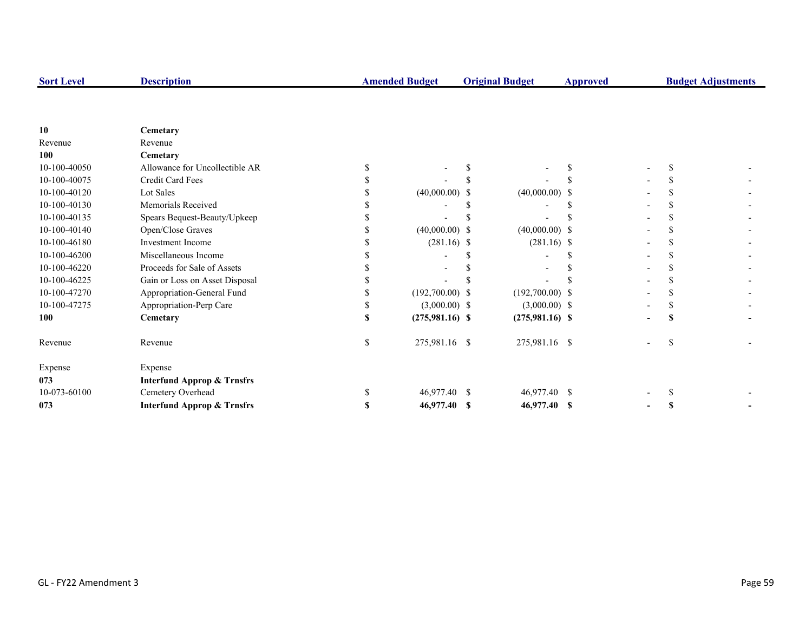| <b>Sort Level</b> | <b>Description</b>                    |    | <b>Amended Budget</b> |    | <b>Original Budget</b> | <b>Budget Adjustments</b><br><b>Approved</b> |  |   |  |
|-------------------|---------------------------------------|----|-----------------------|----|------------------------|----------------------------------------------|--|---|--|
|                   |                                       |    |                       |    |                        |                                              |  |   |  |
| 10                | Cemetary                              |    |                       |    |                        |                                              |  |   |  |
| Revenue           | Revenue                               |    |                       |    |                        |                                              |  |   |  |
| 100               | Cemetary                              |    |                       |    |                        |                                              |  |   |  |
| 10-100-40050      | Allowance for Uncollectible AR        |    |                       |    |                        |                                              |  |   |  |
| 10-100-40075      | Credit Card Fees                      |    |                       |    |                        |                                              |  |   |  |
| 10-100-40120      | Lot Sales                             |    | $(40,000.00)$ \$      |    | $(40,000.00)$ \$       |                                              |  |   |  |
| 10-100-40130      | Memorials Received                    |    |                       |    |                        |                                              |  |   |  |
| 10-100-40135      | Spears Bequest-Beauty/Upkeep          |    |                       |    |                        |                                              |  |   |  |
| 10-100-40140      | Open/Close Graves                     |    | $(40,000.00)$ \$      |    | $(40,000.00)$ \$       |                                              |  |   |  |
| 10-100-46180      | <b>Investment Income</b>              |    | $(281.16)$ \$         |    | $(281.16)$ \$          |                                              |  |   |  |
| 10-100-46200      | Miscellaneous Income                  |    |                       |    |                        |                                              |  |   |  |
| 10-100-46220      | Proceeds for Sale of Assets           |    |                       |    |                        |                                              |  |   |  |
| 10-100-46225      | Gain or Loss on Asset Disposal        |    |                       |    |                        |                                              |  |   |  |
| 10-100-47270      | Appropriation-General Fund            |    | $(192,700.00)$ \$     |    | $(192,700.00)$ \$      |                                              |  |   |  |
| 10-100-47275      | Appropriation-Perp Care               |    | $(3,000.00)$ \$       |    | $(3,000.00)$ \$        |                                              |  |   |  |
| 100               | Cemetary                              |    | $(275,981.16)$ \$     |    | $(275,981.16)$ \$      |                                              |  | S |  |
| Revenue           | Revenue                               | \$ | 275,981.16 \$         |    | 275,981.16 \$          |                                              |  | S |  |
| Expense           | Expense                               |    |                       |    |                        |                                              |  |   |  |
| 073               | <b>Interfund Approp &amp; Trnsfrs</b> |    |                       |    |                        |                                              |  |   |  |
| 10-073-60100      | Cemetery Overhead                     |    | 46,977.40             | -S | 46,977.40 \$           |                                              |  |   |  |
| 073               | <b>Interfund Approp &amp; Trnsfrs</b> | S  | 46,977.40 \$          |    | 46,977.40 \$           |                                              |  |   |  |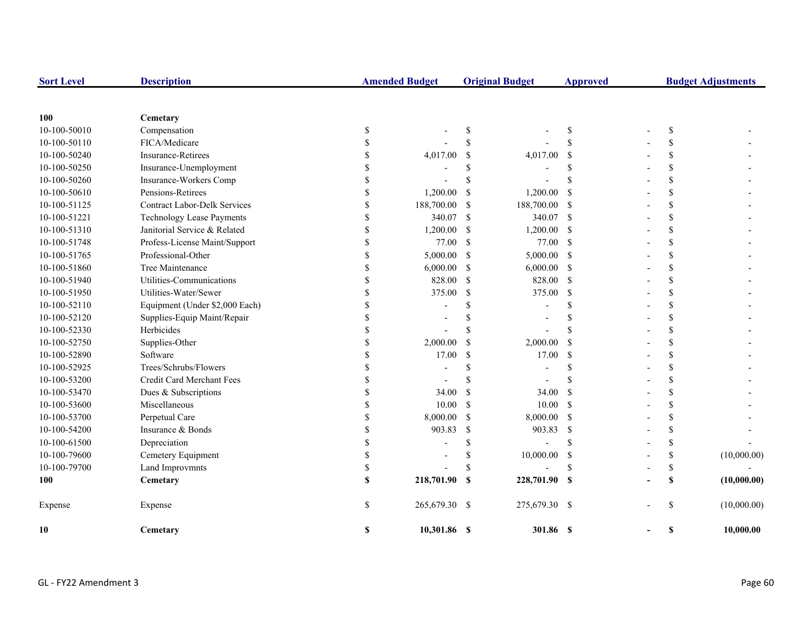| <b>Sort Level</b> | <b>Description</b>                  |               | <b>Amended Budget</b> |               | <b>Original Budget</b>   | <b>Approved</b> |                    | <b>Budget Adjustments</b> |
|-------------------|-------------------------------------|---------------|-----------------------|---------------|--------------------------|-----------------|--------------------|---------------------------|
|                   |                                     |               |                       |               |                          |                 |                    |                           |
| 100               | Cemetary                            |               |                       |               |                          |                 |                    |                           |
| 10-100-50010      | Compensation                        | \$            |                       | \$            |                          | \$              | \$                 |                           |
| 10-100-50110      | FICA/Medicare                       | \$            |                       | <sup>\$</sup> |                          | \$              | \$                 |                           |
| 10-100-50240      | <b>Insurance-Retirees</b>           | \$            | 4,017.00              | \$            | 4,017.00                 | <sup>\$</sup>   | \$                 |                           |
| 10-100-50250      | Insurance-Unemployment              | \$            |                       | <sup>\$</sup> |                          | \$              | \$                 |                           |
| 10-100-50260      | Insurance-Workers Comp              | $\mathbf S$   |                       | <sup>\$</sup> |                          | \$              | \$                 |                           |
| 10-100-50610      | Pensions-Retirees                   | $\mathbf S$   | 1,200.00              | <sup>\$</sup> | 1,200.00                 | <sup>\$</sup>   | $\mathbf{\hat{S}}$ |                           |
| 10-100-51125      | <b>Contract Labor-Delk Services</b> | \$            | 188,700.00            | <sup>\$</sup> | 188,700.00               | <sup>\$</sup>   | \$                 |                           |
| 10-100-51221      | <b>Technology Lease Payments</b>    | $\mathbf S$   | 340.07                | $\mathcal{S}$ | 340.07                   | <sup>\$</sup>   | $\mathbf{\hat{S}}$ |                           |
| 10-100-51310      | Janitorial Service & Related        | \$            | 1,200.00              | \$            | 1,200.00                 | -S              | \$                 |                           |
| 10-100-51748      | Profess-License Maint/Support       | \$            | 77.00                 | \$            | 77.00                    | <sup>\$</sup>   | \$                 |                           |
| 10-100-51765      | Professional-Other                  | $\mathbf S$   | 5,000.00              | $\mathcal{S}$ | 5,000.00                 | -S              | \$                 |                           |
| 10-100-51860      | Tree Maintenance                    | \$            | 6,000.00              | <sup>\$</sup> | 6,000.00                 | -S              | \$                 |                           |
| 10-100-51940      | Utilities-Communications            | \$            | 828.00                | \$            | 828.00                   | <sup>\$</sup>   | \$                 |                           |
| 10-100-51950      | Utilities-Water/Sewer               | \$            | 375.00                | \$            | 375.00                   | $\mathbb{S}$    | \$                 |                           |
| 10-100-52110      | Equipment (Under \$2,000 Each)      | \$            |                       | \$            | Ĭ.                       | \$              | \$                 |                           |
| 10-100-52120      | Supplies-Equip Maint/Repair         | $\mathbf S$   |                       | <sup>\$</sup> | $\overline{\phantom{a}}$ | \$              | \$                 |                           |
| 10-100-52330      | Herbicides                          |               |                       | <sup>\$</sup> |                          | \$              | \$                 |                           |
| 10-100-52750      | Supplies-Other                      | \$            | 2,000.00              | <sup>\$</sup> | 2,000.00                 | <sup>\$</sup>   | \$                 |                           |
| 10-100-52890      | Software                            | \$            | 17.00                 | \$            | 17.00                    | \$              | \$                 |                           |
| 10-100-52925      | Trees/Schrubs/Flowers               | \$.           |                       | <sup>\$</sup> |                          | \$              | \$                 |                           |
| 10-100-53200      | Credit Card Merchant Fees           | $\mathbf S$   |                       | \$            |                          | \$              | \$                 |                           |
| 10-100-53470      | Dues & Subscriptions                | \$            | 34.00                 | <sup>\$</sup> | 34.00                    | <sup>\$</sup>   | \$                 |                           |
| 10-100-53600      | Miscellaneous                       | $\mathcal{S}$ | 10.00                 | <sup>\$</sup> | 10.00                    | -\$             | \$                 |                           |
| 10-100-53700      | Perpetual Care                      | \$            | 8,000.00              | \$            | 8,000.00                 | $\mathbb{S}$    | \$                 |                           |
| 10-100-54200      | Insurance & Bonds                   | \$.           | 903.83                | \$            | 903.83                   | -S              | \$                 |                           |
| 10-100-61500      | Depreciation                        |               |                       | \$            |                          | \$              | \$                 |                           |
| 10-100-79600      | Cemetery Equipment                  | \$            |                       | \$            | 10,000.00                | $\mathcal{S}$   | \$                 | (10,000.00)               |
| 10-100-79700      | <b>Land Improvmnts</b>              | \$            |                       | <sup>\$</sup> |                          | \$              | \$                 |                           |
| 100               | Cemetary                            | $\mathbf S$   | 218,701.90 \$         |               | 228,701.90               | <b>S</b>        | S                  | (10,000.00)               |
| Expense           | Expense                             | \$            | 265,679.30 \$         |               | 275,679.30 \$            |                 | \$                 | (10,000.00)               |
| 10                | Cemetary                            | S             | 10,301.86 \$          |               | 301.86 \$                |                 | \$                 | 10,000.00                 |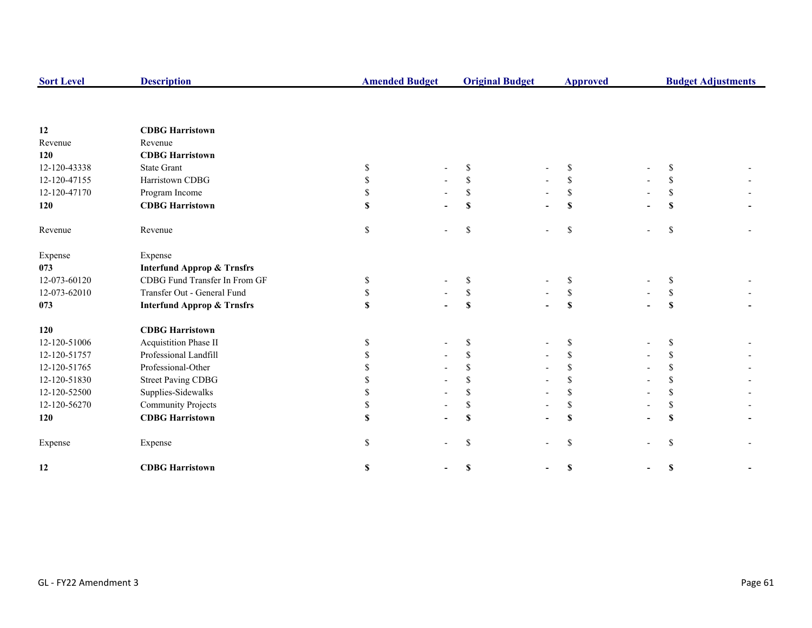| <b>Sort Level</b> | <b>Description</b>                    |    | <b>Amended Budget</b> |                           | <b>Original Budget</b> |               | <b>Budget Adjustments</b> |  |  |
|-------------------|---------------------------------------|----|-----------------------|---------------------------|------------------------|---------------|---------------------------|--|--|
|                   |                                       |    |                       |                           |                        |               |                           |  |  |
| 12                | <b>CDBG Harristown</b>                |    |                       |                           |                        |               |                           |  |  |
| Revenue           | Revenue                               |    |                       |                           |                        |               |                           |  |  |
| 120               | <b>CDBG Harristown</b>                |    |                       |                           |                        |               |                           |  |  |
| 12-120-43338      | <b>State Grant</b>                    | S  |                       | \$                        |                        | S             | S                         |  |  |
| 12-120-47155      | Harristown CDBG                       | \$ |                       | \$                        |                        | \$            | S                         |  |  |
| 12-120-47170      | Program Income                        | \$ |                       | \$                        |                        | \$            | S                         |  |  |
| 120               | <b>CDBG Harristown</b>                | \$ |                       | S                         |                        | <b>S</b>      | $\mathbf S$               |  |  |
| Revenue           | Revenue                               | \$ |                       | \$                        | $\overline{a}$         | \$            | \$                        |  |  |
| Expense           | Expense                               |    |                       |                           |                        |               |                           |  |  |
| 073               | <b>Interfund Approp &amp; Trnsfrs</b> |    |                       |                           |                        |               |                           |  |  |
| 12-073-60120      | CDBG Fund Transfer In From GF         | S  |                       | \$                        |                        | <sup>\$</sup> | S                         |  |  |
| 12-073-62010      | Transfer Out - General Fund           | \$ |                       | \$                        |                        | \$            | \$                        |  |  |
| 073               | <b>Interfund Approp &amp; Trnsfrs</b> | \$ |                       | $\boldsymbol{\mathsf{S}}$ |                        | S             | $\mathbf S$               |  |  |
| 120               | <b>CDBG</b> Harristown                |    |                       |                           |                        |               |                           |  |  |
| 12-120-51006      | Acquistition Phase II                 | S  |                       | \$                        |                        | \$            | \$                        |  |  |
| 12-120-51757      | Professional Landfill                 |    |                       | \$                        |                        | \$            | <sup>\$</sup>             |  |  |
| 12-120-51765      | Professional-Other                    |    |                       | \$.                       |                        | \$            | \$                        |  |  |
| 12-120-51830      | <b>Street Paving CDBG</b>             |    |                       | \$                        |                        | $\mathbb{S}$  | <sup>\$</sup>             |  |  |
| 12-120-52500      | Supplies-Sidewalks                    |    |                       |                           |                        | \$            | \$                        |  |  |
| 12-120-56270      | <b>Community Projects</b>             | \$ |                       | \$                        |                        | \$            | \$                        |  |  |
| 120               | <b>CDBG</b> Harristown                |    |                       | $\mathbf S$               | ۰                      | $\mathbf S$   | $\mathbf S$               |  |  |
| Expense           | Expense                               | S. |                       | $\mathbf S$               |                        | $\mathbf S$   | \$                        |  |  |
| 12                | <b>CDBG Harristown</b>                | \$ |                       | \$                        |                        | \$            | \$                        |  |  |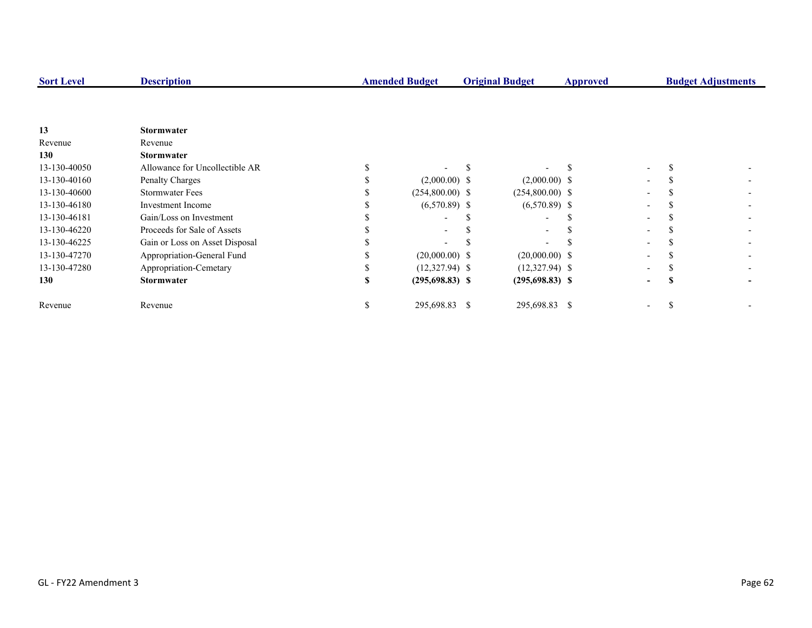| <b>Sort Level</b> | <b>Description</b>             |    | <b>Amended Budget</b> |  | <b>Original Budget</b> | <b>Approved</b> |                          | <b>Budget Adjustments</b> |  |
|-------------------|--------------------------------|----|-----------------------|--|------------------------|-----------------|--------------------------|---------------------------|--|
|                   |                                |    |                       |  |                        |                 |                          |                           |  |
|                   |                                |    |                       |  |                        |                 |                          |                           |  |
| 13                | <b>Stormwater</b>              |    |                       |  |                        |                 |                          |                           |  |
| Revenue           | Revenue                        |    |                       |  |                        |                 |                          |                           |  |
| 130               | <b>Stormwater</b>              |    |                       |  |                        |                 |                          |                           |  |
| 13-130-40050      | Allowance for Uncollectible AR |    |                       |  |                        |                 | $\overline{a}$           |                           |  |
| 13-130-40160      | Penalty Charges                |    | $(2,000.00)$ \$       |  | $(2,000.00)$ \$        |                 | $\overline{\phantom{0}}$ |                           |  |
| 13-130-40600      | <b>Stormwater Fees</b>         |    | $(254,800.00)$ \$     |  | $(254,800.00)$ \$      |                 |                          |                           |  |
| 13-130-46180      | Investment Income              |    | $(6,570.89)$ \$       |  | $(6,570.89)$ \$        |                 |                          |                           |  |
| 13-130-46181      | Gain/Loss on Investment        |    |                       |  |                        |                 |                          |                           |  |
| 13-130-46220      | Proceeds for Sale of Assets    |    |                       |  |                        |                 |                          |                           |  |
| 13-130-46225      | Gain or Loss on Asset Disposal |    |                       |  |                        |                 |                          |                           |  |
| 13-130-47270      | Appropriation-General Fund     |    | $(20,000.00)$ \$      |  | $(20,000.00)$ \$       |                 |                          |                           |  |
| 13-130-47280      | Appropriation-Cemetary         |    | $(12,327.94)$ \$      |  | $(12,327.94)$ \$       |                 |                          |                           |  |
| 130               | <b>Stormwater</b>              |    | $(295,698.83)$ \$     |  | $(295,698.83)$ \$      |                 |                          |                           |  |
| Revenue           | Revenue                        | ъ. | 295,698.83 \$         |  | 295,698.83 \$          |                 | $\overline{\phantom{a}}$ |                           |  |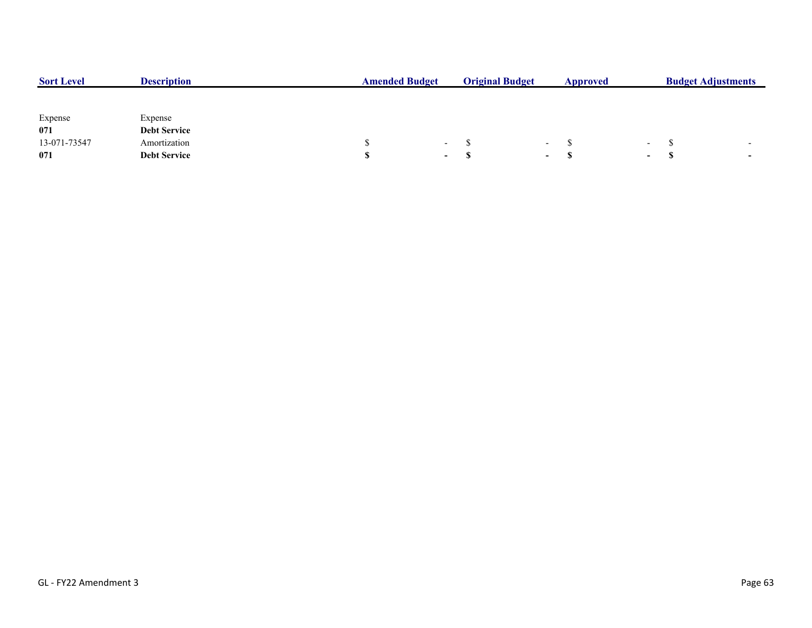| <b>Sort Level</b> | <b>Description</b>  | <b>Amended Budget</b> |            | <b>Original Budget</b> |                          | Approved |                          | <b>Budget Adjustments</b> |  |  |
|-------------------|---------------------|-----------------------|------------|------------------------|--------------------------|----------|--------------------------|---------------------------|--|--|
|                   |                     |                       |            |                        |                          |          |                          |                           |  |  |
| Expense           | Expense             |                       |            |                        |                          |          |                          |                           |  |  |
| 071               | <b>Debt Service</b> |                       |            |                        |                          |          |                          |                           |  |  |
| 13-071-73547      | Amortization        |                       | $\sim$ $-$ |                        | $\overline{\phantom{0}}$ |          | $\overline{\phantom{0}}$ |                           |  |  |
| 071               | <b>Debt Service</b> |                       | $\sim$     |                        | $\sim$                   |          | $\sim$                   |                           |  |  |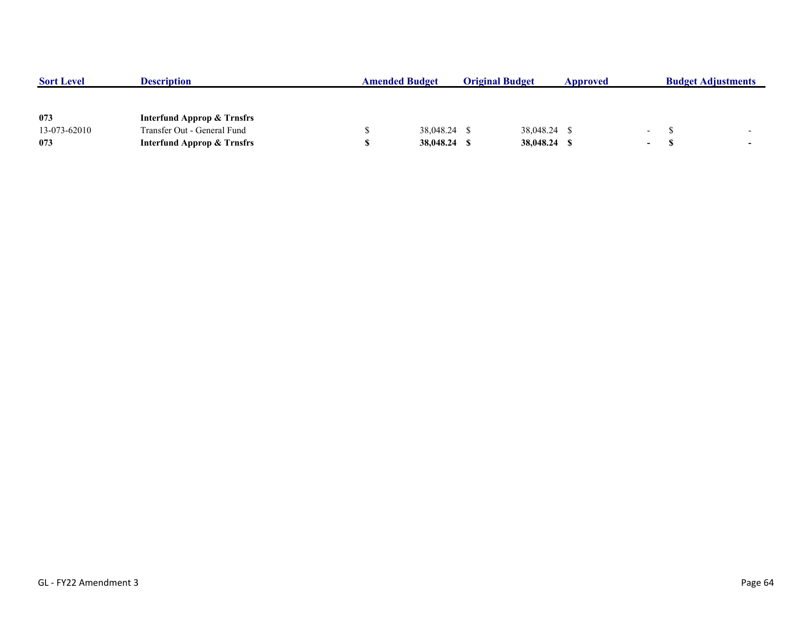| <b>Sort Level</b> | <b>Description</b>                    | <b>Amended Budget</b> |              | <b>Original Budget</b> |              | Approved |                 | <b>Budget Adjustments</b> |                          |
|-------------------|---------------------------------------|-----------------------|--------------|------------------------|--------------|----------|-----------------|---------------------------|--------------------------|
|                   |                                       |                       |              |                        |              |          |                 |                           |                          |
|                   |                                       |                       |              |                        |              |          |                 |                           |                          |
| 073               | <b>Interfund Approp &amp; Trnsfrs</b> |                       |              |                        |              |          |                 |                           |                          |
| 13-073-62010      | Transfer Out - General Fund           |                       | 38,048.24 \$ |                        | 38,048.24 \$ |          | $\sim 10^{-10}$ |                           | $\overline{\phantom{0}}$ |
| 073               | <b>Interfund Approp &amp; Trnsfrs</b> |                       | 38,048.24    |                        | 38,048.24 \$ |          | $\sim$          |                           | $\overline{\phantom{a}}$ |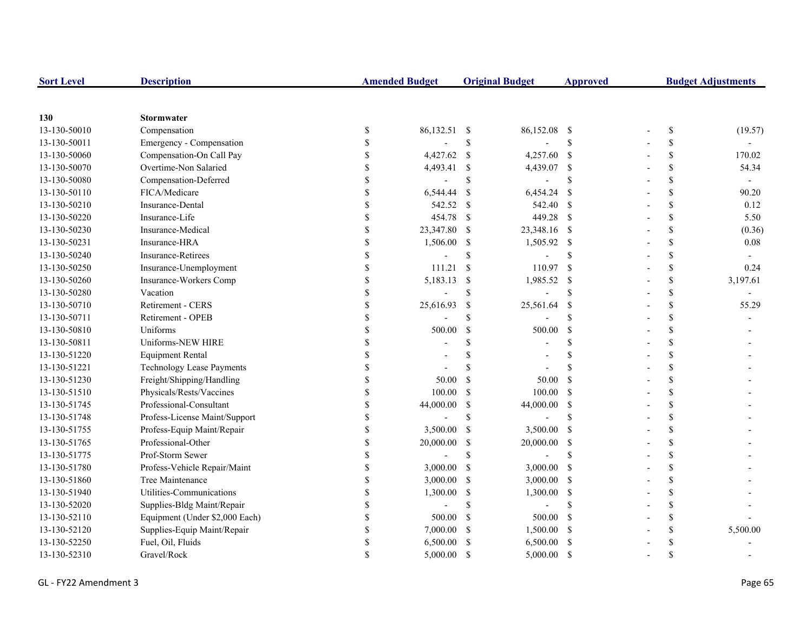| <b>Sort Level</b> | <b>Description</b>               |                    | <b>Amended Budget</b> |               | <b>Original Budget</b> | <b>Approved</b>           | <b>Budget Adjustments</b> |                          |  |
|-------------------|----------------------------------|--------------------|-----------------------|---------------|------------------------|---------------------------|---------------------------|--------------------------|--|
|                   |                                  |                    |                       |               |                        |                           |                           |                          |  |
| 130               | <b>Stormwater</b>                |                    |                       |               |                        |                           |                           |                          |  |
| 13-130-50010      | Compensation                     | \$                 | 86,132.51 \$          |               | 86,152.08              | - \$                      | \$                        | (19.57)                  |  |
| 13-130-50011      | Emergency - Compensation         | \$                 |                       | \$            |                        | \$                        | \$                        |                          |  |
| 13-130-50060      | Compensation-On Call Pay         | <sup>\$</sup>      | 4,427.62              | \$            | 4,257.60               | $\mathbf{s}$              | \$                        | 170.02                   |  |
| 13-130-50070      | Overtime-Non Salaried            |                    | 4,493.41              | $\$$          | 4,439.07 \$            |                           | \$                        | 54.34                    |  |
| 13-130-50080      | Compensation-Deferred            |                    | $\overline{a}$        | $\mathbf S$   |                        | $\boldsymbol{\mathsf{S}}$ | \$                        | $\overline{\phantom{a}}$ |  |
| 13-130-50110      | FICA/Medicare                    | \$                 | 6,544.44              | $\mathcal{S}$ | 6,454.24               | - \$                      | \$                        | 90.20                    |  |
| 13-130-50210      | Insurance-Dental                 | \$                 | 542.52                | <sup>S</sup>  | 542.40 \$              |                           | \$                        | 0.12                     |  |
| 13-130-50220      | Insurance-Life                   | \$                 | 454.78                | $\mathbf S$   | 449.28 \$              |                           | \$                        | 5.50                     |  |
| 13-130-50230      | Insurance-Medical                | \$                 | 23,347.80             | <sup>\$</sup> | 23,348.16 \$           |                           | \$                        | (0.36)                   |  |
| 13-130-50231      | Insurance-HRA                    | \$                 | 1,506.00              | $\mathbb{S}$  | 1,505.92 \$            |                           | \$                        | 0.08                     |  |
| 13-130-50240      | Insurance-Retirees               | \$                 |                       | \$            |                        | <sup>\$</sup>             | \$                        |                          |  |
| 13-130-50250      | Insurance-Unemployment           | \$                 | 111.21                | $\mathcal{S}$ | 110.97                 | - \$                      | \$                        | 0.24                     |  |
| 13-130-50260      | Insurance-Workers Comp           | \$                 | 5,183.13              | $\$$          | 1,985.52               | - \$                      | \$                        | 3,197.61                 |  |
| 13-130-50280      | Vacation                         |                    | $\overline{a}$        | $\mathcal{S}$ |                        | $\mathcal{S}$             | \$                        |                          |  |
| 13-130-50710      | Retirement - CERS                | \$                 | 25,616.93             | \$            | 25,561.64              | -S                        | \$                        | 55.29                    |  |
| 13-130-50711      | Retirement - OPEB                |                    |                       | $\mathbf S$   |                        | \$                        | \$                        |                          |  |
| 13-130-50810      | Uniforms                         |                    | 500.00                | $\mathcal{S}$ | 500.00                 | <sup>\$</sup>             | \$                        |                          |  |
| 13-130-50811      | Uniforms-NEW HIRE                |                    |                       | \$            |                        | <sup>\$</sup>             | \$                        |                          |  |
| 13-130-51220      | <b>Equipment Rental</b>          |                    |                       | \$            |                        | \$                        | \$                        |                          |  |
| 13-130-51221      | <b>Technology Lease Payments</b> | \$                 |                       | <sup>\$</sup> |                        | \$.                       | \$                        |                          |  |
| 13-130-51230      | Freight/Shipping/Handling        | \$                 | 50.00                 | <sup>\$</sup> | 50.00                  | $\mathcal{S}$             | \$                        |                          |  |
| 13-130-51510      | Physicals/Rests/Vaccines         | \$                 | 100.00                | \$            | 100.00                 | - \$                      | \$                        |                          |  |
| 13-130-51745      | Professional-Consultant          | \$                 | 44,000.00             | \$            | 44,000.00              | $\mathbf{\hat{s}}$        | \$                        |                          |  |
| 13-130-51748      | Profess-License Maint/Support    | \$                 |                       | $\mathcal{S}$ |                        | $\mathcal{S}$             | \$                        |                          |  |
| 13-130-51755      | Profess-Equip Maint/Repair       |                    | 3,500.00              | \$            | 3,500.00               | - \$                      | \$                        |                          |  |
| 13-130-51765      | Professional-Other               | \$                 | 20,000.00             | $\mathbb{S}$  | 20,000.00              | - \$                      | \$                        |                          |  |
| 13-130-51775      | Prof-Storm Sewer                 |                    |                       | $\mathbf S$   |                        | \$                        | \$                        |                          |  |
| 13-130-51780      | Profess-Vehicle Repair/Maint     |                    | 3,000.00              | <sup>\$</sup> | 3,000.00               | - \$                      | \$                        |                          |  |
| 13-130-51860      | Tree Maintenance                 | \$                 | 3,000.00              | <sup>\$</sup> | 3,000.00               | - \$                      | \$                        |                          |  |
| 13-130-51940      | Utilities-Communications         | \$                 | 1,300.00              | \$            | 1,300.00               | - \$                      | \$                        |                          |  |
| 13-130-52020      | Supplies-Bldg Maint/Repair       | $\mathbf{\hat{S}}$ |                       | <sup>\$</sup> |                        | $\mathcal{S}$             | \$                        |                          |  |
| 13-130-52110      | Equipment (Under \$2,000 Each)   | \$                 | 500.00                | <sup>\$</sup> | 500.00                 | -\$                       | \$                        |                          |  |
| 13-130-52120      | Supplies-Equip Maint/Repair      | \$                 | 7,000.00              | $\mathbb{S}$  | 1,500.00               | $\mathbf{s}$              | \$                        | 5,500.00                 |  |
| 13-130-52250      | Fuel, Oil, Fluids                |                    | 6,500.00              | <sup>\$</sup> | 6,500.00               | - \$                      | \$                        |                          |  |
| 13-130-52310      | Gravel/Rock                      | \$                 | 5,000.00              | <sup>\$</sup> | 5,000.00               | - \$                      | \$                        |                          |  |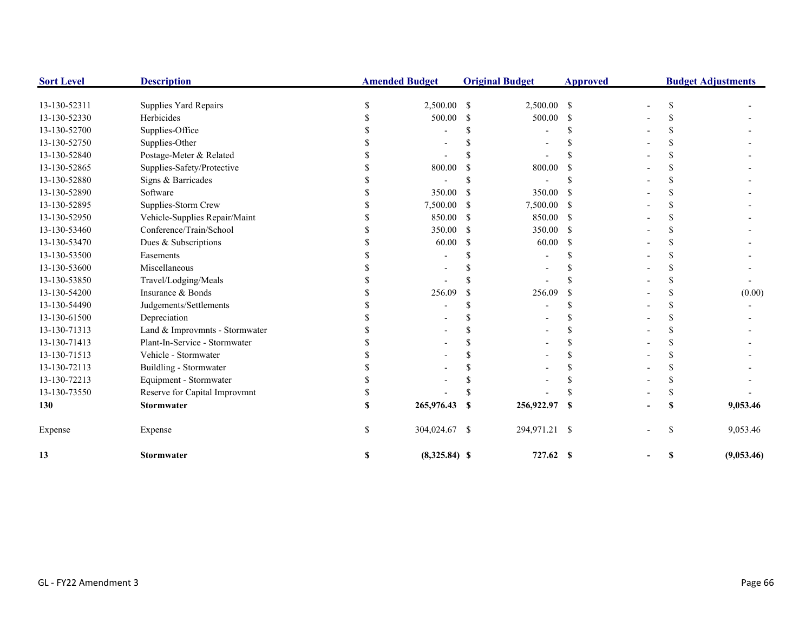| <b>Sort Level</b> | <b>Description</b>             |   | <b>Amended Budget</b> |               | <b>Original Budget</b> | <b>Approved</b> | <b>Budget Adjustments</b> |     |            |
|-------------------|--------------------------------|---|-----------------------|---------------|------------------------|-----------------|---------------------------|-----|------------|
| 13-130-52311      | Supplies Yard Repairs          |   | 2,500.00              | <sup>S</sup>  | 2,500.00 \$            |                 |                           | S   |            |
| 13-130-52330      | Herbicides                     |   | 500.00                | S             | 500.00                 | S               |                           |     |            |
| 13-130-52700      | Supplies-Office                |   |                       |               |                        |                 |                           |     |            |
| 13-130-52750      | Supplies-Other                 |   |                       |               |                        |                 |                           |     |            |
| 13-130-52840      | Postage-Meter & Related        |   |                       |               |                        |                 |                           |     |            |
| 13-130-52865      | Supplies-Safety/Protective     |   | 800.00                |               | 800.00                 |                 |                           |     |            |
| 13-130-52880      | Signs & Barricades             |   |                       |               |                        |                 |                           |     |            |
| 13-130-52890      | Software                       |   | 350.00                | -S            | 350.00                 | -S              |                           |     |            |
| 13-130-52895      | Supplies-Storm Crew            |   | 7,500.00              | <sup>\$</sup> | 7,500.00               | -\$             |                           |     |            |
| 13-130-52950      | Vehicle-Supplies Repair/Maint  |   | 850.00                | -S            | 850.00                 | - \$            |                           |     |            |
| 13-130-53460      | Conference/Train/School        |   | 350.00                | <sup>\$</sup> | 350.00                 | -\$             |                           |     |            |
| 13-130-53470      | Dues & Subscriptions           |   | 60.00                 | <sup>\$</sup> | 60.00                  | <sup>\$</sup>   |                           |     |            |
| 13-130-53500      | Easements                      |   |                       |               |                        |                 |                           |     |            |
| 13-130-53600      | Miscellaneous                  |   |                       |               |                        |                 |                           |     |            |
| 13-130-53850      | Travel/Lodging/Meals           |   |                       |               |                        |                 |                           |     |            |
| 13-130-54200      | Insurance & Bonds              |   | 256.09                | -S            | 256.09                 | <sup>\$</sup>   |                           |     | (0.00)     |
| 13-130-54490      | Judgements/Settlements         |   |                       |               |                        |                 |                           |     |            |
| 13-130-61500      | Depreciation                   |   |                       |               |                        |                 |                           |     |            |
| 13-130-71313      | Land & Improvmnts - Stormwater |   |                       |               |                        |                 |                           |     |            |
| 13-130-71413      | Plant-In-Service - Stormwater  |   |                       |               |                        |                 |                           |     |            |
| 13-130-71513      | Vehicle - Stormwater           |   |                       |               |                        |                 |                           |     |            |
| 13-130-72113      | Buildling - Stormwater         |   |                       |               |                        |                 |                           |     |            |
| 13-130-72213      | Equipment - Stormwater         |   |                       |               |                        |                 |                           |     |            |
| 13-130-73550      | Reserve for Capital Improvmnt  |   |                       |               |                        |                 |                           |     |            |
| 130               | <b>Stormwater</b>              |   | 265,976.43            | - \$          | 256,922.97             | -S              |                           |     | 9,053.46   |
| Expense           | Expense                        |   | 304,024.67 \$         |               | 294,971.21 \$          |                 |                           | \$. | 9,053.46   |
| 13                | <b>Stormwater</b>              | S | $(8,325.84)$ \$       |               | 727.62 \$              |                 |                           | S   | (9,053.46) |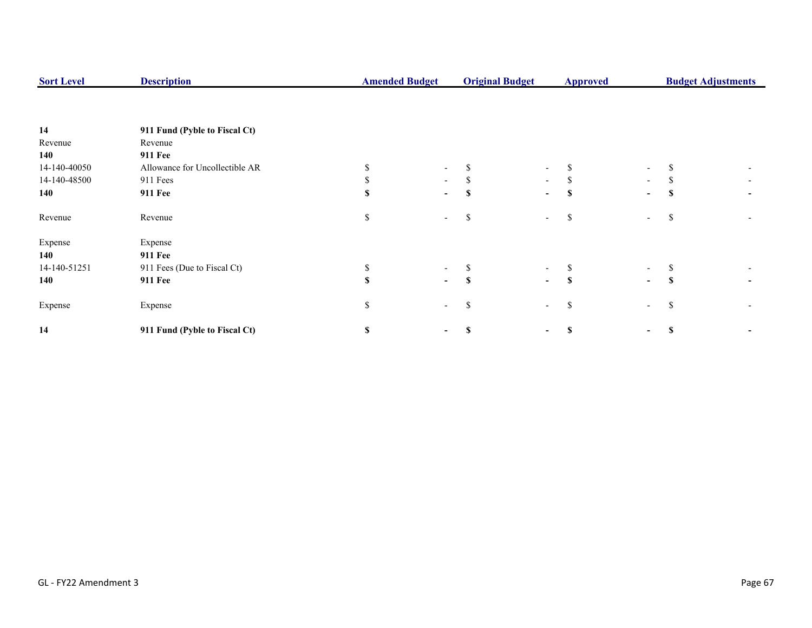| <b>Sort Level</b> | <b>Description</b>             |    | <b>Amended Budget</b>    |          | <b>Original Budget</b>   | <b>Approved</b> |                          | <b>Budget Adjustments</b> |  |  |
|-------------------|--------------------------------|----|--------------------------|----------|--------------------------|-----------------|--------------------------|---------------------------|--|--|
|                   |                                |    |                          |          |                          |                 |                          |                           |  |  |
| 14                | 911 Fund (Pyble to Fiscal Ct)  |    |                          |          |                          |                 |                          |                           |  |  |
| Revenue           | Revenue                        |    |                          |          |                          |                 |                          |                           |  |  |
| 140               | <b>911 Fee</b>                 |    |                          |          |                          |                 |                          |                           |  |  |
| 14-140-40050      | Allowance for Uncollectible AR |    |                          |          | $\overline{\phantom{0}}$ | \$              | $\overline{\phantom{a}}$ |                           |  |  |
| 14-140-48500      | 911 Fees                       |    | $\sim$                   |          | $\sim$                   | S.              | $\overline{\phantom{a}}$ | ъ                         |  |  |
| 140               | <b>911 Fee</b>                 |    | $\sim$                   |          | $\overline{\phantom{0}}$ | \$              | $\blacksquare$           |                           |  |  |
| Revenue           | Revenue                        | \$ |                          | ъ        | $\overline{\phantom{0}}$ | \$              | $\overline{\phantom{a}}$ | S                         |  |  |
| Expense           | Expense                        |    |                          |          |                          |                 |                          |                           |  |  |
| 140               | <b>911 Fee</b>                 |    |                          |          |                          |                 |                          |                           |  |  |
| 14-140-51251      | 911 Fees (Due to Fiscal Ct)    |    |                          |          | $\overline{\phantom{0}}$ | S               | $\overline{\phantom{a}}$ |                           |  |  |
| 140               | <b>911 Fee</b>                 |    | $\sim$                   | <b>S</b> | $\blacksquare$           | S               | $\blacksquare$           | \$.                       |  |  |
| Expense           | Expense                        | \$ | $\overline{\phantom{a}}$ | S        | $\overline{\phantom{a}}$ | \$              | $\overline{\phantom{0}}$ | S                         |  |  |
| 14                | 911 Fund (Pyble to Fiscal Ct)  | S  |                          |          | -                        | \$              | ۰.                       |                           |  |  |